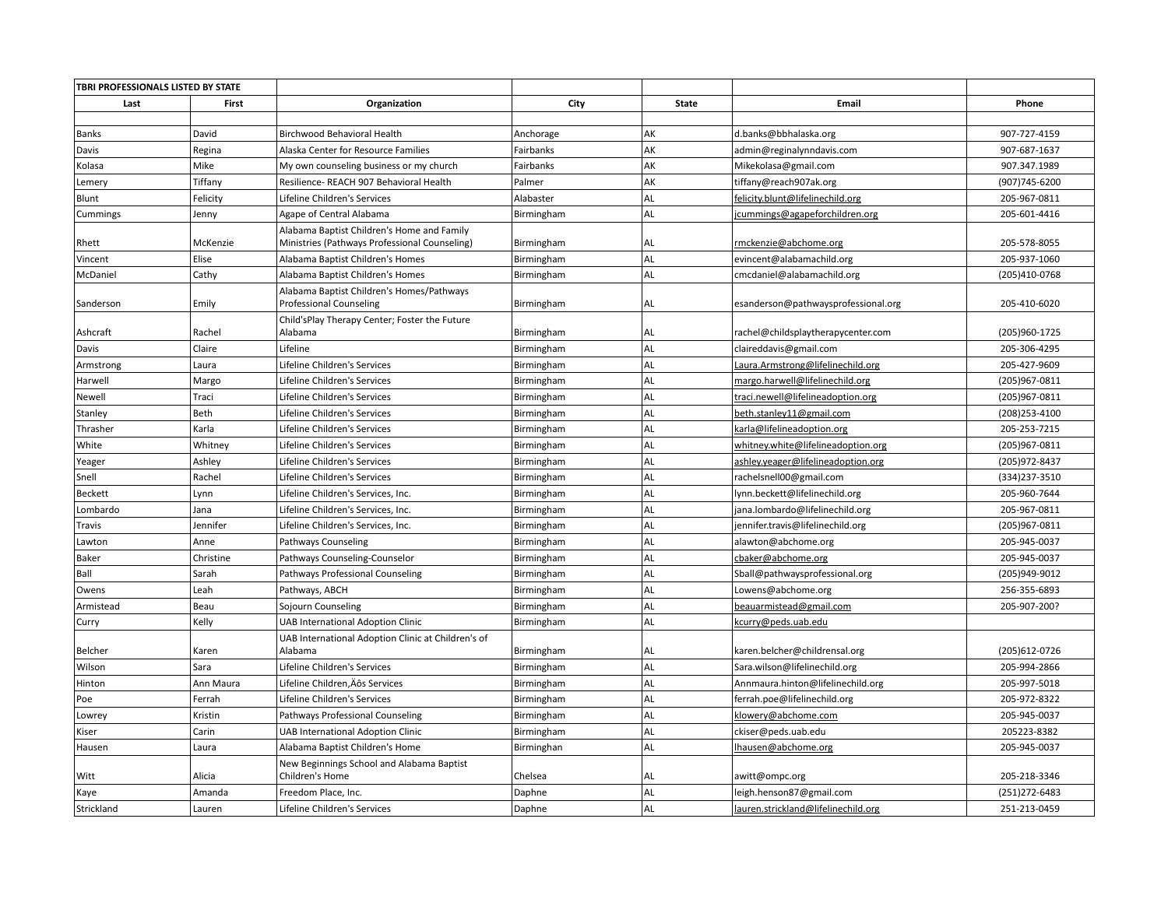| TBRI PROFESSIONALS LISTED BY STATE |           |                                                                                             |            |              |                                     |                |
|------------------------------------|-----------|---------------------------------------------------------------------------------------------|------------|--------------|-------------------------------------|----------------|
| Last                               | First     | Organization                                                                                | City       | <b>State</b> | Email                               | Phone          |
|                                    |           |                                                                                             |            |              |                                     |                |
| Banks                              | David     | Birchwood Behavioral Health                                                                 | Anchorage  | AK           | d.banks@bbhalaska.org               | 907-727-4159   |
| Davis                              | Regina    | Alaska Center for Resource Families                                                         | Fairbanks  | AK           | admin@reginalynndavis.com           | 907-687-1637   |
| Kolasa                             | Mike      | My own counseling business or my church                                                     | Fairbanks  | AK           | Mikekolasa@gmail.com                | 907.347.1989   |
| Lemery                             | Tiffany   | Resilience- REACH 907 Behavioral Health                                                     | Palmer     | AK           | tiffany@reach907ak.org              | (907)745-6200  |
| Blunt                              | Felicity  | Lifeline Children's Services                                                                | Alabaster  | AL           | felicity.blunt@lifelinechild.org    | 205-967-0811   |
| Cummings                           | Jenny     | Agape of Central Alabama                                                                    | Birmingham | AL           | jcummings@agapeforchildren.org      | 205-601-4416   |
| Rhett                              | McKenzie  | Alabama Baptist Children's Home and Family<br>Ministries (Pathways Professional Counseling) | Birmingham | AL           | rmckenzie@abchome.org               | 205-578-8055   |
| Vincent                            | Elise     | Alabama Baptist Children's Homes                                                            | Birmingham | AL           | evincent@alabamachild.org           | 205-937-1060   |
| McDaniel                           | Cathy     | Alabama Baptist Children's Homes                                                            | Birmingham | AL           | cmcdaniel@alabamachild.org          | (205)410-0768  |
| Sanderson                          | Emily     | Alabama Baptist Children's Homes/Pathways<br><b>Professional Counseling</b>                 | Birmingham | AL           | esanderson@pathwaysprofessional.org | 205-410-6020   |
|                                    |           | Child'sPlay Therapy Center; Foster the Future                                               |            |              |                                     |                |
| Ashcraft                           | Rachel    | Alabama                                                                                     | Birmingham | AL           | rachel@childsplaytherapycenter.com  | (205)960-1725  |
| Davis                              | Claire    | Lifeline                                                                                    | Birmingham | AL           | claireddavis@gmail.com              | 205-306-4295   |
| Armstrong                          | Laura     | Lifeline Children's Services                                                                | Birmingham | AL           | Laura.Armstrong@lifelinechild.org   | 205-427-9609   |
| Harwell                            | Margo     | Lifeline Children's Services                                                                | Birmingham | AL           | margo.harwell@lifelinechild.org     | (205)967-0811  |
| Newell                             | Traci     | Lifeline Children's Services                                                                | Birmingham | AL           | traci.newell@lifelineadoption.org   | (205)967-0811  |
| Stanley                            | Beth      | Lifeline Children's Services                                                                | Birmingham | AL           | beth.stanley11@gmail.com            | (208) 253-4100 |
| Thrasher                           | Karla     | Lifeline Children's Services                                                                | Birmingham | AL           | karla@lifelineadoption.org          | 205-253-7215   |
| White                              | Whitney   | Lifeline Children's Services                                                                | Birmingham | AL           | whitney.white@lifelineadoption.org  | (205)967-0811  |
| Yeager                             | Ashley    | Lifeline Children's Services                                                                | Birmingham | AL           | ashley.yeager@lifelineadoption.org  | (205) 972-8437 |
| Snell                              | Rachel    | Lifeline Children's Services                                                                | Birmingham | AL           | rachelsnell00@gmail.com             | (334)237-3510  |
| Beckett                            | Lynn      | Lifeline Children's Services, Inc.                                                          | Birmingham | AL           | lynn.beckett@lifelinechild.org      | 205-960-7644   |
| Lombardo                           | Jana      | Lifeline Children's Services, Inc.                                                          | Birmingham | AL           | jana.lombardo@lifelinechild.org     | 205-967-0811   |
| Travis                             | Jennifer  | Lifeline Children's Services, Inc.                                                          | Birmingham | AL           | jennifer.travis@lifelinechild.org   | (205)967-0811  |
| Lawton                             | Anne      | Pathways Counseling                                                                         | Birmingham | AL           | alawton@abchome.org                 | 205-945-0037   |
| Baker                              | Christine | Pathways Counseling-Counselor                                                               | Birmingham | AL           | cbaker@abchome.org                  | 205-945-0037   |
| Ball                               | Sarah     | Pathways Professional Counseling                                                            | Birmingham | AL           | Sball@pathwaysprofessional.org      | (205)949-9012  |
| Owens                              | Leah      | Pathways, ABCH                                                                              | Birmingham | AL           | Lowens@abchome.org                  | 256-355-6893   |
| Armistead                          | Beau      | Sojourn Counseling                                                                          | Birmingham | AL           | beauarmistead@gmail.com             | 205-907-200?   |
| Curry                              | Kelly     | <b>UAB International Adoption Clinic</b>                                                    | Birmingham | AL           | kcurry@peds.uab.edu                 |                |
| Belcher                            | Karen     | UAB International Adoption Clinic at Children's of<br>Alabama                               | Birmingham | AL           | karen.belcher@childrensal.org       | (205) 612-0726 |
| Wilson                             | Sara      | Lifeline Children's Services                                                                | Birmingham | AL           | Sara.wilson@lifelinechild.org       | 205-994-2866   |
| Hinton                             | Ann Maura | Lifeline Children, Äôs Services                                                             | Birmingham | AL           | Annmaura.hinton@lifelinechild.org   | 205-997-5018   |
| Poe                                | Ferrah    | Lifeline Children's Services                                                                | Birmingham | AL           | ferrah.poe@lifelinechild.org        | 205-972-8322   |
| Lowrey                             | Kristin   | Pathways Professional Counseling                                                            | Birmingham | AL           | klowery@abchome.com                 | 205-945-0037   |
| Kiser                              | Carin     | <b>UAB International Adoption Clinic</b>                                                    | Birmingham | AL           | ckiser@peds.uab.edu                 | 205223-8382    |
| Hausen                             | Laura     | Alabama Baptist Children's Home                                                             | Birminghan | AL           | lhausen@abchome.org                 | 205-945-0037   |
|                                    |           | New Beginnings School and Alabama Baptist                                                   |            |              |                                     |                |
| Witt                               | Alicia    | Children's Home                                                                             | Chelsea    | AL           | awitt@ompc.org                      | 205-218-3346   |
| Kaye                               | Amanda    | Freedom Place, Inc.                                                                         | Daphne     | AL           | leigh.henson87@gmail.com            | (251) 272-6483 |
| Strickland                         | Lauren    | Lifeline Children's Services                                                                | Daphne     | AL           | lauren.strickland@lifelinechild.org | 251-213-0459   |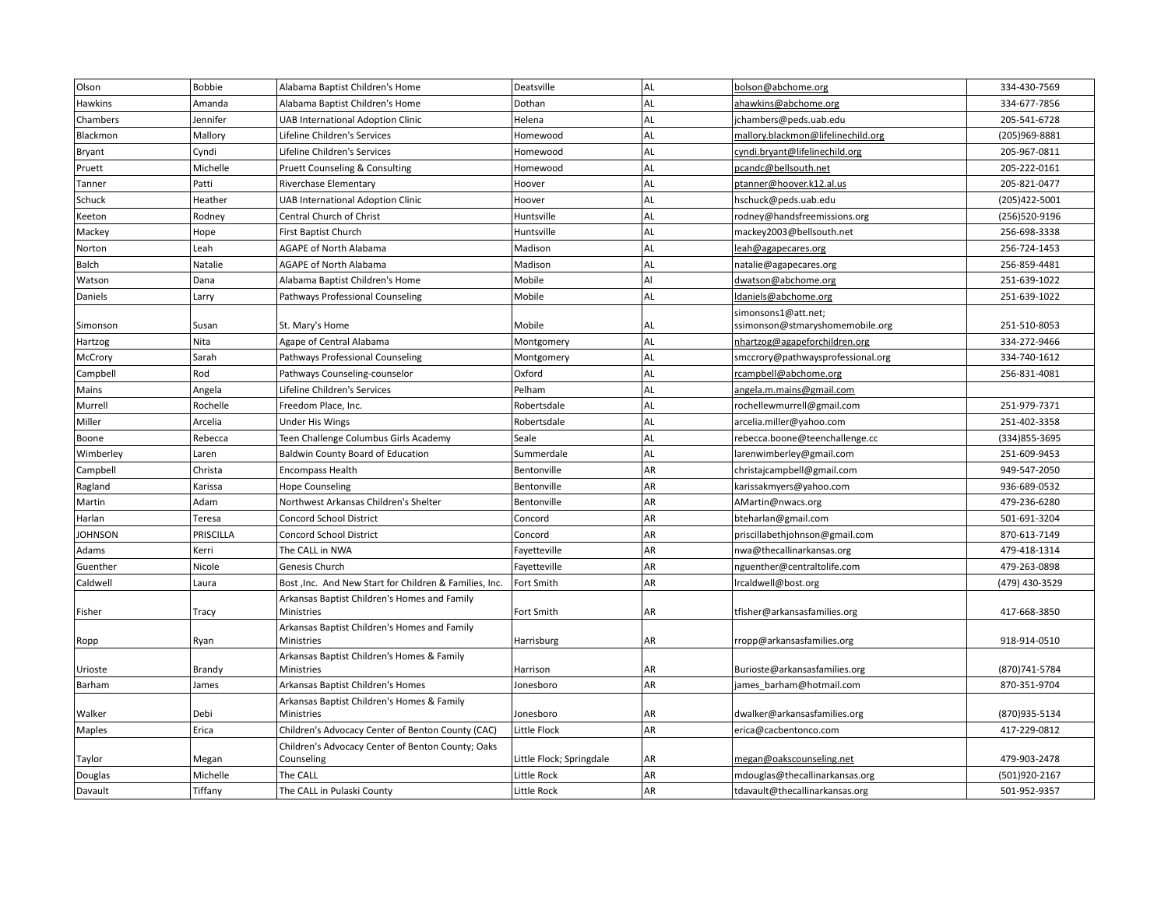| Olson          | <b>Bobbie</b> | Alabama Baptist Children's Home                                 | Deatsville               | AL        | bolson@abchome.org                 | 334-430-7569   |
|----------------|---------------|-----------------------------------------------------------------|--------------------------|-----------|------------------------------------|----------------|
| Hawkins        | Amanda        | Alabama Baptist Children's Home                                 | Dothan                   | AL        | ahawkins@abchome.org               | 334-677-7856   |
| Chambers       | Jennifer      | <b>UAB International Adoption Clinic</b>                        | Helena                   | AL        | jchambers@peds.uab.edu             | 205-541-6728   |
| Blackmon       | Mallory       | Lifeline Children's Services                                    | Homewood                 | AL        | mallory.blackmon@lifelinechild.org | (205)969-8881  |
| Bryant         | Cyndi         | Lifeline Children's Services                                    | Homewood                 | AL        | cyndi.bryant@lifelinechild.org     | 205-967-0811   |
| Pruett         | Michelle      | Pruett Counseling & Consulting                                  | Homewood                 | AL        | pcandc@bellsouth.net               | 205-222-0161   |
| Tanner         | Patti         | Riverchase Elementary                                           | Hoover                   | AL        | ptanner@hoover.k12.al.us           | 205-821-0477   |
| Schuck         | Heather       | <b>UAB International Adoption Clinic</b>                        | Hoover                   | AL        | hschuck@peds.uab.edu               | (205) 422-5001 |
| Keeton         | Rodney        | Central Church of Christ                                        | Huntsville               | AL        | rodney@handsfreemissions.org       | (256)520-9196  |
| Mackey         | Hope          | First Baptist Church                                            | Huntsville               | AL        | mackey2003@bellsouth.net           | 256-698-3338   |
| Norton         | Leah          | AGAPE of North Alabama                                          | Madison                  | AL        | leah@agapecares.org                | 256-724-1453   |
| Balch          | Natalie       | <b>AGAPE of North Alabama</b>                                   | Madison                  | AL        | natalie@agapecares.org             | 256-859-4481   |
| Watson         | Dana          | Alabama Baptist Children's Home                                 | Mobile                   | AI        | dwatson@abchome.org                | 251-639-1022   |
| Daniels        | Larry         | Pathways Professional Counseling                                | Mobile                   | AL        | Idaniels@abchome.org               | 251-639-1022   |
|                |               |                                                                 |                          |           | simonsons1@att.net;                |                |
| Simonson       | Susan         | St. Mary's Home                                                 | Mobile                   | AL        | ssimonson@stmaryshomemobile.org    | 251-510-8053   |
| Hartzog        | Nita          | Agape of Central Alabama                                        | Montgomery               | <b>AL</b> | nhartzog@agapeforchildren.org      | 334-272-9466   |
| McCrory        | Sarah         | Pathways Professional Counseling                                | Montgomery               | AL        | smccrory@pathwaysprofessional.org  | 334-740-1612   |
| Campbell       | Rod           | Pathways Counseling-counselor                                   | Oxford                   | AL        | rcampbell@abchome.org              | 256-831-4081   |
| Mains          | Angela        | Lifeline Children's Services                                    | Pelham                   | AL        | angela.m.mains@gmail.com           |                |
| Murrell        | Rochelle      | Freedom Place, Inc.                                             | Robertsdale              | AL        | rochellewmurrell@gmail.com         | 251-979-7371   |
| Miller         | Arcelia       | <b>Under His Wings</b>                                          | Robertsdale              | AL        | arcelia.miller@yahoo.com           | 251-402-3358   |
| Boone          | Rebecca       | Teen Challenge Columbus Girls Academy                           | Seale                    | AL        | rebecca.boone@teenchallenge.cc     | (334) 855-3695 |
| Wimberley      | Laren         | <b>Baldwin County Board of Education</b>                        | Summerdale               | AL        | larenwimberley@gmail.com           | 251-609-9453   |
| Campbell       | Christa       | <b>Encompass Health</b>                                         | Bentonville              | AR        | christajcampbell@gmail.com         | 949-547-2050   |
| Ragland        | Karissa       | <b>Hope Counseling</b>                                          | Bentonville              | AR        | karissakmyers@yahoo.com            | 936-689-0532   |
| Martin         | Adam          | Northwest Arkansas Children's Shelter                           | Bentonville              | AR        | AMartin@nwacs.org                  | 479-236-6280   |
| Harlan         | Teresa        | <b>Concord School District</b>                                  | Concord                  | AR        | bteharlan@gmail.com                | 501-691-3204   |
| <b>JOHNSON</b> | PRISCILLA     | <b>Concord School District</b>                                  | Concord                  | AR        | priscillabethjohnson@gmail.com     | 870-613-7149   |
| Adams          | Kerri         | The CALL in NWA                                                 | Fayetteville             | AR        | nwa@thecallinarkansas.org          | 479-418-1314   |
| Guenther       | Nicole        | Genesis Church                                                  | Fayetteville             | AR        | nguenther@centraltolife.com        | 479-263-0898   |
| Caldwell       | Laura         | Bost , Inc. And New Start for Children & Families, Inc.         | Fort Smith               | AR        | Ircaldwell@bost.org                | (479) 430-3529 |
|                |               | Arkansas Baptist Children's Homes and Family                    |                          |           |                                    |                |
| Fisher         | Tracy         | Ministries                                                      | Fort Smith               | AR        | tfisher@arkansasfamilies.org       | 417-668-3850   |
|                |               | Arkansas Baptist Children's Homes and Family<br>Ministries      |                          | AR        |                                    | 918-914-0510   |
| Ropp           | Ryan          |                                                                 | Harrisburg               |           | rropp@arkansasfamilies.org         |                |
| Urioste        | Brandy        | Arkansas Baptist Children's Homes & Family<br><b>Ministries</b> | Harrison                 | AR        | Burioste@arkansasfamilies.org      | (870) 741-5784 |
| Barham         | James         | Arkansas Baptist Children's Homes                               | Jonesboro                | AR        | james barham@hotmail.com           | 870-351-9704   |
|                |               | Arkansas Baptist Children's Homes & Family                      |                          |           |                                    |                |
| Walker         | Debi          | Ministries                                                      | Jonesboro                | AR        | dwalker@arkansasfamilies.org       | (870)935-5134  |
| Maples         | Erica         | Children's Advocacy Center of Benton County (CAC)               | Little Flock             | AR        | erica@cacbentonco.com              | 417-229-0812   |
|                |               | Children's Advocacy Center of Benton County; Oaks               |                          |           |                                    |                |
| Taylor         | Megan         | Counseling                                                      | Little Flock; Springdale | AR        | megan@oakscounseling.net           | 479-903-2478   |
| Douglas        | Michelle      | The CALL                                                        | Little Rock              | AR        | mdouglas@thecallinarkansas.org     | (501)920-2167  |
| Davault        | Tiffany       | The CALL in Pulaski County                                      | Little Rock              | AR        | tdavault@thecallinarkansas.org     | 501-952-9357   |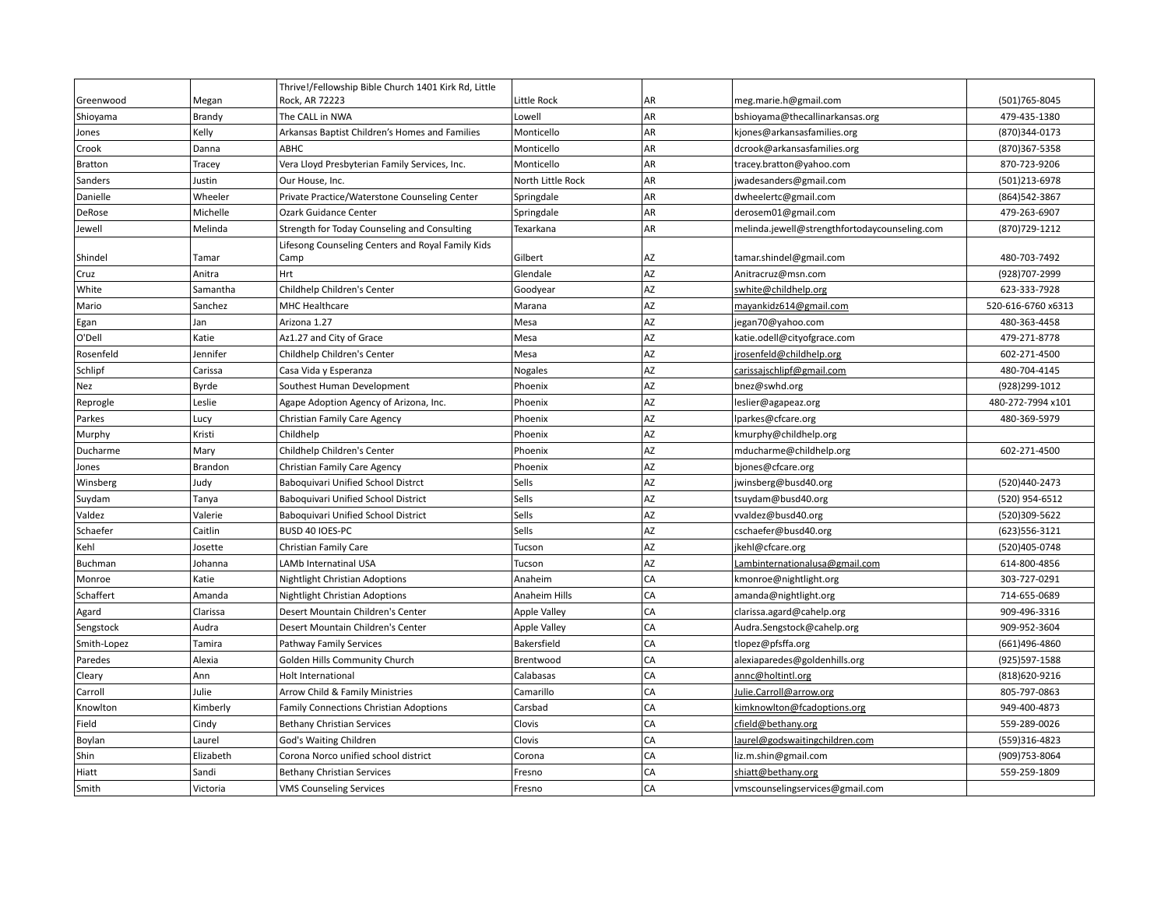|                |           | Thrive!/Fellowship Bible Church 1401 Kirk Rd, Little |                     |           |                                               |                    |
|----------------|-----------|------------------------------------------------------|---------------------|-----------|-----------------------------------------------|--------------------|
| Greenwood      | Megan     | Rock, AR 72223                                       | Little Rock         | AR        | meg.marie.h@gmail.com                         | (501) 765-8045     |
| Shioyama       | Brandy    | The CALL in NWA                                      | Lowell              | AR        | bshioyama@thecallinarkansas.org               | 479-435-1380       |
| Jones          | Kelly     | Arkansas Baptist Children's Homes and Families       | Monticello          | AR        | kjones@arkansasfamilies.org                   | (870)344-0173      |
| Crook          | Danna     | ABHC                                                 | Monticello          | AR        | dcrook@arkansasfamilies.org                   | (870)367-5358      |
| <b>Bratton</b> | Tracey    | Vera Lloyd Presbyterian Family Services, Inc.        | Monticello          | AR        | tracey.bratton@yahoo.com                      | 870-723-9206       |
| Sanders        | Justin    | Our House, Inc.                                      | North Little Rock   | AR        | jwadesanders@gmail.com                        | (501)213-6978      |
| Danielle       | Wheeler   | Private Practice/Waterstone Counseling Center        | Springdale          | AR        | dwheelertc@gmail.com                          | (864) 542-3867     |
| DeRose         | Michelle  | Ozark Guidance Center                                | Springdale          | AR        | derosem01@gmail.com                           | 479-263-6907       |
| Jewell         | Melinda   | Strength for Today Counseling and Consulting         | Texarkana           | AR        | melinda.jewell@strengthfortodaycounseling.com | (870) 729-1212     |
|                |           | Lifesong Counseling Centers and Royal Family Kids    |                     |           |                                               |                    |
| Shindel        | Tamar     | Camp                                                 | Gilbert             | AZ        | tamar.shindel@gmail.com                       | 480-703-7492       |
| Cruz           | Anitra    | Hrt                                                  | Glendale            | AZ        | Anitracruz@msn.com                            | (928)707-2999      |
| White          | Samantha  | Childhelp Children's Center                          | Goodyear            | AZ        | swhite@childhelp.org                          | 623-333-7928       |
| Mario          | Sanchez   | <b>MHC Healthcare</b>                                | Marana              | AZ        | mayankidz614@gmail.com                        | 520-616-6760 x6313 |
| Egan           | Jan       | Arizona 1.27                                         | Mesa                | AZ        | jegan70@yahoo.com                             | 480-363-4458       |
| O'Dell         | Katie     | Az1.27 and City of Grace                             | Mesa                | AZ        | katie.odell@cityofgrace.com                   | 479-271-8778       |
| Rosenfeld      | Jennifer  | Childhelp Children's Center                          | Mesa                | AZ        | jrosenfeld@childhelp.org                      | 602-271-4500       |
| Schlipf        | Carissa   | Casa Vida y Esperanza                                | Nogales             | AZ        | carissajschlipf@gmail.com                     | 480-704-4145       |
| Nez            | Byrde     | Southest Human Development                           | Phoenix             | AZ        | bnez@swhd.org                                 | (928) 299-1012     |
| Reprogle       | Leslie    | Agape Adoption Agency of Arizona, Inc.               | Phoenix             | AZ        | leslier@agapeaz.org                           | 480-272-7994 x101  |
| Parkes         | Lucy      | Christian Family Care Agency                         | Phoenix             | AZ        | lparkes@cfcare.org                            | 480-369-5979       |
| Murphy         | Kristi    | Childhelp                                            | Phoenix             | AZ        | kmurphy@childhelp.org                         |                    |
| Ducharme       | Mary      | Childhelp Children's Center                          | Phoenix             | AZ        | mducharme@childhelp.org                       | 602-271-4500       |
| Jones          | Brandon   | Christian Family Care Agency                         | Phoenix             | AZ        | bjones@cfcare.org                             |                    |
| Winsberg       | Judy      | Baboquivari Unified School Distrct                   | Sells               | AZ        | jwinsberg@busd40.org                          | (520)440-2473      |
| Suydam         | Tanya     | Baboquivari Unified School District                  | Sells               | AZ        | tsuydam@busd40.org                            | (520) 954-6512     |
| Valdez         | Valerie   | Baboquivari Unified School District                  | Sells               | AZ        | vvaldez@busd40.org                            | (520)309-5622      |
| Schaefer       | Caitlin   | BUSD 40 IOES-PC                                      | Sells               | AZ        | cschaefer@busd40.org                          | (623) 556-3121     |
| Kehl           | Josette   | Christian Family Care                                | Tucson              | <b>AZ</b> | jkehl@cfcare.org                              | (520)405-0748      |
| Buchman        | Johanna   | LAMb Internatinal USA                                | Tucson              | AZ        | Lambinternationalusa@gmail.com                | 614-800-4856       |
| Monroe         | Katie     | Nightlight Christian Adoptions                       | Anaheim             | CA        | kmonroe@nightlight.org                        | 303-727-0291       |
| Schaffert      | Amanda    | Nightlight Christian Adoptions                       | Anaheim Hills       | CA        | amanda@nightlight.org                         | 714-655-0689       |
| Agard          | Clarissa  | Desert Mountain Children's Center                    | <b>Apple Valley</b> | CA        | clarissa.agard@cahelp.org                     | 909-496-3316       |
| Sengstock      | Audra     | Desert Mountain Children's Center                    | <b>Apple Valley</b> | CA        | Audra.Sengstock@cahelp.org                    | 909-952-3604       |
| Smith-Lopez    | Tamira    | Pathway Family Services                              | Bakersfield         | CA        | tlopez@pfsffa.org                             | (661)496-4860      |
| Paredes        | Alexia    | Golden Hills Community Church                        | Brentwood           | CA        | alexiaparedes@goldenhills.org                 | (925)597-1588      |
| Cleary         | Ann       | Holt International                                   | Calabasas           | CA        | annc@holtintl.org                             | (818)620-9216      |
| Carroll        | Julie     | Arrow Child & Family Ministries                      | Camarillo           | CA        | Julie.Carroll@arrow.org                       | 805-797-0863       |
| Knowlton       | Kimberly  | <b>Family Connections Christian Adoptions</b>        | Carsbad             | CA        | kimknowlton@fcadoptions.org                   | 949-400-4873       |
| Field          | Cindy     | <b>Bethany Christian Services</b>                    | Clovis              | CA        | cfield@bethany.org                            | 559-289-0026       |
| Boylan         | Laurel    | God's Waiting Children                               | Clovis              | CA        | laurel@godswaitingchildren.com                | (559)316-4823      |
| Shin           | Elizabeth | Corona Norco unified school district                 | Corona              | CA        | liz.m.shin@gmail.com                          | (909) 753-8064     |
| Hiatt          | Sandi     | <b>Bethany Christian Services</b>                    | Fresno              | CA        | shiatt@bethany.org                            | 559-259-1809       |
| Smith          | Victoria  | <b>VMS Counseling Services</b>                       | Fresno              | CA        | vmscounselingservices@gmail.com               |                    |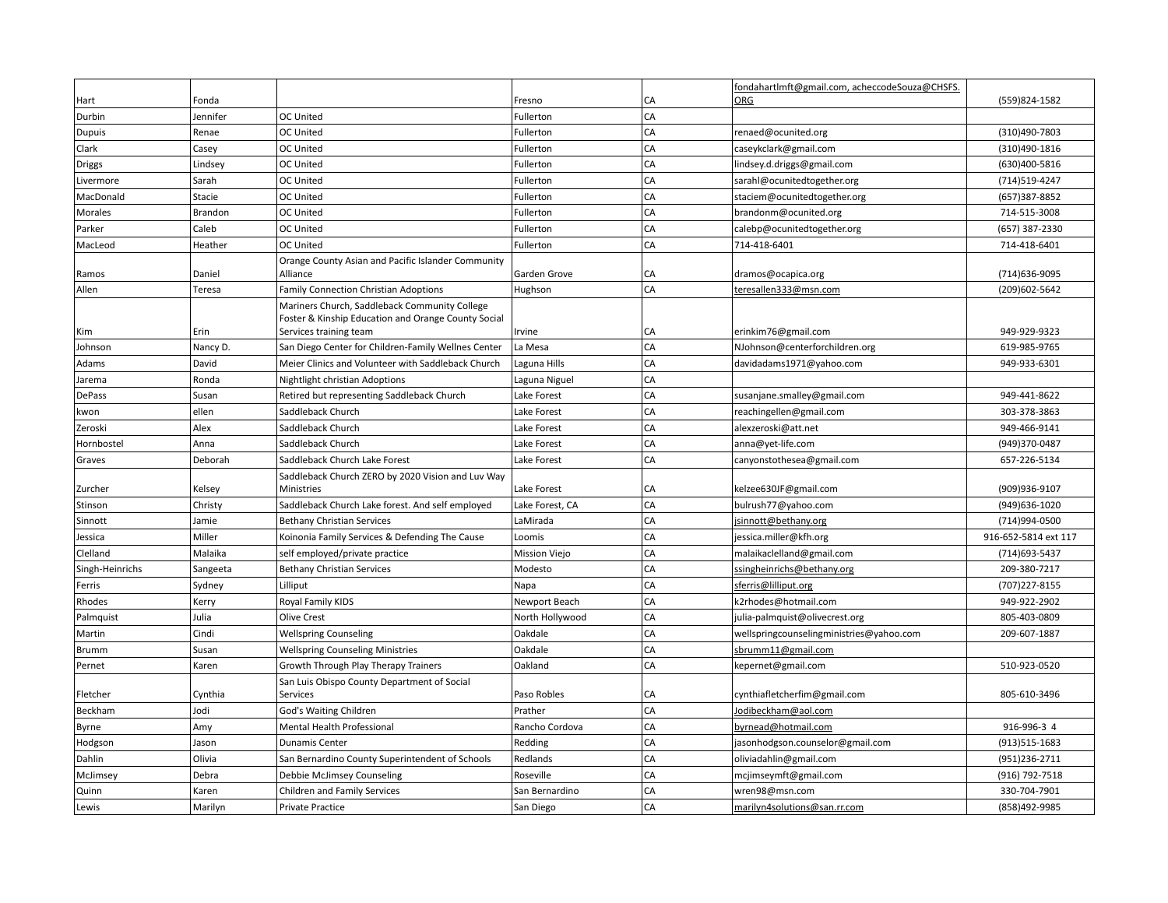|                 |          |                                                                                                      |                 |    | fondahartImft@gmail.com, acheccodeSouza@CHSFS. |                      |
|-----------------|----------|------------------------------------------------------------------------------------------------------|-----------------|----|------------------------------------------------|----------------------|
| Hart            | Fonda    |                                                                                                      | Fresno          | CA | <b>ORG</b>                                     | (559)824-1582        |
| Durbin          | Jennifer | <b>OC United</b>                                                                                     | Fullerton       | CA |                                                |                      |
| Dupuis          | Renae    | OC United                                                                                            | Fullerton       | CA | renaed@ocunited.org                            | (310)490-7803        |
| Clark           | Casey    | OC United                                                                                            | Fullerton       | CA | caseykclark@gmail.com                          | (310)490-1816        |
| Driggs          | Lindsey  | <b>OC United</b>                                                                                     | Fullerton       | CA | lindsey.d.driggs@gmail.com                     | (630)400-5816        |
| Livermore       | Sarah    | OC United                                                                                            | Fullerton       | CA | sarahl@ocunitedtogether.org                    | (714)519-4247        |
| MacDonald       | Stacie   | OC United                                                                                            | Fullerton       | CA | staciem@ocunitedtogether.org                   | (657)387-8852        |
| Morales         | Brandon  | <b>OC United</b>                                                                                     | Fullerton       | CA | brandonm@ocunited.org                          | 714-515-3008         |
| Parker          | Caleb    | <b>OC United</b>                                                                                     | Fullerton       | CA | calebp@ocunitedtogether.org                    | (657) 387-2330       |
| MacLeod         | Heather  | <b>OC United</b>                                                                                     | Fullerton       | CA | 714-418-6401                                   | 714-418-6401         |
| Ramos           | Daniel   | Orange County Asian and Pacific Islander Community<br>Alliance                                       | Garden Grove    | CA | dramos@ocapica.org                             | (714) 636-9095       |
| Allen           | Teresa   | Family Connection Christian Adoptions                                                                | Hughson         | CA | teresallen333@msn.com                          | (209) 602-5642       |
|                 |          | Mariners Church, Saddleback Community College<br>Foster & Kinship Education and Orange County Social |                 |    |                                                |                      |
| Kim             | Erin     | Services training team                                                                               | Irvine          | CA | erinkim76@gmail.com                            | 949-929-9323         |
| Johnson         | Nancy D. | San Diego Center for Children-Family Wellnes Center                                                  | La Mesa         | CA | NJohnson@centerforchildren.org                 | 619-985-9765         |
| Adams           | David    | Meier Clinics and Volunteer with Saddleback Church                                                   | Laguna Hills    | CA | davidadams1971@yahoo.com                       | 949-933-6301         |
| Jarema          | Ronda    | Nightlight christian Adoptions                                                                       | Laguna Niguel   | CA |                                                |                      |
| DePass          | Susan    | Retired but representing Saddleback Church                                                           | Lake Forest     | CA | susanjane.smalley@gmail.com                    | 949-441-8622         |
| kwon            | ellen    | Saddleback Church                                                                                    | Lake Forest     | CA | reachingellen@gmail.com                        | 303-378-3863         |
| Zeroski         | Alex     | Saddleback Church                                                                                    | Lake Forest     | CA | alexzeroski@att.net                            | 949-466-9141         |
| Hornbostel      | Anna     | Saddleback Church                                                                                    | Lake Forest     | CA | anna@yet-life.com                              | (949)370-0487        |
| Graves          | Deborah  | Saddleback Church Lake Forest                                                                        | Lake Forest     | CA | canyonstothesea@gmail.com                      | 657-226-5134         |
| Zurcher         | Kelsey   | Saddleback Church ZERO by 2020 Vision and Luv Way<br>Ministries                                      | Lake Forest     | CA | kelzee630JF@gmail.com                          | (909)936-9107        |
| Stinson         | Christy  | Saddleback Church Lake forest. And self employed                                                     | Lake Forest, CA | CA | bulrush77@yahoo.com                            | (949) 636-1020       |
| Sinnott         | Jamie    | <b>Bethany Christian Services</b>                                                                    | LaMirada        | CA | jsinnott@bethany.org                           | (714)994-0500        |
| Jessica         | Miller   | Koinonia Family Services & Defending The Cause                                                       | Loomis          | CA | jessica.miller@kfh.org                         | 916-652-5814 ext 117 |
| Clelland        | Malaika  | self employed/private practice                                                                       | Mission Viejo   | CA | malaikaclelland@gmail.com                      | (714) 693-5437       |
| Singh-Heinrichs | Sangeeta | <b>Bethany Christian Services</b>                                                                    | Modesto         | CA | ssingheinrichs@bethany.org                     | 209-380-7217         |
| Ferris          | Sydney   | Lilliput                                                                                             | Napa            | CA | sferris@lilliput.org                           | (707) 227-8155       |
| Rhodes          | Kerry    | Royal Family KIDS                                                                                    | Newport Beach   | CA | k2rhodes@hotmail.com                           | 949-922-2902         |
| Palmquist       | Julia    | Olive Crest                                                                                          | North Hollywood | CA | julia-palmquist@olivecrest.org                 | 805-403-0809         |
| Martin          | Cindi    | <b>Wellspring Counseling</b>                                                                         | Oakdale         | CA | wellspringcounselingministries@yahoo.com       | 209-607-1887         |
| <b>Brumm</b>    | Susan    | <b>Wellspring Counseling Ministries</b>                                                              | Oakdale         | CA | sbrumm11@gmail.com                             |                      |
| Pernet          | Karen    | Growth Through Play Therapy Trainers                                                                 | Oakland         | CA | kepernet@gmail.com                             | 510-923-0520         |
| Fletcher        | Cynthia  | San Luis Obispo County Department of Social<br>Services                                              | Paso Robles     | CA | cynthiafletcherfim@gmail.com                   | 805-610-3496         |
| Beckham         | Jodi     | God's Waiting Children                                                                               | Prather         | CA | Jodibeckham@aol.com                            |                      |
| Byrne           | Amy      | Mental Health Professional                                                                           | Rancho Cordova  | CA | byrnead@hotmail.com                            | 916-996-3 4          |
| Hodgson         | Jason    | <b>Dunamis Center</b>                                                                                | Redding         | CA | jasonhodgson.counselor@gmail.com               | (913)515-1683        |
| Dahlin          | Olivia   | San Bernardino County Superintendent of Schools                                                      | Redlands        | CA | oliviadahlin@gmail.com                         | (951)236-2711        |
| McJimsey        | Debra    | Debbie McJimsey Counseling                                                                           | Roseville       | CA | mcjimseymft@gmail.com                          | (916) 792-7518       |
| Quinn           | Karen    | <b>Children and Family Services</b>                                                                  | San Bernardino  | CA | wren98@msn.com                                 | 330-704-7901         |
| Lewis           | Marilyn  | Private Practice                                                                                     | San Diego       | CA | marilyn4solutions@san.rr.com                   | (858)492-9985        |
|                 |          |                                                                                                      |                 |    |                                                |                      |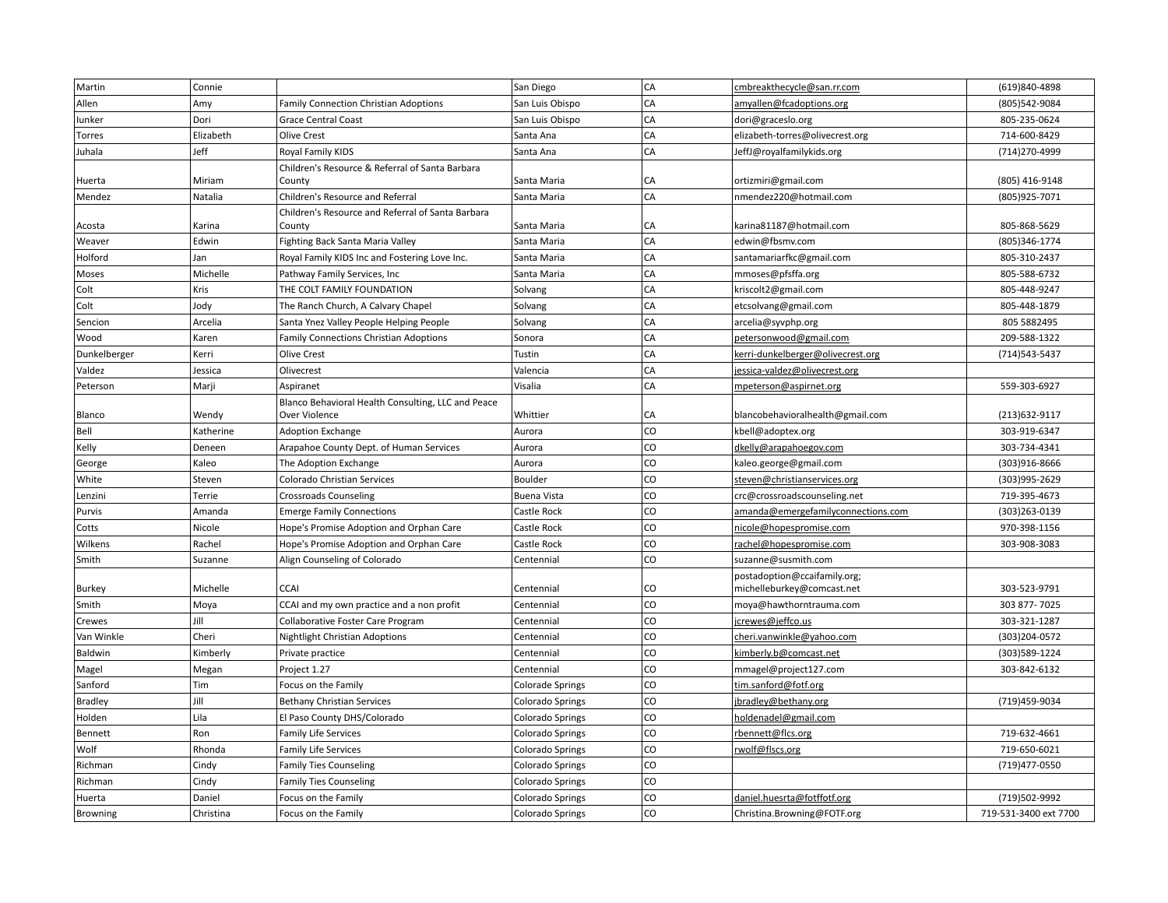| Martin         | Connie    |                                                    | San Diego               | CA | cmbreakthecycle@san.rr.com         | (619)840-4898         |
|----------------|-----------|----------------------------------------------------|-------------------------|----|------------------------------------|-----------------------|
| Allen          | Amy       | Family Connection Christian Adoptions              | San Luis Obispo         | CA | amyallen@fcadoptions.org           | (805)542-9084         |
| lunker         | Dori      | <b>Grace Central Coast</b>                         | San Luis Obispo         | CA | dori@graceslo.org                  | 805-235-0624          |
| Torres         | Elizabeth | Olive Crest                                        | Santa Ana               | CA | elizabeth-torres@olivecrest.org    | 714-600-8429          |
| Juhala         | Jeff      | Royal Family KIDS                                  | Santa Ana               | CA | JeffJ@royalfamilykids.org          | (714) 270-4999        |
|                |           | Children's Resource & Referral of Santa Barbara    |                         |    |                                    |                       |
| Huerta         | Miriam    | County                                             | Santa Maria             | CA | ortizmiri@gmail.com                | (805) 416-9148        |
| Mendez         | Natalia   | Children's Resource and Referral                   | Santa Maria             | CA | nmendez220@hotmail.com             | (805) 925-7071        |
|                |           | Children's Resource and Referral of Santa Barbara  |                         |    |                                    |                       |
| Acosta         | Karina    | County                                             | Santa Maria             | CA | karina81187@hotmail.com            | 805-868-5629          |
| Weaver         | Edwin     | Fighting Back Santa Maria Valley                   | Santa Maria             | CA | edwin@fbsmv.com                    | (805)346-1774         |
| Holford        | Jan       | Royal Family KIDS Inc and Fostering Love Inc.      | Santa Maria             | CA | santamariarfkc@gmail.com           | 805-310-2437          |
| Moses          | Michelle  | Pathway Family Services, Inc                       | Santa Maria             | CA | mmoses@pfsffa.org                  | 805-588-6732          |
| Colt           | Kris      | THE COLT FAMILY FOUNDATION                         | Solvang                 | CA | kriscolt2@gmail.com                | 805-448-9247          |
| Colt           | Jody      | The Ranch Church, A Calvary Chapel                 | Solvang                 | CA | etcsolvang@gmail.com               | 805-448-1879          |
| Sencion        | Arcelia   | Santa Ynez Valley People Helping People            | Solvang                 | CA | arcelia@syvphp.org                 | 805 5882495           |
| Wood           | Karen     | Family Connections Christian Adoptions             | Sonora                  | CA | petersonwood@gmail.com             | 209-588-1322          |
| Dunkelberger   | Kerri     | Olive Crest                                        | Tustin                  | CA | kerri-dunkelberger@olivecrest.org  | (714) 543-5437        |
| Valdez         | Jessica   | Olivecrest                                         | Valencia                | CA | jessica-valdez@olivecrest.org      |                       |
| Peterson       | Marji     | Aspiranet                                          | Visalia                 | CA | mpeterson@aspirnet.org             | 559-303-6927          |
|                |           | Blanco Behavioral Health Consulting, LLC and Peace |                         |    |                                    |                       |
| Blanco         | Wendy     | Over Violence                                      | Whittier                | CA | blancobehavioralhealth@gmail.com   | (213) 632-9117        |
| Bell           | Katherine | <b>Adoption Exchange</b>                           | Aurora                  | CO | kbell@adoptex.org                  | 303-919-6347          |
| Kelly          | Deneen    | Arapahoe County Dept. of Human Services            | Aurora                  | CO | dkelly@arapahoegov.com             | 303-734-4341          |
| George         | Kaleo     | The Adoption Exchange                              | Aurora                  | CO | kaleo.george@gmail.com             | (303)916-8666         |
| White          | Steven    | <b>Colorado Christian Services</b>                 | Boulder                 | CO | steven@christianservices.org       | (303)995-2629         |
| Lenzini        | Terrie    | <b>Crossroads Counseling</b>                       | Buena Vista             | CO | crc@crossroadscounseling.net       | 719-395-4673          |
| Purvis         | Amanda    | <b>Emerge Family Connections</b>                   | Castle Rock             | CO | amanda@emergefamilyconnections.com | (303)263-0139         |
| Cotts          | Nicole    | Hope's Promise Adoption and Orphan Care            | Castle Rock             | CO | nicole@hopespromise.com            | 970-398-1156          |
| Wilkens        | Rachel    | Hope's Promise Adoption and Orphan Care            | Castle Rock             | CO | rachel@hopespromise.com            | 303-908-3083          |
| Smith          | Suzanne   | Align Counseling of Colorado                       | Centennial              | CO | suzanne@susmith.com                |                       |
|                |           |                                                    |                         |    | postadoption@ccaifamily.org;       |                       |
| Burkey         | Michelle  | <b>CCAI</b>                                        | Centennial              | CO | michelleburkey@comcast.net         | 303-523-9791          |
| Smith          | Moya      | CCAI and my own practice and a non profit          | Centennial              | CO | moya@hawthorntrauma.com            | 303 877-7025          |
| Crewes         | Jill      | Collaborative Foster Care Program                  | Centennial              | CO | jcrewes@jeffco.us                  | 303-321-1287          |
| Van Winkle     | Cheri     | Nightlight Christian Adoptions                     | Centennial              | CO | cheri.vanwinkle@yahoo.com          | (303) 204-0572        |
| Baldwin        | Kimberly  | Private practice                                   | Centennial              | CO | kimberly.b@comcast.net             | (303)589-1224         |
| Magel          | Megan     | Project 1.27                                       | Centennial              | CO | mmagel@project127.com              | 303-842-6132          |
| Sanford        | Tim       | Focus on the Family                                | <b>Colorade Springs</b> | CO | tim.sanford@fotf.org               |                       |
| <b>Bradley</b> | Jill      | <b>Bethany Christian Services</b>                  | <b>Colorado Springs</b> | CO | jbradley@bethany.org               | (719)459-9034         |
| Holden         | Lila      | El Paso County DHS/Colorado                        | Colorado Springs        | CO | holdenadel@gmail.com               |                       |
| Bennett        | Ron       | <b>Family Life Services</b>                        | Colorado Springs        | CO | rbennett@flcs.org                  | 719-632-4661          |
| Wolf           | Rhonda    | <b>Family Life Services</b>                        | Colorado Springs        | CO | rwolf@flscs.org                    | 719-650-6021          |
| Richman        | Cindy     | <b>Family Ties Counseling</b>                      | <b>Colorado Springs</b> | CO |                                    | (719) 477-0550        |
| Richman        | Cindy     | <b>Family Ties Counseling</b>                      | Colorado Springs        | CO |                                    |                       |
| Huerta         | Daniel    | Focus on the Family                                | Colorado Springs        | CO | daniel.huesrta@fotffotf.org        | (719)502-9992         |
| Browning       | Christina | Focus on the Family                                | <b>Colorado Springs</b> | CO | Christina.Browning@FOTF.org        | 719-531-3400 ext 7700 |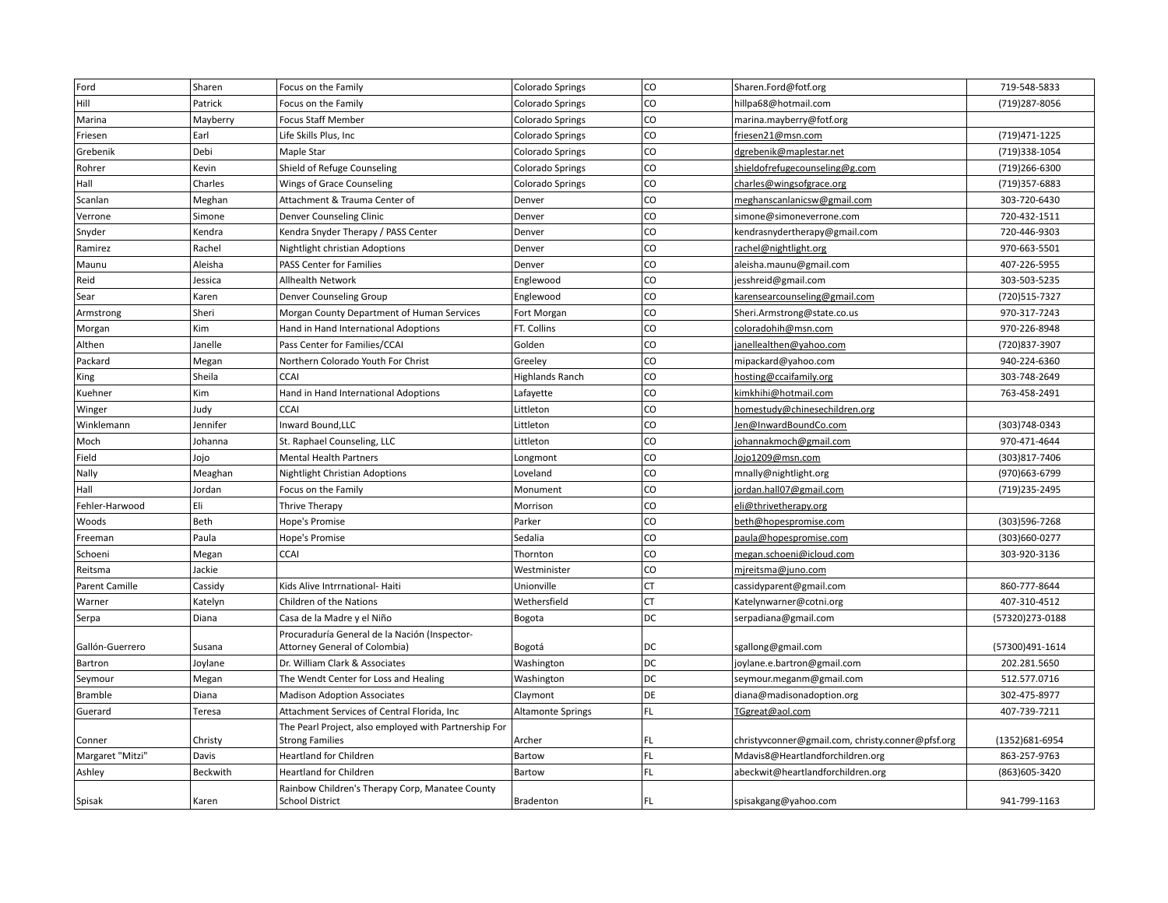| Ford             | Sharen   | Focus on the Family                                   | Colorado Springs         | CO        | Sharen.Ford@fotf.org                              | 719-548-5833    |
|------------------|----------|-------------------------------------------------------|--------------------------|-----------|---------------------------------------------------|-----------------|
| Hill             | Patrick  | Focus on the Family                                   | <b>Colorado Springs</b>  | CO        | hillpa68@hotmail.com                              | (719) 287-8056  |
| Marina           | Mayberry | <b>Focus Staff Member</b>                             | <b>Colorado Springs</b>  | CO        | marina.mayberry@fotf.org                          |                 |
| Friesen          | Earl     | Life Skills Plus, Inc                                 | Colorado Springs         | CO        | friesen21@msn.com                                 | (719) 471-1225  |
| Grebenik         | Debi     | Maple Star                                            | <b>Colorado Springs</b>  | CO        | dgrebenik@maplestar.net                           | (719)338-1054   |
| Rohrer           | Kevin    | Shield of Refuge Counseling                           | Colorado Springs         | CO        | shieldofrefugecounseling@g.com                    | (719)266-6300   |
| Hall             | Charles  | Wings of Grace Counseling                             | Colorado Springs         | CO        | charles@wingsofgrace.org                          | (719)357-6883   |
| Scanlan          | Meghan   | Attachment & Trauma Center of                         | Denver                   | CO        | meghanscanlanicsw@gmail.com                       | 303-720-6430    |
| Verrone          | Simone   | Denver Counseling Clinic                              | Denver                   | CO        | simone@simoneverrone.com                          | 720-432-1511    |
| Snyder           | Kendra   | Kendra Snyder Therapy / PASS Center                   | Denver                   | CO        | kendrasnydertherapy@gmail.com                     | 720-446-9303    |
| Ramirez          | Rachel   | Nightlight christian Adoptions                        | Denver                   | CO        | rachel@nightlight.org                             | 970-663-5501    |
| Maunu            | Aleisha  | PASS Center for Families                              | Denver                   | CO        | aleisha.maunu@gmail.com                           | 407-226-5955    |
| Reid             | Jessica  | <b>Allhealth Network</b>                              | Englewood                | CO        | jesshreid@gmail.com                               | 303-503-5235    |
| Sear             | Karen    | Denver Counseling Group                               | Englewood                | CO        | karensearcounseling@gmail.com                     | (720) 515-7327  |
| Armstrong        | Sheri    | Morgan County Department of Human Services            | Fort Morgan              | CO        | Sheri.Armstrong@state.co.us                       | 970-317-7243    |
| Morgan           | Kim      | Hand in Hand International Adoptions                  | FT. Collins              | CO        | coloradohih@msn.com                               | 970-226-8948    |
| Althen           | Janelle  | Pass Center for Families/CCAI                         | Golden                   | CO        | janellealthen@yahoo.com                           | (720) 837-3907  |
| Packard          | Megan    | Northern Colorado Youth For Christ                    | Greeley                  | CO        | mipackard@yahoo.com                               | 940-224-6360    |
| King             | Sheila   | <b>CCAI</b>                                           | <b>Highlands Ranch</b>   | CO        | hosting@ccaifamily.org                            | 303-748-2649    |
| Kuehner          | Kim      | Hand in Hand International Adoptions                  | Lafayette                | CO        | kimkhihi@hotmail.com                              | 763-458-2491    |
| Winger           | Judy     | <b>CCAI</b>                                           | Littleton                | CO        | homestudy@chinesechildren.org                     |                 |
| Winklemann       | Jennifer | Inward Bound, LLC                                     | Littleton                | CO        | Jen@InwardBoundCo.com                             | (303)748-0343   |
| Moch             | Johanna  | St. Raphael Counseling, LLC                           | Littleton                | CO        | johannakmoch@gmail.com                            | 970-471-4644    |
| Field            | Jojo     | <b>Mental Health Partners</b>                         | Longmont                 | CO        | Jojo1209@msn.com                                  | (303)817-7406   |
| Nally            | Meaghan  | <b>Nightlight Christian Adoptions</b>                 | Loveland                 | CO        | mnally@nightlight.org                             | (970) 663-6799  |
| Hall             | Jordan   | Focus on the Family                                   | Monument                 | CO        | jordan.hall07@gmail.com                           | (719)235-2495   |
| Fehler-Harwood   | Eli      | <b>Thrive Therapy</b>                                 | Morrison                 | CO        | eli@thrivetherapy.org                             |                 |
| Woods            | Beth     | Hope's Promise                                        | Parker                   | CO        | beth@hopespromise.com                             | (303)596-7268   |
| Freeman          | Paula    | Hope's Promise                                        | Sedalia                  | CO        | paula@hopespromise.com                            | (303)660-0277   |
| Schoeni          | Megan    | <b>CCAI</b>                                           | Thornton                 | CO        | megan.schoeni@icloud.com                          | 303-920-3136    |
| Reitsma          | Jackie   |                                                       | Westminister             | CO        | mireitsma@juno.com                                |                 |
| Parent Camille   | Cassidy  | Kids Alive Intrrnational- Haiti                       | Unionville               | CT        | cassidyparent@gmail.com                           | 860-777-8644    |
| Warner           | Katelyn  | Children of the Nations                               | Wethersfield             | <b>CT</b> | Katelynwarner@cotni.org                           | 407-310-4512    |
| Serpa            | Diana    | Casa de la Madre y el Niño                            | Bogota                   | DC        | serpadiana@gmail.com                              | (57320)273-0188 |
|                  |          | Procuraduría General de la Nación (Inspector-         |                          |           |                                                   |                 |
| Gallón-Guerrero  | Susana   | Attorney General of Colombia)                         | Bogotá                   | DC        | sgallong@gmail.com                                | (57300)491-1614 |
| Bartron          | Joylane  | Dr. William Clark & Associates                        | Washington               | DC        | joylane.e.bartron@gmail.com                       | 202.281.5650    |
| Seymour          | Megan    | The Wendt Center for Loss and Healing                 | Washington               | DC        | seymour.meganm@gmail.com                          | 512.577.0716    |
| Bramble          | Diana    | <b>Madison Adoption Associates</b>                    | Claymont                 | DE        | diana@madisonadoption.org                         | 302-475-8977    |
| Guerard          | Teresa   | Attachment Services of Central Florida, Inc           | <b>Altamonte Springs</b> | FL.       | TGgreat@aol.com                                   | 407-739-7211    |
|                  |          | The Pearl Project, also employed with Partnership For |                          |           |                                                   |                 |
| Conner           | Christy  | <b>Strong Families</b>                                | Archer                   | FL        | christyvconner@gmail.com, christy.conner@pfsf.org | (1352) 681-6954 |
| Margaret "Mitzi" | Davis    | <b>Heartland for Children</b>                         | Bartow                   | FL.       | Mdavis8@Heartlandforchildren.org                  | 863-257-9763    |
| Ashley           | Beckwith | <b>Heartland for Children</b>                         | Bartow                   | FL.       | abeckwit@heartlandforchildren.org                 | (863) 605-3420  |
|                  |          | Rainbow Children's Therapy Corp, Manatee County       |                          | FL        |                                                   | 941-799-1163    |
| Spisak           | Karen    | <b>School District</b>                                | Bradenton                |           | spisakgang@yahoo.com                              |                 |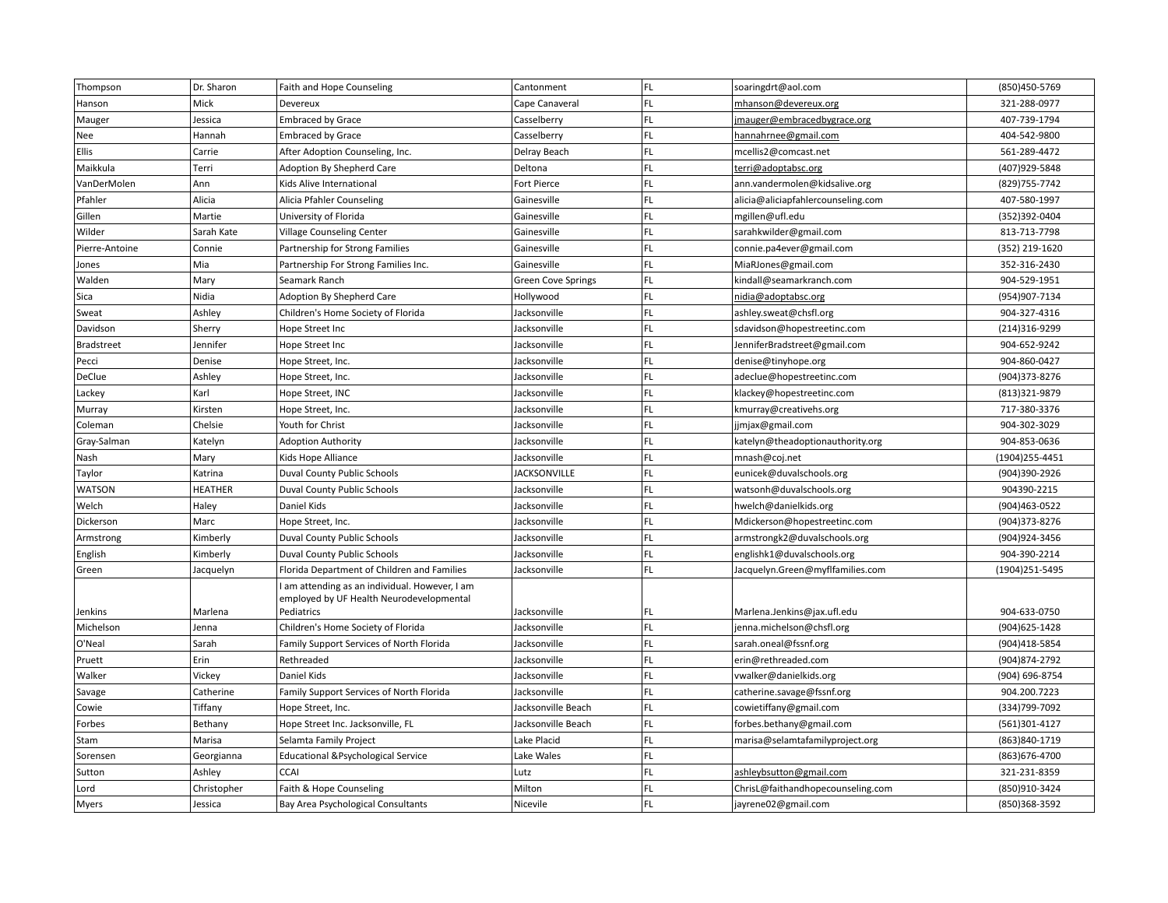| Thompson          | Dr. Sharon     | Faith and Hope Counseling                      | Cantonment                | FL  | soaringdrt@aol.com                 | (850)450-5769  |
|-------------------|----------------|------------------------------------------------|---------------------------|-----|------------------------------------|----------------|
| Hanson            | Mick           | Devereux                                       | Cape Canaveral            | FL. | mhanson@devereux.org               | 321-288-0977   |
| Mauger            | Jessica        | <b>Embraced by Grace</b>                       | Casselberry               | FL. | jmauger@embracedbygrace.org        | 407-739-1794   |
| Nee               | Hannah         | <b>Embraced by Grace</b>                       | Casselberry               | FL. | hannahrnee@gmail.com               | 404-542-9800   |
| Ellis             | Carrie         | After Adoption Counseling, Inc.                | Delray Beach              | FL. | mcellis2@comcast.net               | 561-289-4472   |
| Maikkula          | Terri          | Adoption By Shepherd Care                      | Deltona                   | FL. | terri@adoptabsc.org                | (407)929-5848  |
| VanDerMolen       | Ann            | Kids Alive International                       | Fort Pierce               | FL. | ann.vandermolen@kidsalive.org      | (829) 755-7742 |
| Pfahler           | Alicia         | Alicia Pfahler Counseling                      | Gainesville               | FL. | alicia@aliciapfahlercounseling.com | 407-580-1997   |
| Gillen            | Martie         | University of Florida                          | Gainesville               | FL  | mgillen@ufl.edu                    | (352)392-0404  |
| Wilder            | Sarah Kate     | <b>Village Counseling Center</b>               | Gainesville               | FL. | sarahkwilder@gmail.com             | 813-713-7798   |
| Pierre-Antoine    | Connie         | Partnership for Strong Families                | Gainesville               | FL  | connie.pa4ever@gmail.com           | (352) 219-1620 |
| Jones             | Mia            | Partnership For Strong Families Inc.           | Gainesville               | FL. | MiaRJones@gmail.com                | 352-316-2430   |
| Walden            | Mary           | Seamark Ranch                                  | <b>Green Cove Springs</b> | FL. | kindall@seamarkranch.com           | 904-529-1951   |
| Sica              | Nidia          | Adoption By Shepherd Care                      | Hollywood                 | FL  | nidia@adoptabsc.org                | (954) 907-7134 |
| Sweat             | Ashley         | Children's Home Society of Florida             | Jacksonville              | FL. | ashley.sweat@chsfl.org             | 904-327-4316   |
| Davidson          | Sherry         | Hope Street Inc                                | Jacksonville              | FL. | sdavidson@hopestreetinc.com        | (214)316-9299  |
| <b>Bradstreet</b> | Jennifer       | Hope Street Inc                                | Jacksonville              | FL  | JenniferBradstreet@gmail.com       | 904-652-9242   |
| Pecci             | Denise         | Hope Street, Inc.                              | Jacksonville              | FL  | denise@tinyhope.org                | 904-860-0427   |
| DeClue            | Ashley         | Hope Street, Inc.                              | Jacksonville              | FL. | adeclue@hopestreetinc.com          | (904)373-8276  |
| Lackey            | Karl           | Hope Street, INC                               | Jacksonville              | FL  | klackey@hopestreetinc.com          | (813)321-9879  |
| Murray            | Kirsten        | Hope Street, Inc.                              | Jacksonville              | FL. | kmurray@creativehs.org             | 717-380-3376   |
| Coleman           | Chelsie        | Youth for Christ                               | Jacksonville              | FL. | jjmjax@gmail.com                   | 904-302-3029   |
| Gray-Salman       | Katelyn        | <b>Adoption Authority</b>                      | Jacksonville              | FL. | katelyn@theadoptionauthority.org   | 904-853-0636   |
| Nash              | Mary           | Kids Hope Alliance                             | Jacksonville              | FL. | mnash@coj.net                      | (1904)255-4451 |
| Taylor            | Katrina        | Duval County Public Schools                    | <b>JACKSONVILLE</b>       | FL  | eunicek@duvalschools.org           | (904)390-2926  |
| <b>WATSON</b>     | <b>HEATHER</b> | Duval County Public Schools                    | Jacksonville              | FL. | watsonh@duvalschools.org           | 904390-2215    |
| Welch             | Haley          | Daniel Kids                                    | Jacksonville              | FL. | hwelch@danielkids.org              | (904)463-0522  |
| Dickerson         | Marc           | Hope Street, Inc.                              | Jacksonville              | FL. | Mdickerson@hopestreetinc.com       | (904)373-8276  |
| Armstrong         | Kimberly       | Duval County Public Schools                    | Jacksonville              | FL. | armstrongk2@duvalschools.org       | (904)924-3456  |
| English           | Kimberly       | Duval County Public Schools                    | Jacksonville              | FL. | englishk1@duvalschools.org         | 904-390-2214   |
| Green             | Jacquelyn      | Florida Department of Children and Families    | Jacksonville              | FL. | Jacquelyn.Green@myflfamilies.com   | (1904)251-5495 |
|                   |                | I am attending as an individual. However, I am |                           |     |                                    |                |
|                   |                | employed by UF Health Neurodevelopmental       |                           |     |                                    |                |
| Jenkins           | Marlena        | Pediatrics                                     | Jacksonville              | FL. | Marlena.Jenkins@jax.ufl.edu        | 904-633-0750   |
| Michelson         | Jenna          | Children's Home Society of Florida             | Jacksonville              | FL. | jenna.michelson@chsfl.org          | (904) 625-1428 |
| O'Neal            | Sarah          | Family Support Services of North Florida       | Jacksonville              | FL. | sarah.oneal@fssnf.org              | (904)418-5854  |
| Pruett            | Erin           | Rethreaded                                     | Jacksonville              | FL. | erin@rethreaded.com                | (904) 874-2792 |
| Walker            | Vickey         | Daniel Kids                                    | Jacksonville              | FL. | vwalker@danielkids.org             | (904) 696-8754 |
| Savage            | Catherine      | Family Support Services of North Florida       | Jacksonville              | FL. | catherine.savage@fssnf.org         | 904.200.7223   |
| Cowie             | Tiffany        | Hope Street, Inc.                              | Jacksonville Beach        | FL  | cowietiffany@gmail.com             | (334) 799-7092 |
| Forbes            | Bethany        | Hope Street Inc. Jacksonville, FL              | Jacksonville Beach        | FL. | forbes.bethany@gmail.com           | (561)301-4127  |
| Stam              | Marisa         | Selamta Family Project                         | Lake Placid               | FL. | marisa@selamtafamilyproject.org    | (863) 840-1719 |
| Sorensen          | Georgianna     | <b>Educational &amp;Psychological Service</b>  | Lake Wales                | FL. |                                    | (863) 676-4700 |
| Sutton            | Ashley         | <b>CCAI</b>                                    | Lutz                      | FL  | ashleybsutton@gmail.com            | 321-231-8359   |
| Lord              | Christopher    | Faith & Hope Counseling                        | Milton                    | FL. | ChrisL@faithandhopecounseling.com  | (850)910-3424  |
| <b>Myers</b>      | Jessica        | Bay Area Psychological Consultants             | Nicevile                  | FL  | jayrene02@gmail.com                | (850)368-3592  |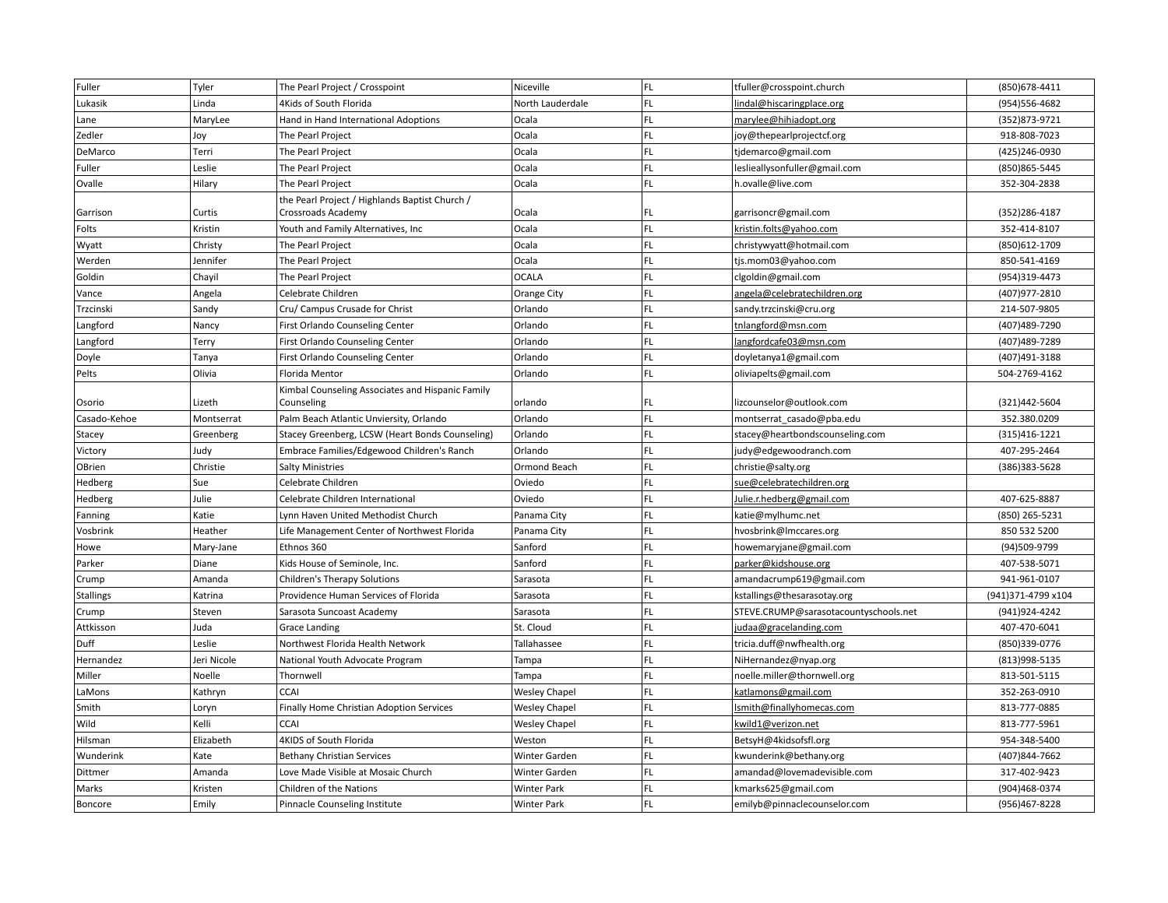| Fuller       | Tyler       | The Pearl Project / Crosspoint                   | Niceville            | FL. | tfuller@crosspoint.church             | (850) 678-4411     |
|--------------|-------------|--------------------------------------------------|----------------------|-----|---------------------------------------|--------------------|
| Lukasik      | Linda       | 4Kids of South Florida                           | North Lauderdale     | FL. | lindal@hiscaringplace.org             | (954)556-4682      |
| Lane         | MaryLee     | Hand in Hand International Adoptions             | Ocala                | FL. | marylee@hihiadopt.org                 | (352)873-9721      |
| Zedler       | Joy         | The Pearl Project                                | Ocala                | FL. | joy@thepearlprojectcf.org             | 918-808-7023       |
| DeMarco      | Terri       | The Pearl Project                                | Ocala                | FL. | tjdemarco@gmail.com                   | (425)246-0930      |
| Fuller       | Leslie      | The Pearl Project                                | Ocala                | FL. | leslieallysonfuller@gmail.com         | (850) 865-5445     |
| Ovalle       | Hilary      | The Pearl Project                                | Ocala                | FL. | h.ovalle@live.com                     | 352-304-2838       |
|              |             | the Pearl Project / Highlands Baptist Church /   |                      |     |                                       |                    |
| Garrison     | Curtis      | Crossroads Academy                               | Ocala                | FL. | garrisoncr@gmail.com                  | (352)286-4187      |
| Folts        | Kristin     | Youth and Family Alternatives, Inc               | Ocala                | FL. | kristin.folts@yahoo.com               | 352-414-8107       |
| Wyatt        | Christy     | The Pearl Project                                | Ocala                | FL. | christywyatt@hotmail.com              | (850)612-1709      |
| Werden       | Jennifer    | The Pearl Project                                | Ocala                | FL. | tjs.mom03@yahoo.com                   | 850-541-4169       |
| Goldin       | Chayil      | The Pearl Project                                | <b>OCALA</b>         | FL. | clgoldin@gmail.com                    | (954)319-4473      |
| Vance        | Angela      | Celebrate Children                               | <b>Orange City</b>   | FL. | angela@celebratechildren.org          | (407) 977-2810     |
| Trzcinski    | Sandy       | Cru/ Campus Crusade for Christ                   | Orlando              | FL. | sandy.trzcinski@cru.org               | 214-507-9805       |
| Langford     | Nancy       | First Orlando Counseling Center                  | Orlando              | FL. | tnlangford@msn.com                    | (407)489-7290      |
| Langford     | Terry       | First Orlando Counseling Center                  | Orlando              | FL. | langfordcafe03@msn.com                | (407) 489-7289     |
| Doyle        | Tanya       | First Orlando Counseling Center                  | Orlando              | FL. | doyletanya1@gmail.com                 | (407)491-3188      |
| Pelts        | Olivia      | Florida Mentor                                   | Orlando              | FL. | oliviapelts@gmail.com                 | 504-2769-4162      |
|              |             | Kimbal Counseling Associates and Hispanic Family |                      |     |                                       |                    |
| Osorio       | Lizeth      | Counseling                                       | orlando              | FL  | lizcounselor@outlook.com              | (321)442-5604      |
| Casado-Kehoe | Montserrat  | Palm Beach Atlantic Unviersity, Orlando          | Orlando              | FL. | montserrat casado@pba.edu             | 352.380.0209       |
| Stacey       | Greenberg   | Stacey Greenberg, LCSW (Heart Bonds Counseling)  | Orlando              | FL. | stacey@heartbondscounseling.com       | (315) 416-1221     |
| Victory      | Judy        | Embrace Families/Edgewood Children's Ranch       | Orlando              | FL. | judy@edgewoodranch.com                | 407-295-2464       |
| OBrien       | Christie    | <b>Salty Ministries</b>                          | Ormond Beach         | FL. | christie@salty.org                    | (386)383-5628      |
| Hedberg      | Sue         | Celebrate Children                               | Oviedo               | FL. | sue@celebratechildren.org             |                    |
| Hedberg      | Julie       | Celebrate Children International                 | Oviedo               | FL. | <u>Julie.r.hedberg@gmail.com</u>      | 407-625-8887       |
| Fanning      | Katie       | Lynn Haven United Methodist Church               | Panama City          | FL. | katie@mylhumc.net                     | (850) 265-5231     |
| Vosbrink     | Heather     | Life Management Center of Northwest Florida      | Panama City          | FL. | hvosbrink@Imccares.org                | 850 532 5200       |
| Howe         | Mary-Jane   | Ethnos 360                                       | Sanford              | FL. | howemaryjane@gmail.com                | (94)509-9799       |
| Parker       | Diane       | Kids House of Seminole, Inc.                     | Sanford              | FL. | parker@kidshouse.org                  | 407-538-5071       |
| Crump        | Amanda      | Children's Therapy Solutions                     | Sarasota             | FL. | amandacrump619@gmail.com              | 941-961-0107       |
| Stallings    | Katrina     | Providence Human Services of Florida             | Sarasota             | FL. | kstallings@thesarasotay.org           | (941)371-4799 x104 |
| Crump        | Steven      | Sarasota Suncoast Academy                        | Sarasota             | FL. | STEVE.CRUMP@sarasotacountyschools.net | (941) 924-4242     |
| Attkisson    | Juda        | <b>Grace Landing</b>                             | St. Cloud            | FL. | judaa@gracelanding.com                | 407-470-6041       |
| Duff         | Leslie      | Northwest Florida Health Network                 | Tallahassee          | FL. | tricia.duff@nwfhealth.org             | (850)339-0776      |
| Hernandez    | Jeri Nicole | National Youth Advocate Program                  | Tampa                | FL. | NiHernandez@nyap.org                  | (813) 998-5135     |
| Miller       | Noelle      | Thornwell                                        | Tampa                | FL. | noelle.miller@thornwell.org           | 813-501-5115       |
| LaMons       | Kathryn     | <b>CCAI</b>                                      | <b>Wesley Chapel</b> | FL. | katlamons@gmail.com                   | 352-263-0910       |
| Smith        | Loryn       | Finally Home Christian Adoption Services         | <b>Wesley Chapel</b> | FL. | Ismith@finallyhomecas.com             | 813-777-0885       |
| Wild         | Kelli       | <b>CCAI</b>                                      | <b>Wesley Chapel</b> | FL. | kwild1@verizon.net                    | 813-777-5961       |
| Hilsman      | Elizabeth   | 4KIDS of South Florida                           | Weston               | FL. | BetsyH@4kidsofsfl.org                 | 954-348-5400       |
| Wunderink    | Kate        | <b>Bethany Christian Services</b>                | <b>Winter Garden</b> | FL. | kwunderink@bethany.org                | (407)844-7662      |
| Dittmer      | Amanda      | Love Made Visible at Mosaic Church               | <b>Winter Garden</b> | FL. | amandad@lovemadevisible.com           | 317-402-9423       |
| Marks        | Kristen     | Children of the Nations                          | Winter Park          | FL. | kmarks625@gmail.com                   | (904)468-0374      |
| Boncore      | Emily       | Pinnacle Counseling Institute                    | <b>Winter Park</b>   | FL. | emilyb@pinnaclecounselor.com          | (956)467-8228      |
|              |             |                                                  |                      |     |                                       |                    |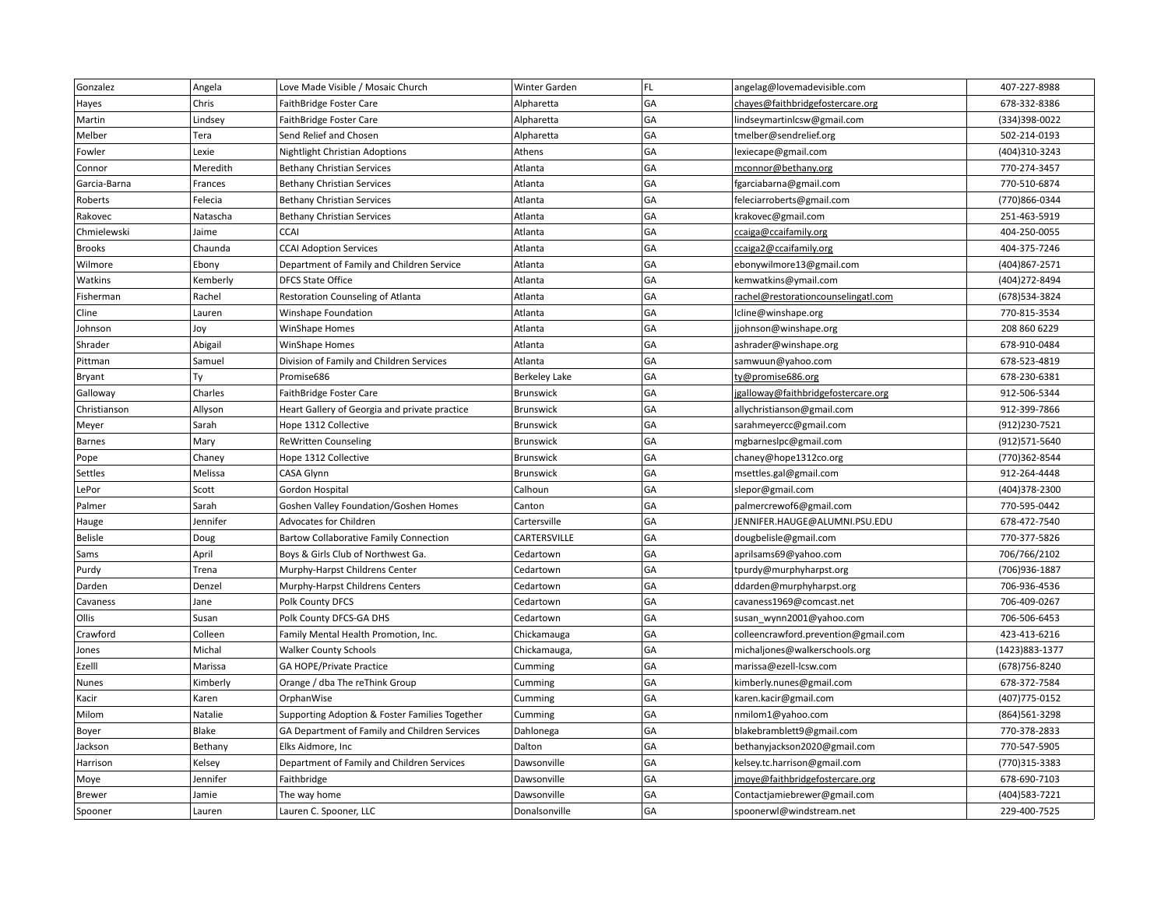| Gonzalez      | Angela   | Love Made Visible / Mosaic Church              | Winter Garden        | FL. | angelag@lovemadevisible.com          | 407-227-8988    |
|---------------|----------|------------------------------------------------|----------------------|-----|--------------------------------------|-----------------|
| Hayes         | Chris    | FaithBridge Foster Care                        | Alpharetta           | GA  | chayes@faithbridgefostercare.org     | 678-332-8386    |
| Martin        | Lindsey  | FaithBridge Foster Care                        | Alpharetta           | GA  | lindseymartinlcsw@gmail.com          | (334)398-0022   |
| Melber        | Tera     | Send Relief and Chosen                         | Alpharetta           | GA  | tmelber@sendrelief.org               | 502-214-0193    |
| Fowler        | Lexie    | Nightlight Christian Adoptions                 | Athens               | GA  | lexiecape@gmail.com                  | (404)310-3243   |
| Connor        | Meredith | <b>Bethany Christian Services</b>              | Atlanta              | GA  | mconnor@bethany.org                  | 770-274-3457    |
| Garcia-Barna  | Frances  | <b>Bethany Christian Services</b>              | Atlanta              | GA  | fgarciabarna@gmail.com               | 770-510-6874    |
| Roberts       | Felecia  | <b>Bethany Christian Services</b>              | Atlanta              | GA  | feleciarroberts@gmail.com            | (770)866-0344   |
| Rakovec       | Natascha | <b>Bethany Christian Services</b>              | Atlanta              | GA  | krakovec@gmail.com                   | 251-463-5919    |
| Chmielewski   | Jaime    | <b>CCAI</b>                                    | Atlanta              | GA  | ccaiga@ccaifamily.org                | 404-250-0055    |
| Brooks        | Chaunda  | <b>CCAI Adoption Services</b>                  | Atlanta              | GA  | ccaiga2@ccaifamily.org               | 404-375-7246    |
| Wilmore       | Ebony    | Department of Family and Children Service      | Atlanta              | GA  | ebonywilmore13@gmail.com             | (404) 867-2571  |
| Watkins       | Kemberly | <b>DFCS State Office</b>                       | Atlanta              | GA  | kemwatkins@ymail.com                 | (404) 272-8494  |
| Fisherman     | Rachel   | Restoration Counseling of Atlanta              | Atlanta              | GA  | rachel@restorationcounselingatl.com  | (678)534-3824   |
| Cline         | Lauren   | Winshape Foundation                            | Atlanta              | GA  | lcline@winshape.org                  | 770-815-3534    |
| Johnson       | Joy      | WinShape Homes                                 | Atlanta              | GA  | jjohnson@winshape.org                | 208 860 6229    |
| Shrader       | Abigail  | WinShape Homes                                 | Atlanta              | GA  | ashrader@winshape.org                | 678-910-0484    |
| Pittman       | Samuel   | Division of Family and Children Services       | Atlanta              | GA  | samwuun@yahoo.com                    | 678-523-4819    |
| Bryant        | Ty       | Promise686                                     | <b>Berkeley Lake</b> | GA  | ty@promise686.org                    | 678-230-6381    |
| Galloway      | Charles  | FaithBridge Foster Care                        | Brunswick            | GA  | jgalloway@faithbridgefostercare.org  | 912-506-5344    |
| Christianson  | Allyson  | Heart Gallery of Georgia and private practice  | Brunswick            | GA  | allychristianson@gmail.com           | 912-399-7866    |
| Meyer         | Sarah    | Hope 1312 Collective                           | Brunswick            | GA  | sarahmeyercc@gmail.com               | (912) 230-7521  |
| <b>Barnes</b> | Mary     | <b>ReWritten Counseling</b>                    | <b>Brunswick</b>     | GA  | mgbarneslpc@gmail.com                | (912)571-5640   |
| Pope          | Chaney   | Hope 1312 Collective                           | Brunswick            | GA  | chaney@hope1312co.org                | (770)362-8544   |
| Settles       | Melissa  | CASA Glynn                                     | Brunswick            | GA  | msettles.gal@gmail.com               | 912-264-4448    |
| LePor         | Scott    | Gordon Hospital                                | Calhoun              | GA  | slepor@gmail.com                     | (404)378-2300   |
| Palmer        | Sarah    | Goshen Valley Foundation/Goshen Homes          | Canton               | GA  | palmercrewof6@gmail.com              | 770-595-0442    |
| Hauge         | Jennifer | <b>Advocates for Children</b>                  | Cartersville         | GA  | JENNIFER.HAUGE@ALUMNI.PSU.EDU        | 678-472-7540    |
| Belisle       | Doug     | <b>Bartow Collaborative Family Connection</b>  | CARTERSVILLE         | GA  | dougbelisle@gmail.com                | 770-377-5826    |
| Sams          | April    | Boys & Girls Club of Northwest Ga.             | Cedartown            | GA  | aprilsams69@yahoo.com                | 706/766/2102    |
| Purdy         | Trena    | Murphy-Harpst Childrens Center                 | Cedartown            | GA  | tpurdy@murphyharpst.org              | (706)936-1887   |
| Darden        | Denzel   | Murphy-Harpst Childrens Centers                | Cedartown            | GA  | ddarden@murphyharpst.org             | 706-936-4536    |
| Cavaness      | Jane     | Polk County DFCS                               | Cedartown            | GA  | cavaness1969@comcast.net             | 706-409-0267    |
| Ollis         | Susan    | Polk County DFCS-GA DHS                        | Cedartown            | GA  | susan_wynn2001@yahoo.com             | 706-506-6453    |
| Crawford      | Colleen  | Family Mental Health Promotion, Inc.           | Chickamauga          | GA  | colleencrawford.prevention@gmail.com | 423-413-6216    |
| Jones         | Michal   | <b>Walker County Schools</b>                   | Chickamauga,         | GA  | michaljones@walkerschools.org        | (1423) 883-1377 |
| Ezelll        | Marissa  | <b>GA HOPE/Private Practice</b>                | Cumming              | GA  | marissa@ezell-lcsw.com               | (678) 756-8240  |
| Nunes         | Kimberly | Orange / dba The reThink Group                 | Cumming              | GA  | kimberly.nunes@gmail.com             | 678-372-7584    |
| Kacir         | Karen    | OrphanWise                                     | Cumming              | GA  | karen.kacir@gmail.com                | (407) 775-0152  |
| Milom         | Natalie  | Supporting Adoption & Foster Families Together | Cumming              | GA  | nmilom1@yahoo.com                    | (864) 561-3298  |
| Boyer         | Blake    | GA Department of Family and Children Services  | Dahlonega            | GA  | blakebramblett9@gmail.com            | 770-378-2833    |
| Jackson       | Bethany  | Elks Aidmore, Inc                              | Dalton               | GA  | bethanyjackson2020@gmail.com         | 770-547-5905    |
| Harrison      | Kelsey   | Department of Family and Children Services     | Dawsonville          | GA  | kelsey.tc.harrison@gmail.com         | (770)315-3383   |
| Moye          | Jennifer | Faithbridge                                    | Dawsonville          | GA  | jmoye@faithbridgefostercare.org      | 678-690-7103    |
| <b>Brewer</b> | Jamie    | The way home                                   | Dawsonville          | GA  | Contactjamiebrewer@gmail.com         | (404) 583-7221  |
| Spooner       | Lauren   | Lauren C. Spooner, LLC                         | Donalsonville        | GA  | spoonerwl@windstream.net             | 229-400-7525    |
|               |          |                                                |                      |     |                                      |                 |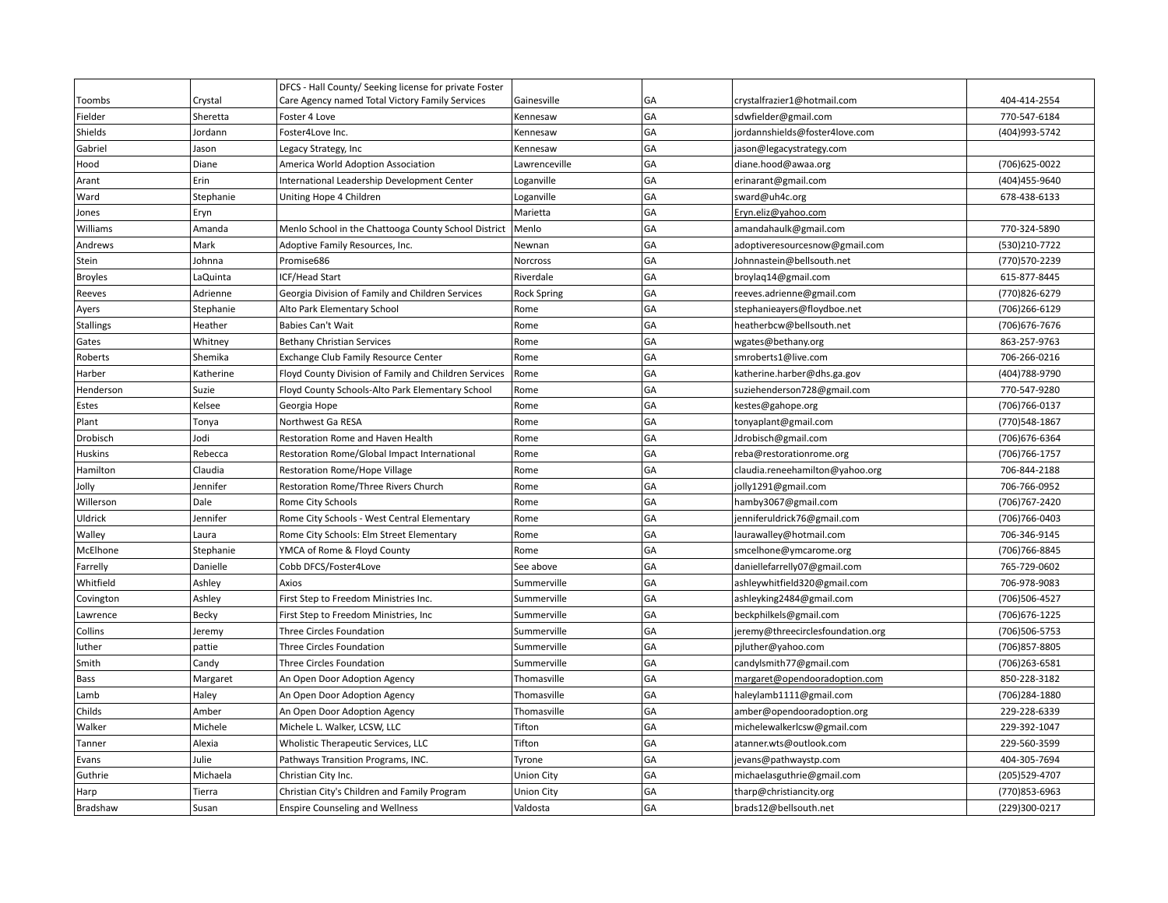|                 |           | DFCS - Hall County/ Seeking license for private Foster |                    |    |                                      |                |
|-----------------|-----------|--------------------------------------------------------|--------------------|----|--------------------------------------|----------------|
| Toombs          | Crystal   | Care Agency named Total Victory Family Services        | Gainesville        | GA | crystalfrazier1@hotmail.com          | 404-414-2554   |
| Fielder         | Sheretta  | Foster 4 Love                                          | Kennesaw           | GA | sdwfielder@gmail.com                 | 770-547-6184   |
| Shields         | Jordann   | Foster4Love Inc.                                       | Kennesaw           | GA | jordannshields@foster4love.com       | (404)993-5742  |
| Gabriel         | Jason     | Legacy Strategy, Inc                                   | Kennesaw           | GA | jason@legacystrategy.com             |                |
| Hood            | Diane     | America World Adoption Association                     | Lawrenceville      | GA | diane.hood@awaa.org                  | (706) 625-0022 |
| Arant           | Erin      | International Leadership Development Center            | Loganville         | GA | erinarant@gmail.com                  | (404)455-9640  |
| Ward            | Stephanie | Uniting Hope 4 Children                                | Loganville         | GA | sward@uh4c.org                       | 678-438-6133   |
| Jones           | Eryn      |                                                        | Marietta           | GA | Eryn.eliz@yahoo.com                  |                |
| Williams        | Amanda    | Menlo School in the Chattooga County School District   | Menlo              | GA | amandahaulk@gmail.com                | 770-324-5890   |
| Andrews         | Mark      | Adoptive Family Resources, Inc.                        | Newnan             | GA | adoptiveresourcesnow@gmail.com       | (530)210-7722  |
| Stein           | Johnna    | Promise686                                             | Norcross           | GA | Johnnastein@bellsouth.net            | (770)570-2239  |
| <b>Broyles</b>  | LaQuinta  | ICF/Head Start                                         | Riverdale          | GA | broylaq14@gmail.com                  | 615-877-8445   |
| Reeves          | Adrienne  | Georgia Division of Family and Children Services       | <b>Rock Spring</b> | GA | reeves.adrienne@gmail.com            | (770)826-6279  |
| Ayers           | Stephanie | Alto Park Elementary School                            | Rome               | GA | stephanieayers@floydboe.net          | (706)266-6129  |
| Stallings       | Heather   | Babies Can't Wait                                      | Rome               | GA | heatherbcw@bellsouth.net             | (706) 676-7676 |
| Gates           | Whitney   | <b>Bethany Christian Services</b>                      | Rome               | GA | wgates@bethany.org                   | 863-257-9763   |
| Roberts         | Shemika   | <b>Exchange Club Family Resource Center</b>            | Rome               | GA | smroberts1@live.com                  | 706-266-0216   |
| Harber          | Katherine | Floyd County Division of Family and Children Services  | Rome               | GA | katherine.harber@dhs.ga.gov          | (404)788-9790  |
| Henderson       | Suzie     | Floyd County Schools-Alto Park Elementary School       | Rome               | GA | suziehenderson728@gmail.com          | 770-547-9280   |
| Estes           | Kelsee    | Georgia Hope                                           | Rome               | GA | kestes@gahope.org                    | (706) 766-0137 |
| Plant           | Tonya     | Northwest Ga RESA                                      | Rome               | GA | tonyaplant@gmail.com                 | (770) 548-1867 |
| Drobisch        | Jodi      | Restoration Rome and Haven Health                      | Rome               | GA | Jdrobisch@gmail.com                  | (706) 676-6364 |
| Huskins         | Rebecca   | Restoration Rome/Global Impact International           | Rome               | GA | reba@restorationrome.org             | (706) 766-1757 |
| Hamilton        | Claudia   | Restoration Rome/Hope Village                          | Rome               | GA | claudia.reneehamilton@yahoo.org      | 706-844-2188   |
| Jolly           | Jennifer  | Restoration Rome/Three Rivers Church                   | Rome               | GA | jolly1291@gmail.com                  | 706-766-0952   |
| Willerson       | Dale      | Rome City Schools                                      | Rome               | GA | hamby3067@gmail.com                  | (706) 767-2420 |
| Uldrick         | Jennifer  | Rome City Schools - West Central Elementary            | Rome               | GA | jenniferuldrick76@gmail.com          | (706) 766-0403 |
| Walley          | Laura     | Rome City Schools: Elm Street Elementary               | Rome               | GA | laurawalley@hotmail.com              | 706-346-9145   |
| McElhone        | Stephanie | YMCA of Rome & Floyd County                            | Rome               | GA | smcelhone@ymcarome.org               | (706) 766-8845 |
| Farrelly        | Danielle  | Cobb DFCS/Foster4Love                                  | See above          | GA | daniellefarrelly07@gmail.com         | 765-729-0602   |
| Whitfield       | Ashley    | Axios                                                  | Summerville        | GA | ashleywhitfield320@gmail.com         | 706-978-9083   |
| Covington       | Ashley    | First Step to Freedom Ministries Inc.                  | Summerville        | GA | ashleyking2484@gmail.com             | (706)506-4527  |
| Lawrence        | Becky     | First Step to Freedom Ministries, Inc.                 | Summerville        | GA | beckphilkels@gmail.com               | (706) 676-1225 |
| Collins         | Jeremy    | <b>Three Circles Foundation</b>                        | Summerville        | GA | jeremy@threecirclesfoundation.org    | (706)506-5753  |
| luther          | pattie    | Three Circles Foundation                               | Summerville        | GA | pjluther@yahoo.com                   | (706) 857-8805 |
| Smith           | Candy     | Three Circles Foundation                               | Summerville        | GA | candylsmith77@gmail.com              | (706)263-6581  |
| Bass            | Margaret  | An Open Door Adoption Agency                           | Thomasville        | GA | <u>margaret@opendooradoption.com</u> | 850-228-3182   |
| Lamb            | Haley     | An Open Door Adoption Agency                           | Thomasville        | GA | haleylamb1111@gmail.com              | (706)284-1880  |
| Childs          | Amber     | An Open Door Adoption Agency                           | Thomasville        | GA | amber@opendooradoption.org           | 229-228-6339   |
| Walker          | Michele   | Michele L. Walker, LCSW, LLC                           | Tifton             | GA | michelewalkerlcsw@gmail.com          | 229-392-1047   |
| Tanner          | Alexia    | Wholistic Therapeutic Services, LLC                    | Tifton             | GA | atanner.wts@outlook.com              | 229-560-3599   |
| Evans           | Julie     | Pathways Transition Programs, INC.                     | Tyrone             | GA | jevans@pathwaystp.com                | 404-305-7694   |
| Guthrie         | Michaela  | Christian City Inc.                                    | <b>Union City</b>  | GA | michaelasguthrie@gmail.com           | (205) 529-4707 |
| Harp            | Tierra    | Christian City's Children and Family Program           | <b>Union City</b>  | GA | tharp@christiancity.org              | (770) 853-6963 |
| <b>Bradshaw</b> | Susan     | <b>Enspire Counseling and Wellness</b>                 | Valdosta           | GA | brads12@bellsouth.net                | (229)300-0217  |
|                 |           |                                                        |                    |    |                                      |                |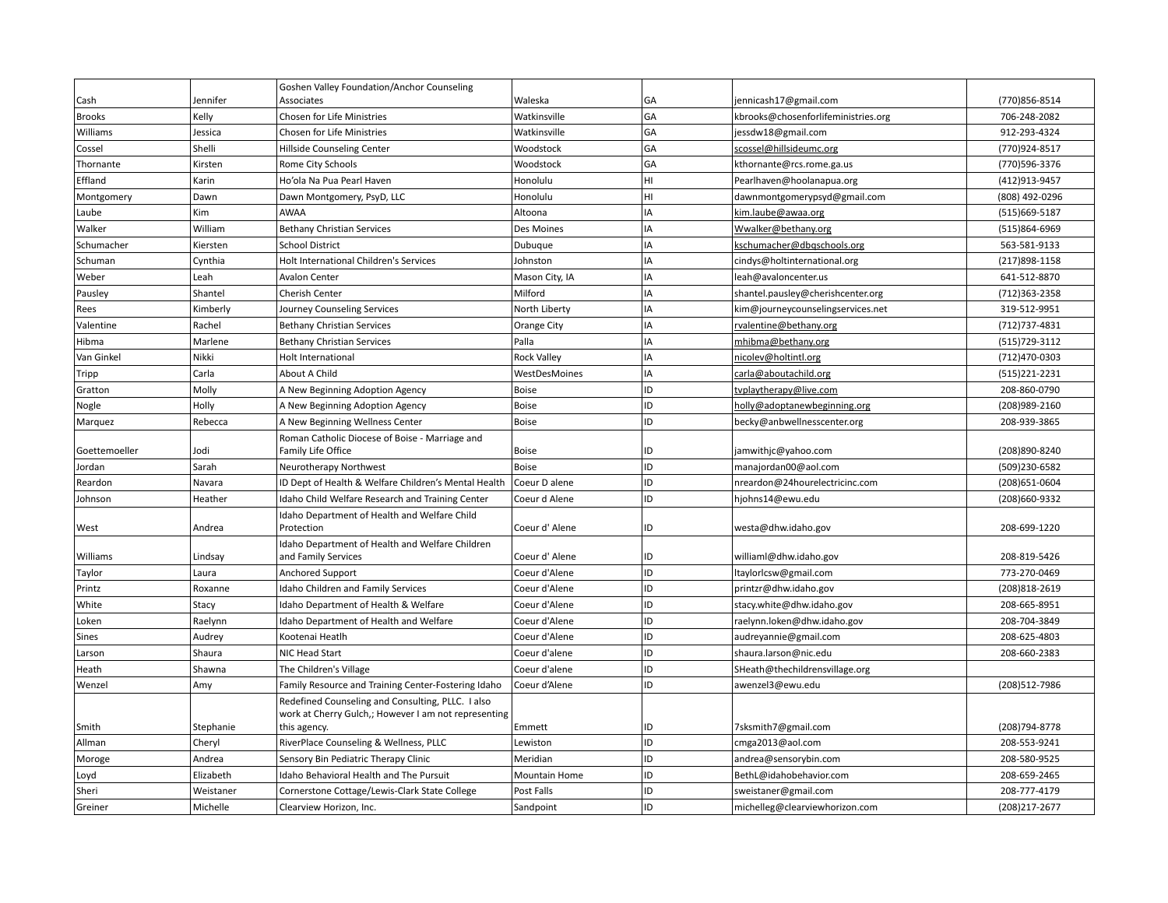|               |           | Goshen Valley Foundation/Anchor Counseling                                                                |                    |    |                                     |                |
|---------------|-----------|-----------------------------------------------------------------------------------------------------------|--------------------|----|-------------------------------------|----------------|
| Cash          | Jennifer  | <b>Associates</b>                                                                                         | Waleska            | GA | jennicash17@gmail.com               | (770)856-8514  |
| <b>Brooks</b> | Kelly     | <b>Chosen for Life Ministries</b>                                                                         | Watkinsville       | GA | kbrooks@chosenforlifeministries.org | 706-248-2082   |
| Williams      | Jessica   | Chosen for Life Ministries                                                                                | Watkinsville       | GA | jessdw18@gmail.com                  | 912-293-4324   |
| Cossel        | Shelli    | Hillside Counseling Center                                                                                | Woodstock          | GA | scossel@hillsideumc.org             | (770)924-8517  |
| Thornante     | Kirsten   | Rome City Schools                                                                                         | Woodstock          | GA | kthornante@rcs.rome.ga.us           | (770)596-3376  |
| Effland       | Karin     | Ho'ola Na Pua Pearl Haven                                                                                 | Honolulu           | HI | Pearlhaven@hoolanapua.org           | (412) 913-9457 |
| Montgomery    | Dawn      | Dawn Montgomery, PsyD, LLC                                                                                | Honolulu           | HI | dawnmontgomerypsyd@gmail.com        | (808) 492-0296 |
| Laube         | Kim       | <b>AWAA</b>                                                                                               | Altoona            | IA | kim.laube@awaa.org                  | (515)669-5187  |
| Walker        | William   | <b>Bethany Christian Services</b>                                                                         | Des Moines         | IA | Wwalker@bethany.org                 | (515)864-6969  |
| Schumacher    | Kiersten  | <b>School District</b>                                                                                    | Dubuque            | IA | kschumacher@dbqschools.org          | 563-581-9133   |
| Schuman       | Cynthia   | Holt International Children's Services                                                                    | Johnston           | IA | cindys@holtinternational.org        | (217) 898-1158 |
| Weber         | Leah      | <b>Avalon Center</b>                                                                                      | Mason City, IA     | IA | leah@avaloncenter.us                | 641-512-8870   |
| Pausley       | Shantel   | Cherish Center                                                                                            | Milford            | IA | shantel.pausley@cherishcenter.org   | (712)363-2358  |
| Rees          | Kimberly  | Journey Counseling Services                                                                               | North Liberty      | IA | kim@journeycounselingservices.net   | 319-512-9951   |
| Valentine     | Rachel    | <b>Bethany Christian Services</b>                                                                         | Orange City        | IA | rvalentine@bethany.org              | (712) 737-4831 |
| Hibma         | Marlene   | <b>Bethany Christian Services</b>                                                                         | Palla              | IA | mhibma@bethany.org                  | (515) 729-3112 |
| Van Ginkel    | Nikki     | <b>Holt International</b>                                                                                 | <b>Rock Valley</b> | IA | nicolev@holtintl.org                | (712)470-0303  |
| Tripp         | Carla     | About A Child                                                                                             | WestDesMoines      | IA | carla@aboutachild.org               | (515) 221-2231 |
| Gratton       | Molly     | A New Beginning Adoption Agency                                                                           | <b>Boise</b>       | ID | tvplaytherapy@live.com              | 208-860-0790   |
| Nogle         | Holly     | A New Beginning Adoption Agency                                                                           | Boise              | ID | holly@adoptanewbeginning.org        | (208)989-2160  |
| Marquez       | Rebecca   | A New Beginning Wellness Center                                                                           | Boise              | ID | becky@anbwellnesscenter.org         | 208-939-3865   |
|               |           | Roman Catholic Diocese of Boise - Marriage and                                                            |                    |    |                                     |                |
| Goettemoeller | Jodi      | Family Life Office                                                                                        | <b>Boise</b>       | ID | jamwithjc@yahoo.com                 | (208)890-8240  |
| Jordan        | Sarah     | Neurotherapy Northwest                                                                                    | <b>Boise</b>       | ID | manajordan00@aol.com                | (509)230-6582  |
| Reardon       | Navara    | ID Dept of Health & Welfare Children's Mental Health                                                      | Coeur D alene      | ID | nreardon@24hourelectricinc.com      | (208) 651-0604 |
| Johnson       | Heather   | Idaho Child Welfare Research and Training Center                                                          | Coeur d Alene      | ID | hjohns14@ewu.edu                    | (208)660-9332  |
|               |           | Idaho Department of Health and Welfare Child                                                              |                    |    |                                     |                |
| West          | Andrea    | Protection                                                                                                | Coeur d'Alene      | ID | westa@dhw.idaho.gov                 | 208-699-1220   |
|               |           | Idaho Department of Health and Welfare Children                                                           |                    |    |                                     |                |
| Williams      | Lindsay   | and Family Services                                                                                       | Coeur d'Alene      | ID | williaml@dhw.idaho.gov              | 208-819-5426   |
| Taylor        | Laura     | Anchored Support                                                                                          | Coeur d'Alene      | ID | ltaylorlcsw@gmail.com               | 773-270-0469   |
| Printz        | Roxanne   | Idaho Children and Family Services                                                                        | Coeur d'Alene      | ID | printzr@dhw.idaho.gov               | (208) 818-2619 |
| White         | Stacy     | Idaho Department of Health & Welfare                                                                      | Coeur d'Alene      | ID | stacy.white@dhw.idaho.gov           | 208-665-8951   |
| Loken         | Raelynn   | Idaho Department of Health and Welfare                                                                    | Coeur d'Alene      | ID | raelynn.loken@dhw.idaho.gov         | 208-704-3849   |
| Sines         | Audrey    | Kootenai Heatlh                                                                                           | Coeur d'Alene      | ID | audreyannie@gmail.com               | 208-625-4803   |
| Larson        | Shaura    | NIC Head Start                                                                                            | Coeur d'alene      | ID | shaura.larson@nic.edu               | 208-660-2383   |
| Heath         | Shawna    | The Children's Village                                                                                    | Coeur d'alene      | ID | SHeath@thechildrensvillage.org      |                |
| Wenzel        | Amy       | Family Resource and Training Center-Fostering Idaho                                                       | Coeur d'Alene      | ID | awenzel3@ewu.edu                    | (208)512-7986  |
|               |           | Redefined Counseling and Consulting, PLLC. I also<br>work at Cherry Gulch,; However I am not representing |                    |    |                                     |                |
| Smith         | Stephanie | this agency.                                                                                              | Emmett             | ID | 7sksmith7@gmail.com                 | (208) 794-8778 |
| Allman        | Cheryl    | RiverPlace Counseling & Wellness, PLLC                                                                    | Lewiston           | ID | cmga2013@aol.com                    | 208-553-9241   |
| Moroge        | Andrea    | Sensory Bin Pediatric Therapy Clinic                                                                      | Meridian           | ID | andrea@sensorybin.com               | 208-580-9525   |
| Loyd          | Elizabeth | Idaho Behavioral Health and The Pursuit                                                                   | Mountain Home      | ID | BethL@idahobehavior.com             | 208-659-2465   |
| Sheri         | Weistaner | Cornerstone Cottage/Lewis-Clark State College                                                             | Post Falls         | ID | sweistaner@gmail.com                | 208-777-4179   |
| Greiner       | Michelle  | Clearview Horizon, Inc.                                                                                   | Sandpoint          | ID | michelleg@clearviewhorizon.com      | (208) 217-2677 |
|               |           |                                                                                                           |                    |    |                                     |                |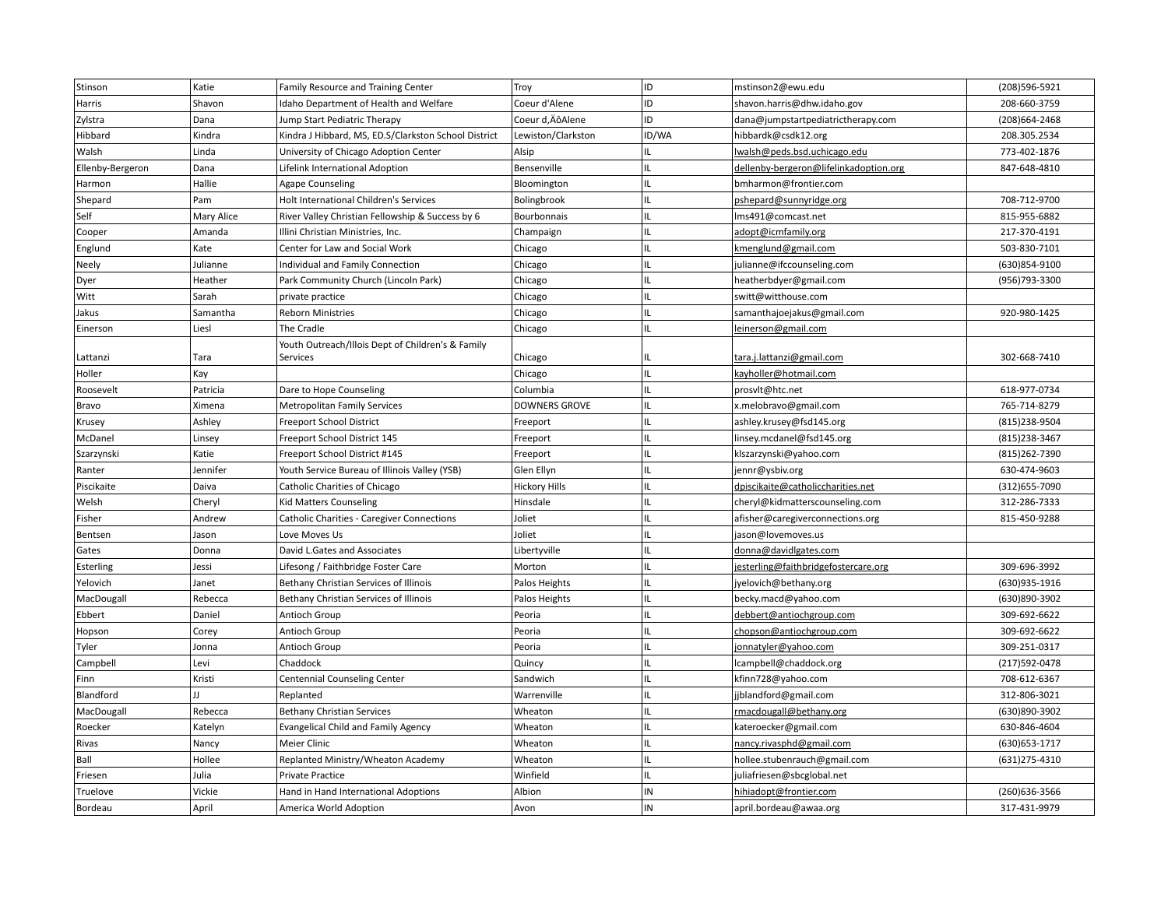| Stinson          | Katie        | Family Resource and Training Center                  | Troy                 | ID    | mstinson2@ewu.edu                      | (208)596-5921  |
|------------------|--------------|------------------------------------------------------|----------------------|-------|----------------------------------------|----------------|
| Harris           | Shavon       | Idaho Department of Health and Welfare               | Coeur d'Alene        | ID    | shavon.harris@dhw.idaho.gov            | 208-660-3759   |
| Zylstra          | Dana         | Jump Start Pediatric Therapy                         | Coeur d, ÄôAlene     | ID    | dana@jumpstartpediatrictherapy.com     | (208) 664-2468 |
| Hibbard          | Kindra       | Kindra J Hibbard, MS, ED.S/Clarkston School District | Lewiston/Clarkston   | ID/WA | hibbardk@csdk12.org                    | 208.305.2534   |
| Walsh            | Linda        | University of Chicago Adoption Center                | Alsip                | IL    | lwalsh@peds.bsd.uchicago.edu           | 773-402-1876   |
| Ellenby-Bergeron | Dana         | Lifelink International Adoption                      | Bensenville          | IL    | dellenby-bergeron@lifelinkadoption.org | 847-648-4810   |
| Harmon           | Hallie       | <b>Agape Counseling</b>                              | Bloomington          | IL    | bmharmon@frontier.com                  |                |
| Shepard          | Pam          | Holt International Children's Services               | Bolingbrook          | IL    | pshepard@sunnyridge.org                | 708-712-9700   |
| Self             | Mary Alice   | River Valley Christian Fellowship & Success by 6     | Bourbonnais          | IL    | lms491@comcast.net                     | 815-955-6882   |
| Cooper           | Amanda       | Illini Christian Ministries, Inc.                    | Champaign            | IL    | adopt@icmfamily.org                    | 217-370-4191   |
| Englund          | Kate         | Center for Law and Social Work                       | Chicago              | IL    | kmenglund@gmail.com                    | 503-830-7101   |
| Neely            | Julianne     | Individual and Family Connection                     | Chicago              | IL    | julianne@ifccounseling.com             | (630)854-9100  |
| Dyer             | Heather      | Park Community Church (Lincoln Park)                 | Chicago              | IL    | heatherbdyer@gmail.com                 | (956)793-3300  |
| Witt             | Sarah        | private practice                                     | Chicago              | IL    | switt@witthouse.com                    |                |
| Jakus            | Samantha     | <b>Reborn Ministries</b>                             | Chicago              | IL    | samanthajoejakus@gmail.com             | 920-980-1425   |
| Einerson         | Liesl        | The Cradle                                           | Chicago              | IL    | leinerson@gmail.com                    |                |
|                  |              | Youth Outreach/Illois Dept of Children's & Family    |                      |       |                                        |                |
| Lattanzi         | Tara         | Services                                             | Chicago              | IL    | tara.j.lattanzi@gmail.com              | 302-668-7410   |
| Holler           | Kay          |                                                      | Chicago              | IL    | kayholler@hotmail.com                  |                |
| Roosevelt        | Patricia     | Dare to Hope Counseling                              | Columbia             | IL    | prosvlt@htc.net                        | 618-977-0734   |
| Bravo            | Ximena       | <b>Metropolitan Family Services</b>                  | DOWNERS GROVE        | IL    | x.melobravo@gmail.com                  | 765-714-8279   |
| Krusey           | Ashley       | Freeport School District                             | Freeport             | IL    | ashley.krusey@fsd145.org               | (815) 238-9504 |
| McDanel          | Linsey       | Freeport School District 145                         | Freeport             | IL    | linsey.mcdanel@fsd145.org              | (815) 238-3467 |
| Szarzynski       | Katie        | Freeport School District #145                        | Freeport             | IL    | klszarzynski@yahoo.com                 | (815) 262-7390 |
| Ranter           | Jennifer     | Youth Service Bureau of Illinois Valley (YSB)        | Glen Ellyn           | IL    | jennr@ysbiv.org                        | 630-474-9603   |
| Piscikaite       | Daiva        | Catholic Charities of Chicago                        | <b>Hickory Hills</b> | IL    | dpiscikaite@catholiccharities.net      | (312) 655-7090 |
| Welsh            | Cheryl       | Kid Matters Counseling                               | Hinsdale             | IL    | cheryl@kidmatterscounseling.com        | 312-286-7333   |
| Fisher           | Andrew       | Catholic Charities - Caregiver Connections           | Joliet               | IL    | afisher@caregiverconnections.org       | 815-450-9288   |
| Bentsen          | Jason        | Love Moves Us                                        | Joliet               | IL    | jason@lovemoves.us                     |                |
| Gates            | Donna        | David L.Gates and Associates                         | Libertyville         | IL    | donna@davidlgates.com                  |                |
| Esterling        | Jessi        | Lifesong / Faithbridge Foster Care                   | Morton               | IL    | jesterling@faithbridgefostercare.org   | 309-696-3992   |
| Yelovich         | Janet        | Bethany Christian Services of Illinois               | Palos Heights        | IL    | jyelovich@bethany.org                  | (630)935-1916  |
| MacDougall       | Rebecca      | Bethany Christian Services of Illinois               | Palos Heights        | IL    | becky.macd@yahoo.com                   | (630)890-3902  |
| Ebbert           | Daniel       | Antioch Group                                        | Peoria               | IL    | debbert@antiochgroup.com               | 309-692-6622   |
| Hopson           | Corey        | Antioch Group                                        | Peoria               | IL    | chopson@antiochgroup.com               | 309-692-6622   |
| Tyler            | Jonna        | Antioch Group                                        | Peoria               | IL    | jonnatyler@yahoo.com                   | 309-251-0317   |
| Campbell         | Levi         | Chaddock                                             | Quincy               | IL    | lcampbell@chaddock.org                 | (217) 592-0478 |
| Finn             | Kristi       | Centennial Counseling Center                         | Sandwich             | IL    | kfinn728@yahoo.com                     | 708-612-6367   |
| Blandford        | $\mathbf{H}$ | Replanted                                            | Warrenville          | IL    | jjblandford@gmail.com                  | 312-806-3021   |
| MacDougall       | Rebecca      | <b>Bethany Christian Services</b>                    | Wheaton              | IL    | rmacdougall@bethany.org                | (630)890-3902  |
| Roecker          | Katelyn      | Evangelical Child and Family Agency                  | Wheaton              | IL    | kateroecker@gmail.com                  | 630-846-4604   |
| Rivas            | Nancy        | Meier Clinic                                         | Wheaton              | IL    | nancy.rivasphd@gmail.com               | (630) 653-1717 |
| Ball             | Hollee       | Replanted Ministry/Wheaton Academy                   | Wheaton              | IL.   | hollee.stubenrauch@gmail.com           | (631) 275-4310 |
| Friesen          | Julia        | Private Practice                                     | Winfield             | IL    | juliafriesen@sbcglobal.net             |                |
| Truelove         | Vickie       | Hand in Hand International Adoptions                 | Albion               | IN    | hihiadopt@frontier.com                 | (260) 636-3566 |
| Bordeau          | April        | America World Adoption                               | Avon                 | IN    | april.bordeau@awaa.org                 | 317-431-9979   |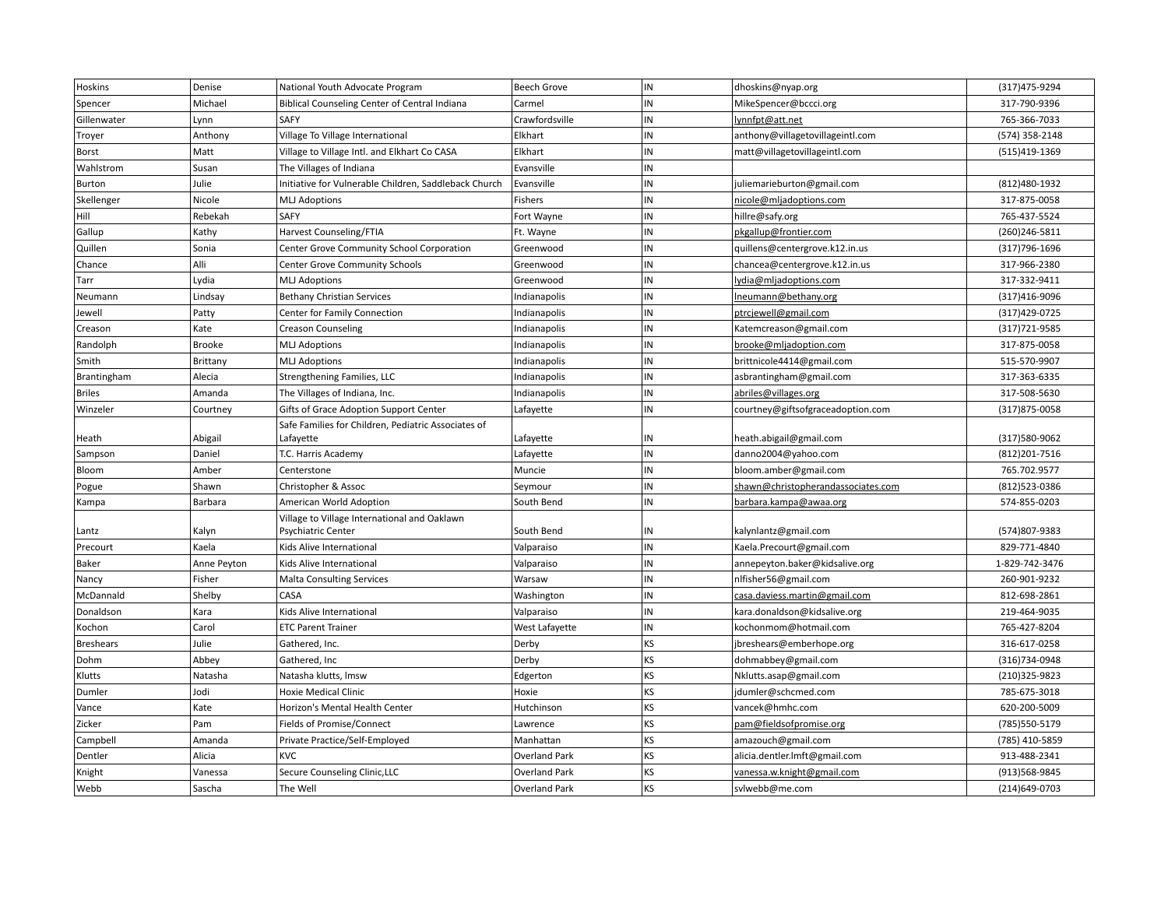| Hoskins          | Denise         | National Youth Advocate Program                       | <b>Beech Grove</b>   | IN       | dhoskins@nyap.org                  | (317) 475-9294                |
|------------------|----------------|-------------------------------------------------------|----------------------|----------|------------------------------------|-------------------------------|
| Spencer          | Michael        | Biblical Counseling Center of Central Indiana         | Carmel               | IN       | MikeSpencer@bccci.org              | 317-790-9396                  |
| Gillenwater      | Lynn           | SAFY                                                  | Crawfordsville       | IN       | lynnfpt@att.net                    | 765-366-7033                  |
| Troyer           | Anthony        | Village To Village International                      | Elkhart              | IN       | anthony@villagetovillageintl.com   | (574) 358-2148                |
| Borst            | Matt           | Village to Village Intl. and Elkhart Co CASA          | Elkhart              | IN       | matt@villagetovillageintl.com      | (515)419-1369                 |
| Wahlstrom        | Susan          | The Villages of Indiana                               | Evansville           | IN       |                                    |                               |
| Burton           | Julie          | Initiative for Vulnerable Children, Saddleback Church | Evansville           | IN       | juliemarieburton@gmail.com         | (812)480-1932                 |
| Skellenger       | Nicole         | <b>MLJ Adoptions</b>                                  | Fishers              | IN       | nicole@mljadoptions.com            | 317-875-0058                  |
| Hill             | Rebekah        | <b>SAFY</b>                                           | Fort Wayne           | IN       | hillre@safy.org                    | 765-437-5524                  |
| Gallup           | Kathy          | Harvest Counseling/FTIA                               | Ft. Wayne            | IN       | pkgallup@frontier.com              | (260)246-5811                 |
| Quillen          | Sonia          | Center Grove Community School Corporation             | Greenwood            | IN       | quillens@centergrove.k12.in.us     | (317) 796-1696                |
| Chance           | Alli           | Center Grove Community Schools                        | Greenwood            | IN       | chancea@centergrove.k12.in.us      | 317-966-2380                  |
| Tarr             | Lydia          | <b>MLJ Adoptions</b>                                  | Greenwood            | IN       | lydia@mljadoptions.com             | 317-332-9411                  |
| Neumann          | Lindsay        | <b>Bethany Christian Services</b>                     | Indianapolis         | IN       | Ineumann@bethany.org               | (317)416-9096                 |
| Jewell           | Patty          | Center for Family Connection                          | Indianapolis         | IN       | ptrcjewell@gmail.com               | (317) 429-0725                |
| Creason          | Kate           | <b>Creason Counseling</b>                             | Indianapolis         | IN       | Katemcreason@gmail.com             | (317) 721-9585                |
| Randolph         | <b>Brooke</b>  | <b>MLJ Adoptions</b>                                  | Indianapolis         | IN       | brooke@mljadoption.com             | 317-875-0058                  |
| Smith            | Brittany       | <b>MLJ Adoptions</b>                                  | Indianapolis         | IN       | brittnicole4414@gmail.com          | 515-570-9907                  |
| Brantingham      | Alecia         | Strengthening Families, LLC                           | Indianapolis         | IN       | asbrantingham@gmail.com            | 317-363-6335                  |
| <b>Briles</b>    | Amanda         | The Villages of Indiana, Inc.                         | Indianapolis         | IN       | abriles@villages.org               | 317-508-5630                  |
| Winzeler         | Courtney       | Gifts of Grace Adoption Support Center                | Lafayette            | IN       | courtney@giftsofgraceadoption.com  | (317) 875-0058                |
|                  |                | Safe Families for Children, Pediatric Associates of   |                      |          |                                    |                               |
| Heath            | Abigail        | Lafayette                                             | Lafayette            | IN       | heath.abigail@gmail.com            | (317) 580-9062                |
| Sampson          | Daniel         | T.C. Harris Academy                                   | Lafayette            | IN       | danno2004@yahoo.com                | (812) 201-7516                |
| Bloom            | Amber          | Centerstone                                           | Muncie               | IN       | bloom.amber@gmail.com              | 765.702.9577                  |
| Pogue            | Shawn          | Christopher & Assoc                                   | Seymour              | IN       | shawn@christopherandassociates.com | (812)523-0386                 |
| Kampa            | Barbara        | American World Adoption                               | South Bend           | IN       | barbara.kampa@awaa.org             | 574-855-0203                  |
|                  |                | Village to Village International and Oaklawn          |                      |          |                                    |                               |
| Lantz            | Kalyn<br>Kaela | <b>Psychiatric Center</b>                             | South Bend           | IN<br>IN | kalynlantz@gmail.com               | (574)807-9383<br>829-771-4840 |
| Precourt         |                | Kids Alive International                              | Valparaiso           | IN       | Kaela.Precourt@gmail.com           |                               |
| Baker            | Anne Peyton    | Kids Alive International                              | Valparaiso           | IN       | annepeyton.baker@kidsalive.org     | 1-829-742-3476                |
| Nancy            | Fisher         | <b>Malta Consulting Services</b>                      | Warsaw               | IN       | nlfisher56@gmail.com               | 260-901-9232                  |
| McDannald        | Shelby         | CASA                                                  | Washington           | IN       | casa.daviess.martin@gmail.com      | 812-698-2861                  |
| Donaldson        | Kara           | Kids Alive International                              | Valparaiso           | IN       | kara.donaldson@kidsalive.org       | 219-464-9035                  |
| Kochon           | Carol          | <b>ETC Parent Trainer</b>                             | West Lafayette       |          | kochonmom@hotmail.com              | 765-427-8204                  |
| <b>Breshears</b> | Julie          | Gathered, Inc.                                        | Derby                | KS       | jbreshears@emberhope.org           | 316-617-0258                  |
| Dohm             | Abbey          | Gathered, Inc                                         | Derby                | KS       | dohmabbey@gmail.com                | (316)734-0948                 |
| Klutts           | Natasha        | Natasha klutts, Imsw                                  | Edgerton             | KS       | Nklutts.asap@gmail.com             | (210)325-9823                 |
| Dumler           | Jodi           | Hoxie Medical Clinic                                  | Hoxie                | KS       | jdumler@schcmed.com                | 785-675-3018                  |
| Vance            | Kate           | Horizon's Mental Health Center                        | Hutchinson           | KS       | vancek@hmhc.com                    | 620-200-5009                  |
| Zicker           | Pam            | Fields of Promise/Connect                             | Lawrence             | KS       | pam@fieldsofpromise.org            | (785) 550-5179                |
| Campbell         | Amanda         | Private Practice/Self-Employed                        | Manhattan            | KS       | amazouch@gmail.com                 | (785) 410-5859                |
| Dentler          | Alicia         | <b>KVC</b>                                            | <b>Overland Park</b> | KS       | alicia.dentler.lmft@gmail.com      | 913-488-2341                  |
| Knight           | Vanessa        | Secure Counseling Clinic, LLC                         | Overland Park        | KS       | vanessa.w.knight@gmail.com         | (913) 568-9845                |
| Webb             | Sascha         | The Well                                              | <b>Overland Park</b> | KS       | svlwebb@me.com                     | (214)649-0703                 |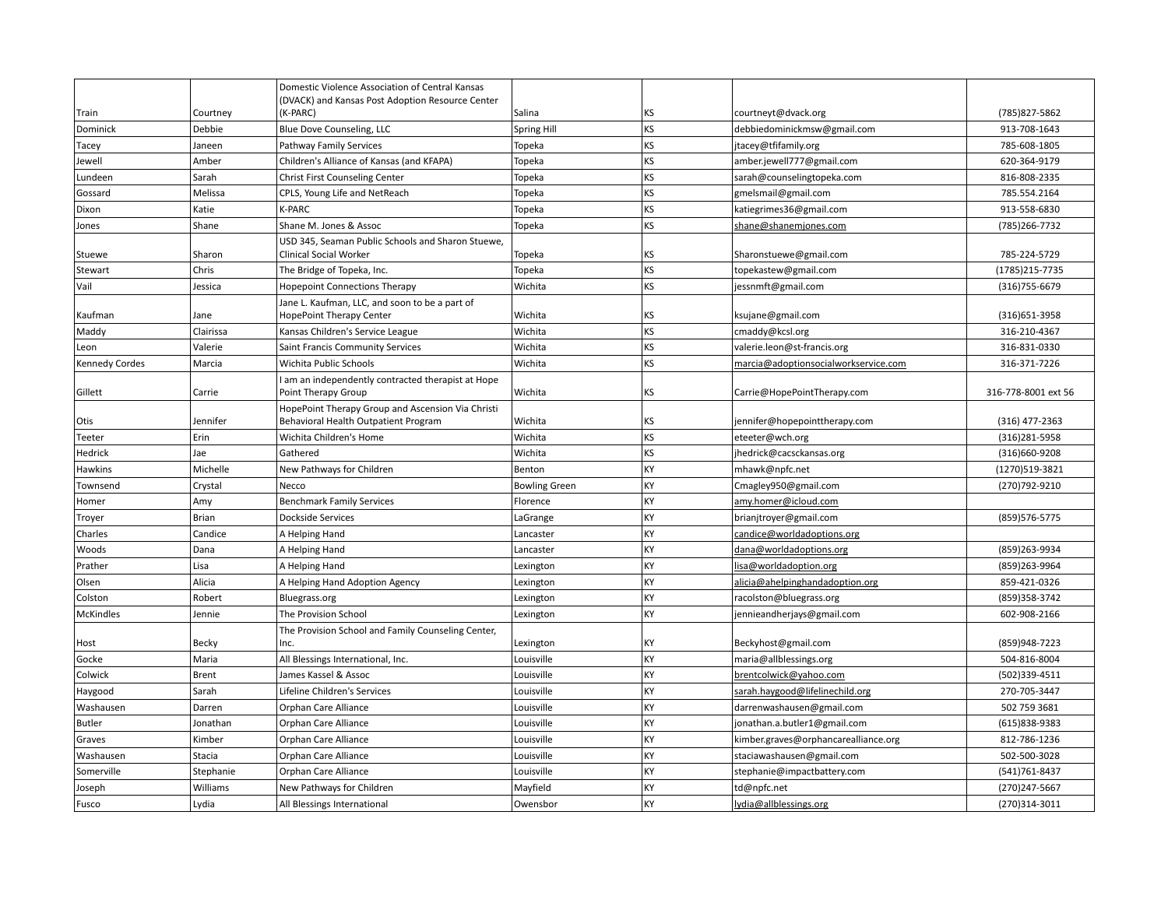|                       |              | Domestic Violence Association of Central Kansas                          |                      |    |                                      |                     |
|-----------------------|--------------|--------------------------------------------------------------------------|----------------------|----|--------------------------------------|---------------------|
| Train                 | Courtney     | (DVACK) and Kansas Post Adoption Resource Center<br>(K-PARC)             | Salina               | KS | courtneyt@dvack.org                  | (785) 827-5862      |
| Dominick              | Debbie       | Blue Dove Counseling, LLC                                                | <b>Spring Hill</b>   | KS | debbiedominickmsw@gmail.com          | 913-708-1643        |
| Tacey                 | Janeen       | Pathway Family Services                                                  | Topeka               | KS | jtacey@tfifamily.org                 | 785-608-1805        |
| Jewell                | Amber        | Children's Alliance of Kansas (and KFAPA)                                | Topeka               | KS | amber.jewell777@gmail.com            | 620-364-9179        |
| Lundeen               | Sarah        | Christ First Counseling Center                                           | Topeka               | KS | sarah@counselingtopeka.com           | 816-808-2335        |
| Gossard               | Melissa      | CPLS, Young Life and NetReach                                            | Topeka               | KS | gmelsmail@gmail.com                  | 785.554.2164        |
| Dixon                 | Katie        | <b>K-PARC</b>                                                            | Topeka               | KS | katiegrimes36@gmail.com              | 913-558-6830        |
| Jones                 | Shane        | Shane M. Jones & Assoc                                                   | Topeka               | KS | shane@shanemjones.com                | (785) 266-7732      |
|                       |              | USD 345, Seaman Public Schools and Sharon Stuewe,                        |                      |    |                                      |                     |
| Stuewe                | Sharon       | <b>Clinical Social Worker</b>                                            | Topeka               | KS | Sharonstuewe@gmail.com               | 785-224-5729        |
| Stewart               | Chris        | The Bridge of Topeka, Inc.                                               | Topeka               | KS | topekastew@gmail.com                 | (1785) 215-7735     |
| Vail                  | Jessica      | <b>Hopepoint Connections Therapy</b>                                     | Wichita              | KS | jessnmft@gmail.com                   | (316) 755-6679      |
|                       |              | Jane L. Kaufman, LLC, and soon to be a part of                           |                      |    |                                      |                     |
| Kaufman               | Jane         | HopePoint Therapy Center                                                 | Wichita              | KS | ksujane@gmail.com                    | (316) 651-3958      |
| Maddy                 | Clairissa    | Kansas Children's Service League                                         | Wichita              | KS | cmaddy@kcsl.org                      | 316-210-4367        |
| Leon                  | Valerie      | Saint Francis Community Services                                         | Wichita              | KS | valerie.leon@st-francis.org          | 316-831-0330        |
| <b>Kennedy Cordes</b> | Marcia       | Wichita Public Schools                                                   | Wichita              | KS | marcia@adoptionsocialworkservice.com | 316-371-7226        |
|                       |              | am an independently contracted therapist at Hope                         |                      | KS |                                      |                     |
| Gillett               | Carrie       | Point Therapy Group<br>HopePoint Therapy Group and Ascension Via Christi | Wichita              |    | Carrie@HopePointTherapy.com          | 316-778-8001 ext 56 |
| Otis                  | Jennifer     | Behavioral Health Outpatient Program                                     | Wichita              | KS | jennifer@hopepointtherapy.com        | $(316)$ 477-2363    |
| Teeter                | Erin         | Wichita Children's Home                                                  | Wichita              | KS | eteeter@wch.org                      | (316)281-5958       |
| Hedrick               | Jae          | Gathered                                                                 | Wichita              | KS | jhedrick@cacsckansas.org             | (316)660-9208       |
| Hawkins               | Michelle     | New Pathways for Children                                                | Benton               | KY | mhawk@npfc.net                       | (1270)519-3821      |
| Townsend              | Crystal      | Necco                                                                    | <b>Bowling Green</b> | KY | Cmagley950@gmail.com                 | (270) 792-9210      |
| Homer                 | Amy          | <b>Benchmark Family Services</b>                                         | Florence             | KY | amy.homer@icloud.com                 |                     |
| Troyer                | <b>Brian</b> | <b>Dockside Services</b>                                                 | LaGrange             | KY | brianjtroyer@gmail.com               | (859) 576-5775      |
| Charles               | Candice      | A Helping Hand                                                           | Lancaster            | KY | candice@worldadoptions.org           |                     |
| Woods                 | Dana         | A Helping Hand                                                           | Lancaster            | KY | dana@worldadoptions.org              | (859)263-9934       |
| Prather               | Lisa         | A Helping Hand                                                           | Lexington            | KY | lisa@worldadoption.org               | (859)263-9964       |
| Olsen                 | Alicia       | A Helping Hand Adoption Agency                                           | Lexington            | KY | alicia@ahelpinghandadoption.org      | 859-421-0326        |
| Colston               | Robert       | Bluegrass.org                                                            | Lexington            | KY | racolston@bluegrass.org              | (859)358-3742       |
| <b>McKindles</b>      | Jennie       | The Provision School                                                     | Lexington            | KY | jennieandherjays@gmail.com           | 602-908-2166        |
|                       |              | The Provision School and Family Counseling Center,                       |                      |    |                                      |                     |
| Host                  | Becky        | Inc.                                                                     | Lexington            | KY | Beckyhost@gmail.com                  | (859)948-7223       |
| Gocke                 | Maria        | All Blessings International, Inc.                                        | Louisville           | KY | maria@allblessings.org               | 504-816-8004        |
| Colwick               | <b>Brent</b> | James Kassel & Assoc                                                     | Louisville           | KY | brentcolwick@yahoo.com               | (502)339-4511       |
| Haygood               | Sarah        | Lifeline Children's Services                                             | Louisville           | KY | sarah.haygood@lifelinechild.org      | 270-705-3447        |
| Washausen             | Darren       | Orphan Care Alliance                                                     | Louisville           | KY | darrenwashausen@gmail.com            | 502 759 3681        |
| <b>Butler</b>         | Jonathan     | Orphan Care Alliance                                                     | Louisville           | KY | jonathan.a.butler1@gmail.com         | (615)838-9383       |
| Graves                | Kimber       | Orphan Care Alliance                                                     | Louisville           | KY | kimber.graves@orphancarealliance.org | 812-786-1236        |
| Washausen             | Stacia       | Orphan Care Alliance                                                     | Louisville           | KY | staciawashausen@gmail.com            | 502-500-3028        |
| Somerville            | Stephanie    | Orphan Care Alliance                                                     | Louisville           | KY | stephanie@impactbattery.com          | (541) 761-8437      |
| Joseph                | Williams     | New Pathways for Children                                                | Mayfield             | KY | td@npfc.net                          | (270)247-5667       |
| Fusco                 | Lydia        | All Blessings International                                              | Owensbor             | KY | lydia@allblessings.org               | (270)314-3011       |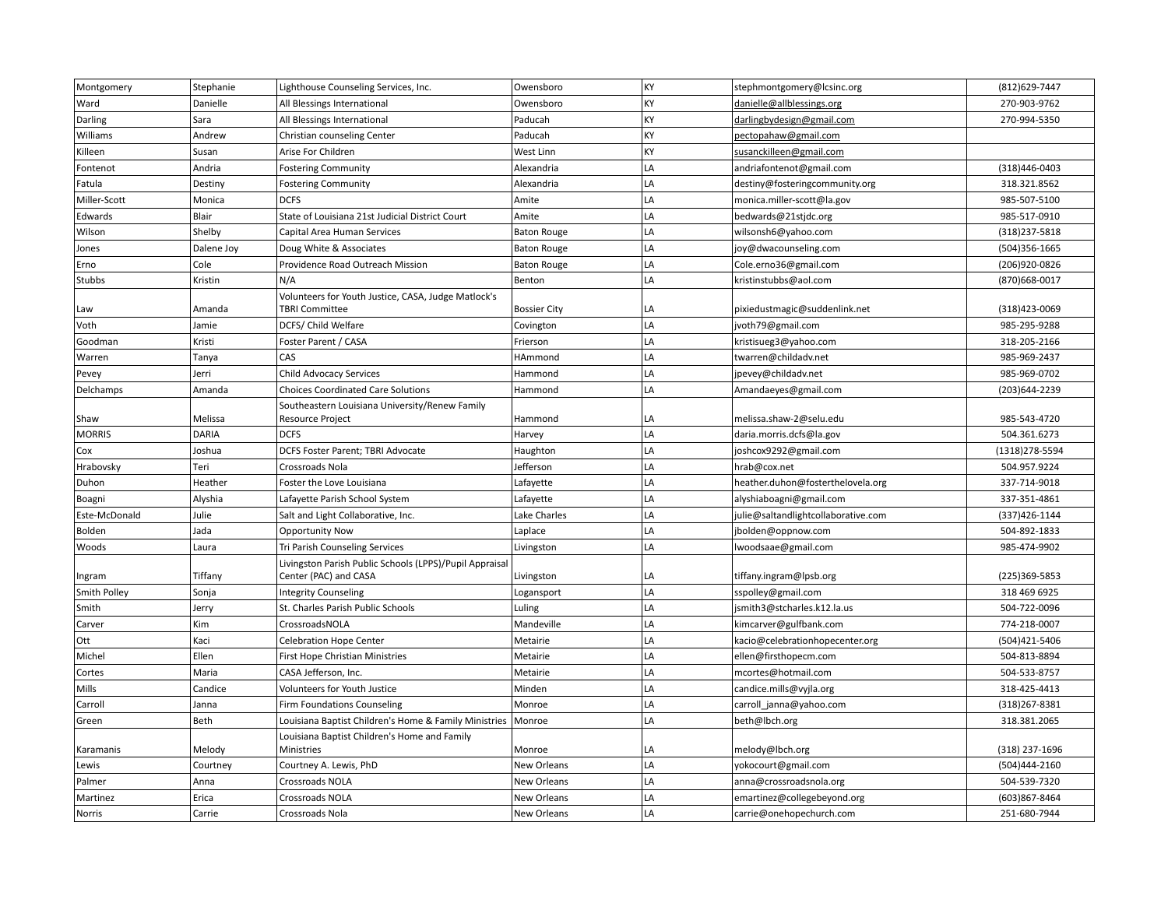| Montgomery    | Stephanie    | Lighthouse Counseling Services, Inc.                                             | Owensboro           | KY | stephmontgomery@lcsinc.org          | (812) 629-7447  |
|---------------|--------------|----------------------------------------------------------------------------------|---------------------|----|-------------------------------------|-----------------|
| Ward          | Danielle     | All Blessings International                                                      | Owensboro           | KY | danielle@allblessings.org           | 270-903-9762    |
| Darling       | Sara         | All Blessings International                                                      | Paducah             | KY | darlingbydesign@gmail.com           | 270-994-5350    |
| Williams      | Andrew       | Christian counseling Center                                                      | Paducah             | KY | pectopahaw@gmail.com                |                 |
| Killeen       | Susan        | Arise For Children                                                               | West Linn           | KY | susanckilleen@gmail.com             |                 |
| Fontenot      | Andria       | <b>Fostering Community</b>                                                       | Alexandria          | LA | andriafontenot@gmail.com            | (318)446-0403   |
| Fatula        | Destiny      | <b>Fostering Community</b>                                                       | Alexandria          | LA | destiny@fosteringcommunity.org      | 318.321.8562    |
| Miller-Scott  | Monica       | <b>DCFS</b>                                                                      | Amite               | LA | monica.miller-scott@la.gov          | 985-507-5100    |
| Edwards       | Blair        | State of Louisiana 21st Judicial District Court                                  | Amite               | LA | bedwards@21stjdc.org                | 985-517-0910    |
| Wilson        | Shelby       | Capital Area Human Services                                                      | <b>Baton Rouge</b>  | LA | wilsonsh6@yahoo.com                 | (318) 237-5818  |
| Jones         | Dalene Joy   | Doug White & Associates                                                          | <b>Baton Rouge</b>  | LA | joy@dwacounseling.com               | (504)356-1665   |
| Erno          | Cole         | Providence Road Outreach Mission                                                 | <b>Baton Rouge</b>  | LA | Cole.erno36@gmail.com               | (206)920-0826   |
| Stubbs        | Kristin      | N/A                                                                              | Benton              | LA | kristinstubbs@aol.com               | (870) 668-0017  |
| Law           | Amanda       | Volunteers for Youth Justice, CASA, Judge Matlock's<br><b>TBRI Committee</b>     | <b>Bossier City</b> | LA | pixiedustmagic@suddenlink.net       | (318)423-0069   |
| Voth          | Jamie        | DCFS/ Child Welfare                                                              | Covington           | LA | jvoth79@gmail.com                   | 985-295-9288    |
| Goodman       | Kristi       | Foster Parent / CASA                                                             | Frierson            | LA | kristisueg3@yahoo.com               | 318-205-2166    |
| Warren        | Tanya        | CAS                                                                              | HAmmond             | LA | twarren@childadv.net                | 985-969-2437    |
| Pevey         | Jerri        | <b>Child Advocacy Services</b>                                                   | Hammond             | LA | jpevey@childadv.net                 | 985-969-0702    |
| Delchamps     | Amanda       | <b>Choices Coordinated Care Solutions</b>                                        | Hammond             | LA | Amandaeyes@gmail.com                | (203)644-2239   |
| Shaw          | Melissa      | Southeastern Louisiana University/Renew Family<br>Resource Project               | Hammond             | LA | melissa.shaw-2@selu.edu             | 985-543-4720    |
| <b>MORRIS</b> | <b>DARIA</b> | <b>DCFS</b>                                                                      | Harvey              | LA | daria.morris.dcfs@la.gov            | 504.361.6273    |
| Cox           | Joshua       | <b>DCFS Foster Parent: TBRI Advocate</b>                                         | Haughton            | LA | joshcox9292@gmail.com               | (1318) 278-5594 |
| Hrabovsky     | Teri         | Crossroads Nola                                                                  | Jefferson           | LA | hrab@cox.net                        | 504.957.9224    |
| Duhon         | Heather      | Foster the Love Louisiana                                                        | Lafayette           | LA | heather.duhon@fosterthelovela.org   | 337-714-9018    |
| Boagni        | Alyshia      | Lafayette Parish School System                                                   | Lafayette           | LA | alyshiaboagni@gmail.com             | 337-351-4861    |
| Este-McDonald | Julie        | Salt and Light Collaborative, Inc.                                               | Lake Charles        | LA | julie@saltandlightcollaborative.com | (337) 426-1144  |
| Bolden        | Jada         | <b>Opportunity Now</b>                                                           | Laplace             | LA | jbolden@oppnow.com                  | 504-892-1833    |
| Woods         | Laura        | Tri Parish Counseling Services                                                   | Livingston          | LA | lwoodsaae@gmail.com                 | 985-474-9902    |
| Ingram        | Tiffany      | Livingston Parish Public Schools (LPPS)/Pupil Appraisal<br>Center (PAC) and CASA | Livingston          | LA | tiffany.ingram@lpsb.org             | (225)369-5853   |
| Smith Polley  | Sonja        | <b>Integrity Counseling</b>                                                      | Logansport          | LA | sspolley@gmail.com                  | 318 469 6925    |
| Smith         | Jerry        | St. Charles Parish Public Schools                                                | Luling              | LA | jsmith3@stcharles.k12.la.us         | 504-722-0096    |
| Carver        | Kim          | CrossroadsNOLA                                                                   | Mandeville          | LA | kimcarver@gulfbank.com              | 774-218-0007    |
| Ott           | Kaci         | <b>Celebration Hope Center</b>                                                   | Metairie            | LA | kacio@celebrationhopecenter.org     | (504)421-5406   |
| Michel        | Ellen        | First Hope Christian Ministries                                                  | Metairie            | LA | ellen@firsthopecm.com               | 504-813-8894    |
| Cortes        | Maria        | CASA Jefferson, Inc.                                                             | Metairie            | LA | mcortes@hotmail.com                 | 504-533-8757    |
| Mills         | Candice      | Volunteers for Youth Justice                                                     | Minden              | LA | candice.mills@vyjla.org             | 318-425-4413    |
| Carroll       | Janna        | Firm Foundations Counseling                                                      | Monroe              | LA | carroll_janna@yahoo.com             | (318) 267-8381  |
| Green         | Beth         | Louisiana Baptist Children's Home & Family Ministries                            | Monroe              | LA | beth@lbch.org                       | 318.381.2065    |
|               |              | Louisiana Baptist Children's Home and Family                                     |                     |    |                                     |                 |
| Karamanis     | Melody       | Ministries                                                                       | Monroe              | LA | melody@lbch.org                     | (318) 237-1696  |
| Lewis         | Courtney     | Courtney A. Lewis, PhD                                                           | New Orleans         | LA | yokocourt@gmail.com                 | (504)444-2160   |
| Palmer        | Anna         | Crossroads NOLA                                                                  | <b>New Orleans</b>  | LA | anna@crossroadsnola.org             | 504-539-7320    |
| Martinez      | Erica        | Crossroads NOLA                                                                  | New Orleans         | LA | emartinez@collegebeyond.org         | (603)867-8464   |
| Norris        | Carrie       | Crossroads Nola                                                                  | New Orleans         | LA | carrie@onehopechurch.com            | 251-680-7944    |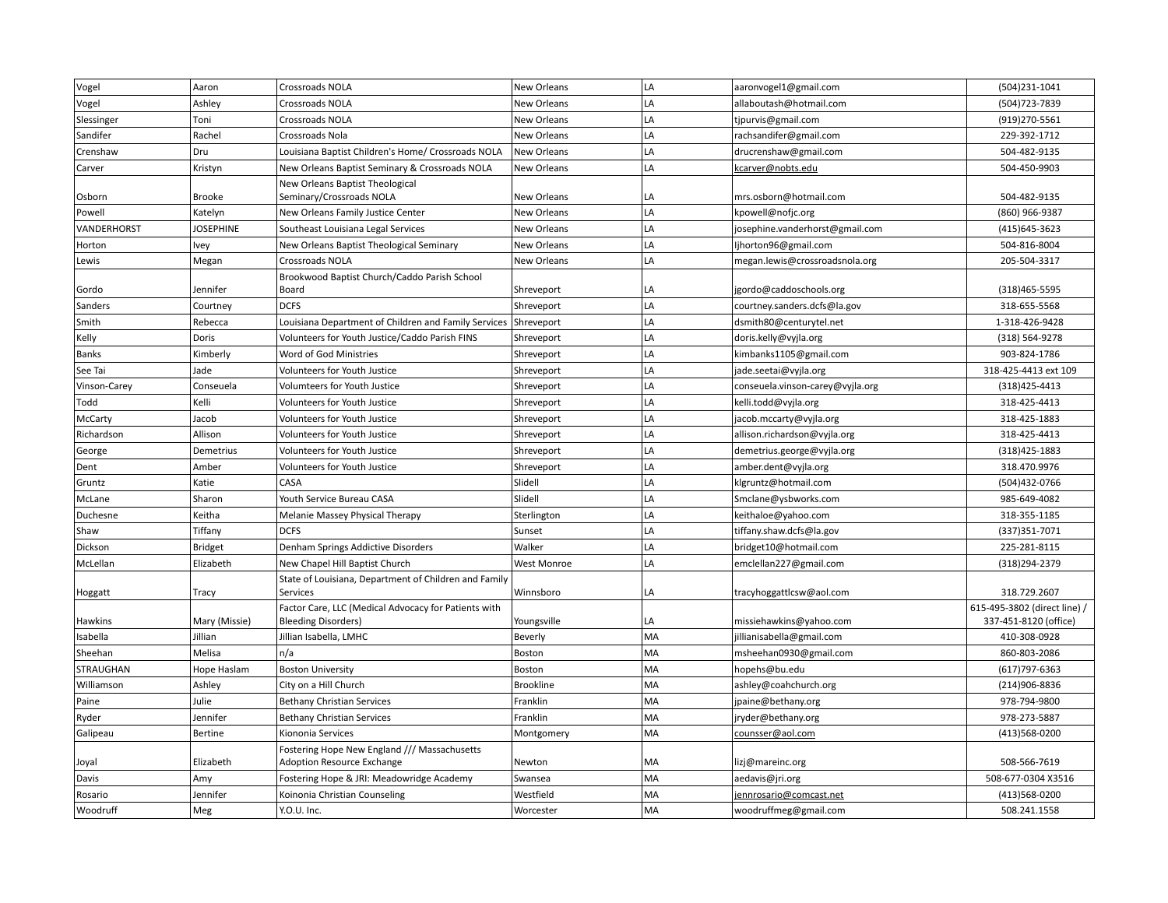| Vogel               | Aaron                    | Crossroads NOLA                                                                   | New Orleans        | LA       | aaronvogel1@gmail.com            | (504)231-1041                         |
|---------------------|--------------------------|-----------------------------------------------------------------------------------|--------------------|----------|----------------------------------|---------------------------------------|
| Vogel               | Ashley                   | Crossroads NOLA                                                                   | New Orleans        | LA       | allaboutash@hotmail.com          | (504) 723-7839                        |
| Slessinger          | Toni                     | Crossroads NOLA                                                                   | <b>New Orleans</b> | LA       | tjpurvis@gmail.com               | (919)270-5561                         |
| Sandifer            | Rachel                   | Crossroads Nola                                                                   | New Orleans        | LA       | rachsandifer@gmail.com           | 229-392-1712                          |
| Crenshaw            | Dru                      | Louisiana Baptist Children's Home/ Crossroads NOLA                                | New Orleans        | LA       | drucrenshaw@gmail.com            | 504-482-9135                          |
| Carver              | Kristyn                  | New Orleans Baptist Seminary & Crossroads NOLA                                    | New Orleans        | LA       | kcarver@nobts.edu                | 504-450-9903                          |
|                     |                          | New Orleans Baptist Theological                                                   |                    |          |                                  |                                       |
| Osborn              | <b>Brooke</b>            | Seminary/Crossroads NOLA                                                          | <b>New Orleans</b> | LA       | mrs.osborn@hotmail.com           | 504-482-9135                          |
| Powell              | Katelyn                  | New Orleans Family Justice Center                                                 | New Orleans        | LA       | kpowell@nofjc.org                | (860) 966-9387                        |
| VANDERHORST         | <b>JOSEPHINE</b>         | Southeast Louisiana Legal Services                                                | New Orleans        | LA       | josephine.vanderhorst@gmail.com  | (415) 645-3623                        |
| Horton              | Ivey                     | New Orleans Baptist Theological Seminary                                          | New Orleans        | LA       | ljhorton96@gmail.com             | 504-816-8004                          |
| Lewis               | Megan                    | Crossroads NOLA                                                                   | New Orleans        | LA       | megan.lewis@crossroadsnola.org   | 205-504-3317                          |
|                     |                          | Brookwood Baptist Church/Caddo Parish School                                      |                    |          |                                  |                                       |
| Gordo               | Jennifer                 | Board                                                                             | Shreveport         | LA       | jgordo@caddoschools.org          | (318) 465-5595                        |
| Sanders             | Courtney                 | <b>DCFS</b>                                                                       | Shreveport         | LA       | courtney.sanders.dcfs@la.gov     | 318-655-5568                          |
| Smith               | Rebecca                  | Louisiana Department of Children and Family Services                              | Shreveport         | LA       | dsmith80@centurytel.net          | 1-318-426-9428                        |
| Kelly               | Doris                    | Volunteers for Youth Justice/Caddo Parish FINS                                    | Shreveport         | LA       | doris.kelly@vyjla.org            | (318) 564-9278                        |
| Banks               | Kimberly                 | Word of God Ministries                                                            | Shreveport         | LA       | kimbanks1105@gmail.com           | 903-824-1786                          |
| See Tai             | Jade                     | Volunteers for Youth Justice                                                      | Shreveport         | LA       | jade.seetai@vyjla.org            | 318-425-4413 ext 109                  |
| Vinson-Carey        | Conseuela                | Volumteers for Youth Justice                                                      | Shreveport         | LA       | conseuela.vinson-carey@vyjla.org | (318) 425-4413                        |
| Todd                | Kelli                    | Volunteers for Youth Justice                                                      | Shreveport         | LA       | kelli.todd@vyjla.org             | 318-425-4413                          |
| McCarty             | Jacob                    | Volunteers for Youth Justice                                                      | Shreveport         | LA       | jacob.mccarty@vyjla.org          | 318-425-1883                          |
| Richardson          | Allison                  | Volunteers for Youth Justice                                                      | Shreveport         | LA       | allison.richardson@vyjla.org     | 318-425-4413                          |
| George              | Demetrius                | Volunteers for Youth Justice                                                      | Shreveport         | LA       | demetrius.george@vyjla.org       | (318) 425-1883                        |
| Dent                | Amber                    | Volunteers for Youth Justice                                                      | Shreveport         | LA       | amber.dent@vyjla.org             | 318.470.9976                          |
| Gruntz              | Katie                    | CASA                                                                              | Slidell            | LA       | klgruntz@hotmail.com             | (504)432-0766                         |
| McLane              | Sharon                   | Youth Service Bureau CASA                                                         | Slidell            | LA       | Smclane@ysbworks.com             | 985-649-4082                          |
| Duchesne            | Keitha                   | Melanie Massey Physical Therapy                                                   | Sterlington        | LA       | keithaloe@yahoo.com              | 318-355-1185                          |
| Shaw                | Tiffany                  | <b>DCFS</b>                                                                       | Sunset             | LA       | tiffany.shaw.dcfs@la.gov         | (337) 351-7071                        |
| Dickson             | <b>Bridget</b>           | Denham Springs Addictive Disorders                                                | Walker             | LA       | bridget10@hotmail.com            | 225-281-8115                          |
| McLellan            | Elizabeth                | New Chapel Hill Baptist Church                                                    | <b>West Monroe</b> | LA       | emclellan227@gmail.com           | (318) 294-2379                        |
|                     |                          | State of Louisiana, Department of Children and Family                             |                    |          |                                  |                                       |
| Hoggatt             | Tracy                    | Services                                                                          | Winnsboro          | LA       | tracyhoggattlcsw@aol.com         | 318.729.2607                          |
|                     |                          | Factor Care, LLC (Medical Advocacy for Patients with                              |                    |          |                                  | 615-495-3802 (direct line) /          |
| Hawkins<br>Isabella | Mary (Missie)<br>Jillian | <b>Bleeding Disorders)</b><br>Jillian Isabella, LMHC                              | Youngsville        | LA<br>MA | missiehawkins@yahoo.com          | 337-451-8120 (office)<br>410-308-0928 |
|                     |                          |                                                                                   | Beverly            |          | jillianisabella@gmail.com        |                                       |
| Sheehan             | Melisa                   | n/a                                                                               | Boston             | MA<br>MA | msheehan0930@gmail.com           | 860-803-2086                          |
| <b>STRAUGHAN</b>    | Hope Haslam              | <b>Boston University</b>                                                          | Boston             |          | hopehs@bu.edu                    | $(617)797-6363$                       |
| Williamson          | Ashley                   | City on a Hill Church                                                             | <b>Brookline</b>   | MA       | ashley@coahchurch.org            | (214)906-8836                         |
| Paine               | Julie                    | <b>Bethany Christian Services</b>                                                 | Franklin           | MA       | jpaine@bethany.org               | 978-794-9800                          |
| Ryder               | Jennifer                 | <b>Bethany Christian Services</b>                                                 | Franklin           | MA       | jryder@bethany.org               | 978-273-5887                          |
| Galipeau            | Bertine                  | Kiononia Services                                                                 | Montgomery         | MA       | counsser@aol.com                 | (413)568-0200                         |
| Joyal               | Elizabeth                | Fostering Hope New England /// Massachusetts<br><b>Adoption Resource Exchange</b> | Newton             | MA       | lizj@mareinc.org                 | 508-566-7619                          |
| Davis               | Amy                      | Fostering Hope & JRI: Meadowridge Academy                                         | Swansea            | MA       | aedavis@jri.org                  | 508-677-0304 X3516                    |
| Rosario             | Jennifer                 | Koinonia Christian Counseling                                                     | Westfield          | MA       | jennrosario@comcast.net          | (413)568-0200                         |
| Woodruff            | Meg                      | Y.O.U. Inc.                                                                       | Worcester          | MA       | woodruffmeg@gmail.com            | 508.241.1558                          |
|                     |                          |                                                                                   |                    |          |                                  |                                       |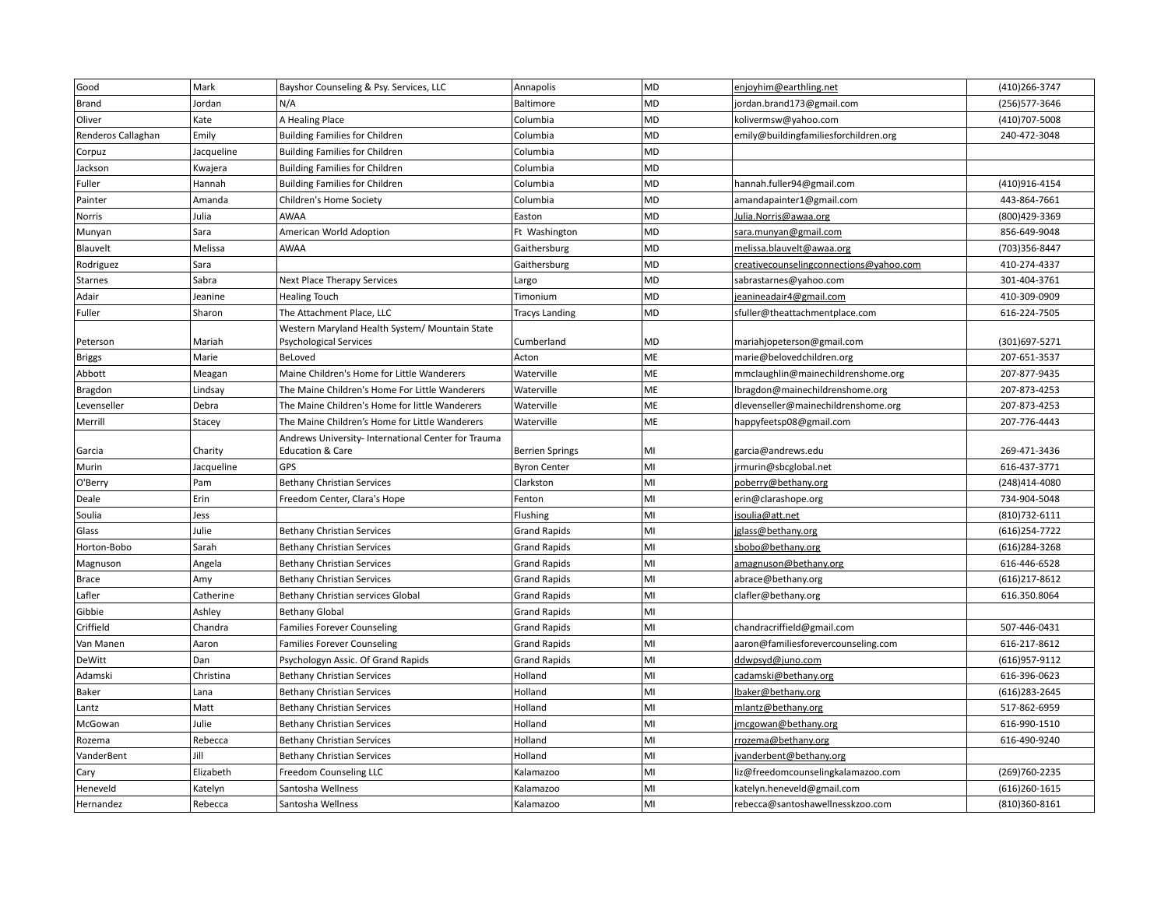| Good               | Mark       | Bayshor Counseling & Psy. Services, LLC            | Annapolis              | <b>MD</b> | enjoyhim@earthling.net                  | (410) 266-3747   |
|--------------------|------------|----------------------------------------------------|------------------------|-----------|-----------------------------------------|------------------|
| Brand              | Jordan     | N/A                                                | Baltimore              | MD        | jordan.brand173@gmail.com               | (256) 577-3646   |
| Oliver             | Kate       | A Healing Place                                    | Columbia               | <b>MD</b> | kolivermsw@yahoo.com                    | (410)707-5008    |
| Renderos Callaghan | Emily      | <b>Building Families for Children</b>              | Columbia               | <b>MD</b> | emily@buildingfamiliesforchildren.org   | 240-472-3048     |
| Corpuz             | Jacqueline | <b>Building Families for Children</b>              | Columbia               | <b>MD</b> |                                         |                  |
| Jackson            | Kwajera    | <b>Building Families for Children</b>              | Columbia               | MD        |                                         |                  |
| Fuller             | Hannah     | <b>Building Families for Children</b>              | Columbia               | <b>MD</b> | hannah.fuller94@gmail.com               | (410)916-4154    |
| Painter            | Amanda     | Children's Home Society                            | Columbia               | MD        | amandapainter1@gmail.com                | 443-864-7661     |
| Norris             | Julia      | AWAA                                               | Easton                 | MD        | Julia. Norris@awaa.org                  | (800)429-3369    |
| Munyan             | Sara       | American World Adoption                            | Ft Washington          | MD        | sara.munyan@gmail.com                   | 856-649-9048     |
| Blauvelt           | Melissa    | <b>AWAA</b>                                        | Gaithersburg           | <b>MD</b> | melissa.blauvelt@awaa.org               | (703)356-8447    |
| Rodriguez          | Sara       |                                                    | Gaithersburg           | <b>MD</b> | creativecounselingconnections@yahoo.com | 410-274-4337     |
| Starnes            | Sabra      | Next Place Therapy Services                        | Largo                  | MD        | sabrastarnes@yahoo.com                  | 301-404-3761     |
| Adair              | Jeanine    | <b>Healing Touch</b>                               | Timonium               | <b>MD</b> | jeanineadair4@gmail.com                 | 410-309-0909     |
| Fuller             | Sharon     | The Attachment Place, LLC                          | <b>Tracys Landing</b>  | <b>MD</b> | sfuller@theattachmentplace.com          | 616-224-7505     |
|                    |            | Western Maryland Health System/ Mountain State     |                        |           |                                         |                  |
| Peterson           | Mariah     | <b>Psychological Services</b>                      | Cumberland             | MD        | mariahjopeterson@gmail.com              | (301) 697-5271   |
| <b>Briggs</b>      | Marie      | BeLoved                                            | Acton                  | <b>ME</b> | marie@belovedchildren.org               | 207-651-3537     |
| Abbott             | Meagan     | Maine Children's Home for Little Wanderers         | Waterville             | ME        | mmclaughlin@mainechildrenshome.org      | 207-877-9435     |
| Bragdon            | Lindsay    | The Maine Children's Home For Little Wanderers     | Waterville             | ME        | lbragdon@mainechildrenshome.org         | 207-873-4253     |
| Levenseller        | Debra      | The Maine Children's Home for little Wanderers     | Waterville             | ME        | dlevenseller@mainechildrenshome.org     | 207-873-4253     |
| Merrill            | Stacey     | The Maine Children's Home for Little Wanderers     | Waterville             | ME        | happyfeetsp08@gmail.com                 | 207-776-4443     |
|                    |            | Andrews University-International Center for Trauma |                        |           |                                         |                  |
| Garcia             | Charity    | <b>Education &amp; Care</b>                        | <b>Berrien Springs</b> | MI        | garcia@andrews.edu                      | 269-471-3436     |
| Murin              | Jacqueline | GPS                                                | <b>Byron Center</b>    | MI        | jrmurin@sbcglobal.net                   | 616-437-3771     |
| O'Berry            | Pam        | <b>Bethany Christian Services</b>                  | Clarkston              | MI        | poberry@bethany.org                     | (248)414-4080    |
| Deale              | Erin       | Freedom Center, Clara's Hope                       | Fenton                 | MI        | erin@clarashope.org                     | 734-904-5048     |
| Soulia             | Jess       |                                                    | Flushing               | MI        | isoulia@att.net                         | (810) 732-6111   |
| Glass              | Julie      | <b>Bethany Christian Services</b>                  | <b>Grand Rapids</b>    | MI        | jglass@bethany.org                      | $(616)$ 254-7722 |
| Horton-Bobo        | Sarah      | <b>Bethany Christian Services</b>                  | <b>Grand Rapids</b>    | MI        | sbobo@bethany.org                       | (616) 284-3268   |
| Magnuson           | Angela     | <b>Bethany Christian Services</b>                  | <b>Grand Rapids</b>    | MI        | amagnuson@bethany.org                   | 616-446-6528     |
| <b>Brace</b>       | Amy        | <b>Bethany Christian Services</b>                  | <b>Grand Rapids</b>    | MI        | abrace@bethany.org                      | (616) 217-8612   |
| Lafler             | Catherine  | Bethany Christian services Global                  | <b>Grand Rapids</b>    | MI        | clafler@bethany.org                     | 616.350.8064     |
| Gibbie             | Ashley     | <b>Bethany Global</b>                              | <b>Grand Rapids</b>    | MI        |                                         |                  |
| Criffield          | Chandra    | <b>Families Forever Counseling</b>                 | <b>Grand Rapids</b>    | MI        | chandracriffield@gmail.com              | 507-446-0431     |
| Van Manen          | Aaron      | <b>Families Forever Counseling</b>                 | <b>Grand Rapids</b>    | MI        | aaron@familiesforevercounseling.com     | 616-217-8612     |
| DeWitt             | Dan        | Psychologyn Assic. Of Grand Rapids                 | <b>Grand Rapids</b>    | MI        | ddwpsyd@juno.com                        | (616) 957-9112   |
| Adamski            | Christina  | <b>Bethany Christian Services</b>                  | Holland                | MI        | cadamski@bethany.org                    | 616-396-0623     |
| Baker              | Lana       | <b>Bethany Christian Services</b>                  | Holland                | MI        | lbaker@bethany.org                      | $(616)$ 283-2645 |
| Lantz              | Matt       | <b>Bethany Christian Services</b>                  | Holland                | MI        | mlantz@bethany.org                      | 517-862-6959     |
| McGowan            | Julie      | <b>Bethany Christian Services</b>                  | Holland                | MI        | jmcgowan@bethany.org                    | 616-990-1510     |
| Rozema             | Rebecca    | <b>Bethany Christian Services</b>                  | Holland                | MI        | rrozema@bethany.org                     | 616-490-9240     |
| VanderBent         | Jill       | <b>Bethany Christian Services</b>                  | Holland                | MI        | jvanderbent@bethany.org                 |                  |
| Cary               | Elizabeth  | Freedom Counseling LLC                             | Kalamazoo              | MI        | liz@freedomcounselingkalamazoo.com      | (269)760-2235    |
| Heneveld           | Katelyn    | Santosha Wellness                                  | Kalamazoo              | MI        | katelyn.heneveld@gmail.com              | $(616)260-1615$  |
| Hernandez          | Rebecca    | Santosha Wellness                                  | Kalamazoo              | MI        | rebecca@santoshawellnesskzoo.com        | (810)360-8161    |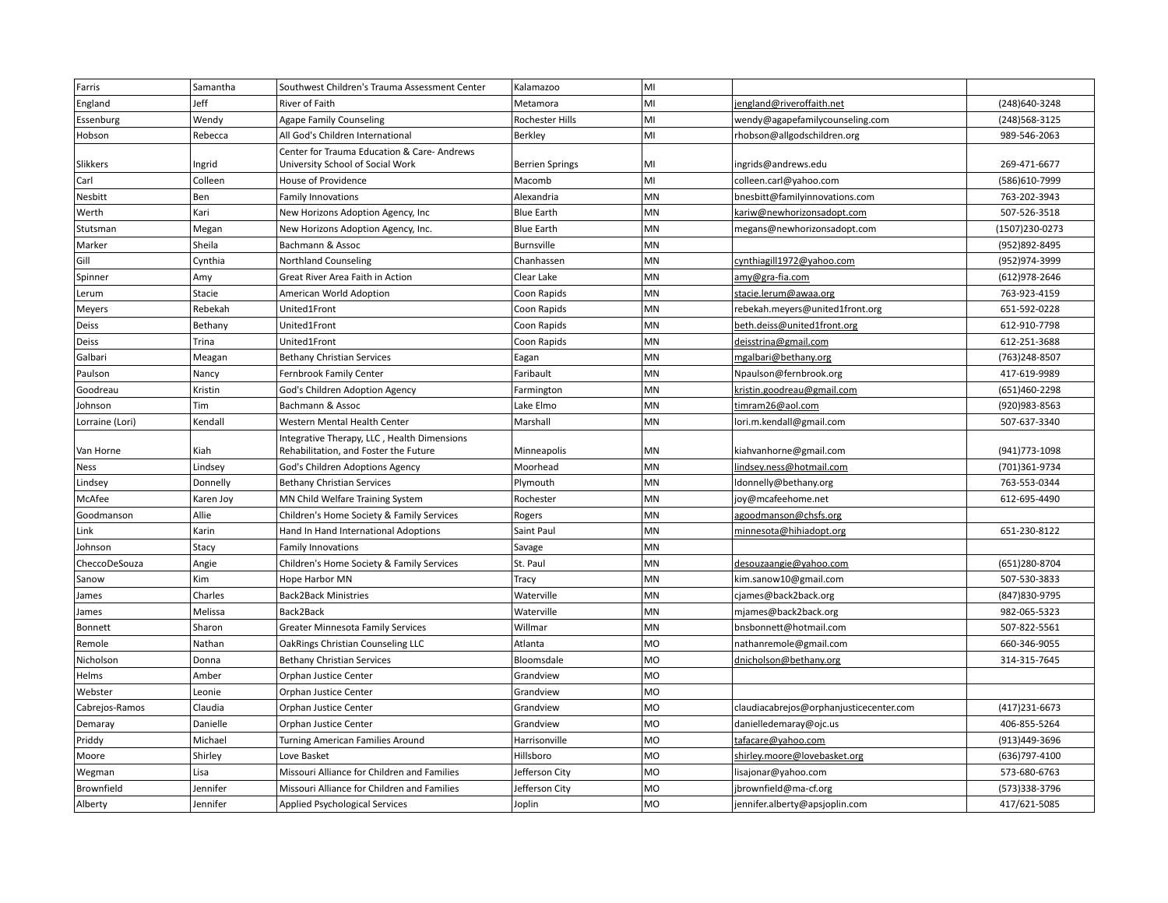| Farris          | Samantha  | Southwest Children's Trauma Assessment Center                                  | Kalamazoo              | MI        |                                         |                |
|-----------------|-----------|--------------------------------------------------------------------------------|------------------------|-----------|-----------------------------------------|----------------|
| England         | Jeff      | River of Faith                                                                 | Metamora               | MI        | jengland@riveroffaith.net               | (248)640-3248  |
| Essenburg       | Wendy     | <b>Agape Family Counseling</b>                                                 | Rochester Hills        | MI        | wendy@agapefamilycounseling.com         | (248) 568-3125 |
| Hobson          | Rebecca   | All God's Children International                                               | Berkley                | MI        | rhobson@allgodschildren.org             | 989-546-2063   |
| Slikkers        | Ingrid    | Center for Trauma Education & Care-Andrews<br>University School of Social Work | <b>Berrien Springs</b> | MI        | ingrids@andrews.edu                     | 269-471-6677   |
| Carl            | Colleen   | House of Providence                                                            | Macomb                 | MI        | colleen.carl@yahoo.com                  | (586)610-7999  |
| Nesbitt         | Ben       | Family Innovations                                                             | Alexandria             | MN        | bnesbitt@familyinnovations.com          | 763-202-3943   |
| Werth           | Kari      | New Horizons Adoption Agency, Inc                                              | <b>Blue Earth</b>      | <b>MN</b> | kariw@newhorizonsadopt.com              | 507-526-3518   |
| Stutsman        | Megan     | New Horizons Adoption Agency, Inc.                                             | <b>Blue Earth</b>      | MN        | megans@newhorizonsadopt.com             | (1507)230-0273 |
| Marker          | Sheila    | Bachmann & Assoc                                                               | <b>Burnsville</b>      | MN        |                                         | (952)892-8495  |
| Gill            | Cynthia   | <b>Northland Counseling</b>                                                    | Chanhassen             | MN        | cynthiagill1972@yahoo.com               | (952)974-3999  |
| Spinner         | Amy       | Great River Area Faith in Action                                               | Clear Lake             | MN        | amy@gra-fia.com                         | (612) 978-2646 |
| Lerum           | Stacie    | American World Adoption                                                        | Coon Rapids            | MN        | stacie.lerum@awaa.org                   | 763-923-4159   |
| Meyers          | Rebekah   | United1Front                                                                   | Coon Rapids            | MN        | rebekah.meyers@united1front.org         | 651-592-0228   |
| Deiss           | Bethany   | United1Front                                                                   | Coon Rapids            | MN        | beth.deiss@united1front.org             | 612-910-7798   |
| Deiss           | Trina     | United1Front                                                                   | Coon Rapids            | MN        | deisstrina@gmail.com                    | 612-251-3688   |
| Galbari         | Meagan    | <b>Bethany Christian Services</b>                                              | Eagan                  | <b>MN</b> | mgalbari@bethany.org                    | (763)248-8507  |
| Paulson         | Nancy     | Fernbrook Family Center                                                        | Faribault              | MN        | Npaulson@fernbrook.org                  | 417-619-9989   |
| Goodreau        | Kristin   | God's Children Adoption Agency                                                 | Farmington             | <b>MN</b> | kristin.goodreau@gmail.com              | (651)460-2298  |
| Johnson         | Tim       | Bachmann & Assoc                                                               | Lake Elmo              | MN        | timram26@aol.com                        | (920) 983-8563 |
| Lorraine (Lori) | Kendall   | Western Mental Health Center                                                   | Marshall               | MN        | lori.m.kendall@gmail.com                | 507-637-3340   |
|                 |           | Integrative Therapy, LLC, Health Dimensions                                    |                        |           |                                         |                |
| Van Horne       | Kiah      | Rehabilitation, and Foster the Future                                          | Minneapolis            | MN        | kiahvanhorne@gmail.com                  | (941) 773-1098 |
| <b>Ness</b>     | Lindsey   | God's Children Adoptions Agency                                                | Moorhead               | MN        | lindsey.ness@hotmail.com                | (701)361-9734  |
| Lindsey         | Donnelly  | <b>Bethany Christian Services</b>                                              | Plymouth               | MN        | Idonnelly@bethany.org                   | 763-553-0344   |
| McAfee          | Karen Joy | MN Child Welfare Training System                                               | Rochester              | MN        | joy@mcafeehome.net                      | 612-695-4490   |
| Goodmanson      | Allie     | Children's Home Society & Family Services                                      | Rogers                 | MN        | agoodmanson@chsfs.org                   |                |
| Link            | Karin     | Hand In Hand International Adoptions                                           | Saint Paul             | MN        | minnesota@hihiadopt.org                 | 651-230-8122   |
| Johnson         | Stacy     | Family Innovations                                                             | Savage                 | <b>MN</b> |                                         |                |
| CheccoDeSouza   | Angie     | Children's Home Society & Family Services                                      | St. Paul               | MN        | desouzaangie@yahoo.com                  | (651)280-8704  |
| Sanow           | Kim       | Hope Harbor MN                                                                 | Tracy                  | MN        | kim.sanow10@gmail.com                   | 507-530-3833   |
| James           | Charles   | <b>Back2Back Ministries</b>                                                    | Waterville             | <b>MN</b> | cjames@back2back.org                    | (847) 830-9795 |
| James           | Melissa   | Back2Back                                                                      | Waterville             | MN        | mjames@back2back.org                    | 982-065-5323   |
| Bonnett         | Sharon    | <b>Greater Minnesota Family Services</b>                                       | Willmar                | MN        | bnsbonnett@hotmail.com                  | 507-822-5561   |
| Remole          | Nathan    | OakRings Christian Counseling LLC                                              | Atlanta                | MO        | nathanremole@gmail.com                  | 660-346-9055   |
| Nicholson       | Donna     | <b>Bethany Christian Services</b>                                              | Bloomsdale             | MO        | dnicholson@bethany.org                  | 314-315-7645   |
| Helms           | Amber     | Orphan Justice Center                                                          | Grandview              | MO        |                                         |                |
| Webster         | Leonie    | Orphan Justice Center                                                          | Grandview              | MO        |                                         |                |
| Cabrejos-Ramos  | Claudia   | Orphan Justice Center                                                          | Grandview              | MO        | claudiacabrejos@orphanjusticecenter.com | (417) 231-6673 |
| Demaray         | Danielle  | Orphan Justice Center                                                          | Grandview              | MO        | danielledemaray@ojc.us                  | 406-855-5264   |
| Priddy          | Michael   | Turning American Families Around                                               | Harrisonville          | MO        | tafacare@yahoo.com                      | (913)449-3696  |
| Moore           | Shirley   | Love Basket                                                                    | Hillsboro              | MO        | shirley.moore@lovebasket.org            | (636) 797-4100 |
| Wegman          | Lisa      | Missouri Alliance for Children and Families                                    | Jefferson City         | MO        | lisajonar@yahoo.com                     | 573-680-6763   |
| Brownfield      | Jennifer  | Missouri Alliance for Children and Families                                    | lefferson City         | MO        | jbrownfield@ma-cf.org                   | (573)338-3796  |
| Alberty         | Jennifer  | <b>Applied Psychological Services</b>                                          | Joplin                 | <b>MO</b> | jennifer.alberty@apsjoplin.com          | 417/621-5085   |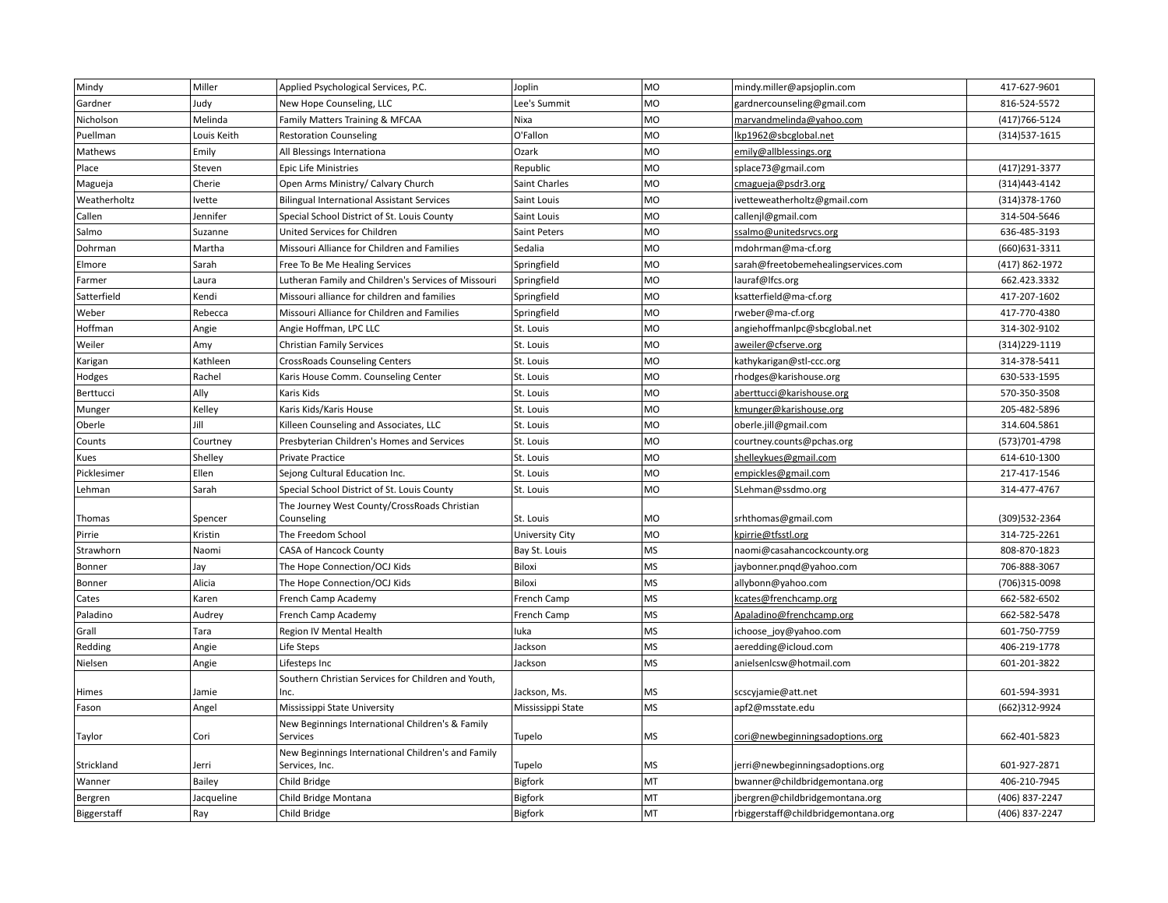| Mindy        | Miller      | Applied Psychological Services, P.C.                                 | Joplin                 | <b>MO</b> | mindy.miller@apsjoplin.com          | 417-627-9601   |
|--------------|-------------|----------------------------------------------------------------------|------------------------|-----------|-------------------------------------|----------------|
| Gardner      | Judy        | New Hope Counseling, LLC                                             | Lee's Summit           | <b>MO</b> | gardnercounseling@gmail.com         | 816-524-5572   |
| Nicholson    | Melinda     | Family Matters Training & MFCAA                                      | Nixa                   | MO        | marvandmelinda@yahoo.com            | (417) 766-5124 |
| Puellman     | Louis Keith | <b>Restoration Counseling</b>                                        | O'Fallon               | MO        | lkp1962@sbcglobal.net               | (314) 537-1615 |
| Mathews      | Emily       | All Blessings Internationa                                           | Ozark                  | <b>MO</b> | emily@allblessings.org              |                |
| Place        | Steven      | <b>Epic Life Ministries</b>                                          | Republic               | <b>MO</b> | splace73@gmail.com                  | (417) 291-3377 |
| Magueja      | Cherie      | Open Arms Ministry/ Calvary Church                                   | Saint Charles          | MO        | cmagueja@psdr3.org                  | (314) 443-4142 |
| Weatherholtz | Ivette      | <b>Bilingual International Assistant Services</b>                    | Saint Louis            | MO        | ivetteweatherholtz@gmail.com        | (314) 378-1760 |
| Callen       | Jennifer    | Special School District of St. Louis County                          | Saint Louis            | <b>MO</b> | callenjl@gmail.com                  | 314-504-5646   |
| Salmo        | Suzanne     | United Services for Children                                         | Saint Peters           | MO        | ssalmo@unitedsrvcs.org              | 636-485-3193   |
| Dohrman      | Martha      | Missouri Alliance for Children and Families                          | Sedalia                | MO        | mdohrman@ma-cf.org                  | (660) 631-3311 |
| Elmore       | Sarah       | Free To Be Me Healing Services                                       | Springfield            | MO        | sarah@freetobemehealingservices.com | (417) 862-1972 |
| Farmer       | Laura       | Lutheran Family and Children's Services of Missouri                  | Springfield            | <b>MO</b> | lauraf@lfcs.org                     | 662.423.3332   |
| Satterfield  | Kendi       | Missouri alliance for children and families                          | Springfield            | MO        | ksatterfield@ma-cf.org              | 417-207-1602   |
| Weber        | Rebecca     | Missouri Alliance for Children and Families                          | Springfield            | <b>MO</b> | rweber@ma-cf.org                    | 417-770-4380   |
| Hoffman      | Angie       | Angie Hoffman, LPC LLC                                               | St. Louis              | MO        | angiehoffmanlpc@sbcglobal.net       | 314-302-9102   |
| Weiler       | Amy         | <b>Christian Family Services</b>                                     | St. Louis              | <b>MO</b> | aweiler@cfserve.org                 | (314) 229-1119 |
| Karigan      | Kathleen    | <b>CrossRoads Counseling Centers</b>                                 | St. Louis              | <b>MO</b> | kathykarigan@stl-ccc.org            | 314-378-5411   |
| Hodges       | Rachel      | Karis House Comm. Counseling Center                                  | St. Louis              | <b>MO</b> | rhodges@karishouse.org              | 630-533-1595   |
| Berttucci    | Ally        | Karis Kids                                                           | St. Louis              | MO        | aberttucci@karishouse.org           | 570-350-3508   |
| Munger       | Kelley      | Karis Kids/Karis House                                               | St. Louis              | MO        | kmunger@karishouse.org              | 205-482-5896   |
| Oberle       | Jill        | Killeen Counseling and Associates, LLC                               | St. Louis              | <b>MO</b> | oberle.jill@gmail.com               | 314.604.5861   |
| Counts       | Courtney    | Presbyterian Children's Homes and Services                           | St. Louis              | <b>MO</b> | courtney.counts@pchas.org           | (573)701-4798  |
| Kues         | Shelley     | Private Practice                                                     | St. Louis              | MO        | shelleykues@gmail.com               | 614-610-1300   |
| Picklesimer  | Ellen       | Sejong Cultural Education Inc.                                       | St. Louis              | MO        | empickles@gmail.com                 | 217-417-1546   |
| Lehman       | Sarah       | Special School District of St. Louis County                          | St. Louis              | MO        | SLehman@ssdmo.org                   | 314-477-4767   |
|              |             | The Journey West County/CrossRoads Christian                         |                        |           |                                     |                |
| Thomas       | Spencer     | Counseling                                                           | St. Louis              | MO        | srhthomas@gmail.com                 | (309)532-2364  |
| Pirrie       | Kristin     | The Freedom School                                                   | <b>University City</b> | <b>MO</b> | kpirrie@tfsstl.org                  | 314-725-2261   |
| Strawhorn    | Naomi       | <b>CASA of Hancock County</b>                                        | Bay St. Louis          | <b>MS</b> | naomi@casahancockcounty.org         | 808-870-1823   |
| Bonner       | Jay         | The Hope Connection/OCJ Kids                                         | Biloxi                 | <b>MS</b> | jaybonner.pnqd@yahoo.com            | 706-888-3067   |
| Bonner       | Alicia      | The Hope Connection/OCJ Kids                                         | Biloxi                 | <b>MS</b> | allybonn@yahoo.com                  | (706)315-0098  |
| Cates        | Karen       | French Camp Academy                                                  | French Camp            | <b>MS</b> | kcates@frenchcamp.org               | 662-582-6502   |
| Paladino     | Audrey      | French Camp Academy                                                  | French Camp            | <b>MS</b> | Apaladino@frenchcamp.org            | 662-582-5478   |
| Grall        | Tara        | Region IV Mental Health                                              | luka                   | <b>MS</b> | ichoose_joy@yahoo.com               | 601-750-7759   |
| Redding      | Angie       | Life Steps                                                           | Jackson                | <b>MS</b> | aeredding@icloud.com                | 406-219-1778   |
| Nielsen      | Angie       | Lifesteps Inc                                                        | Jackson                | <b>MS</b> | anielsenlcsw@hotmail.com            | 601-201-3822   |
|              |             | Southern Christian Services for Children and Youth,                  |                        |           |                                     |                |
| Himes        | Jamie       | Inc.                                                                 | Jackson, Ms.           | <b>MS</b> | scscyjamie@att.net                  | 601-594-3931   |
| Fason        | Angel       | Mississippi State University                                         | Mississippi State      | <b>MS</b> | apf2@msstate.edu                    | (662)312-9924  |
|              |             | New Beginnings International Children's & Family                     |                        |           |                                     |                |
| Taylor       | Cori        | Services                                                             | Tupelo                 | <b>MS</b> | cori@newbeginningsadoptions.org     | 662-401-5823   |
| Strickland   | Jerri       | New Beginnings International Children's and Family<br>Services, Inc. | Tupelo                 | <b>MS</b> | jerri@newbeginningsadoptions.org    | 601-927-2871   |
| Wanner       | Bailey      | Child Bridge                                                         | Bigfork                | MT        | bwanner@childbridgemontana.org      | 406-210-7945   |
| Bergren      | Jacqueline  | Child Bridge Montana                                                 | Bigfork                | MT        | jbergren@childbridgemontana.org     | (406) 837-2247 |
|              | Ray         | Child Bridge                                                         | Bigfork                | MT        | rbiggerstaff@childbridgemontana.org | (406) 837-2247 |
| Biggerstaff  |             |                                                                      |                        |           |                                     |                |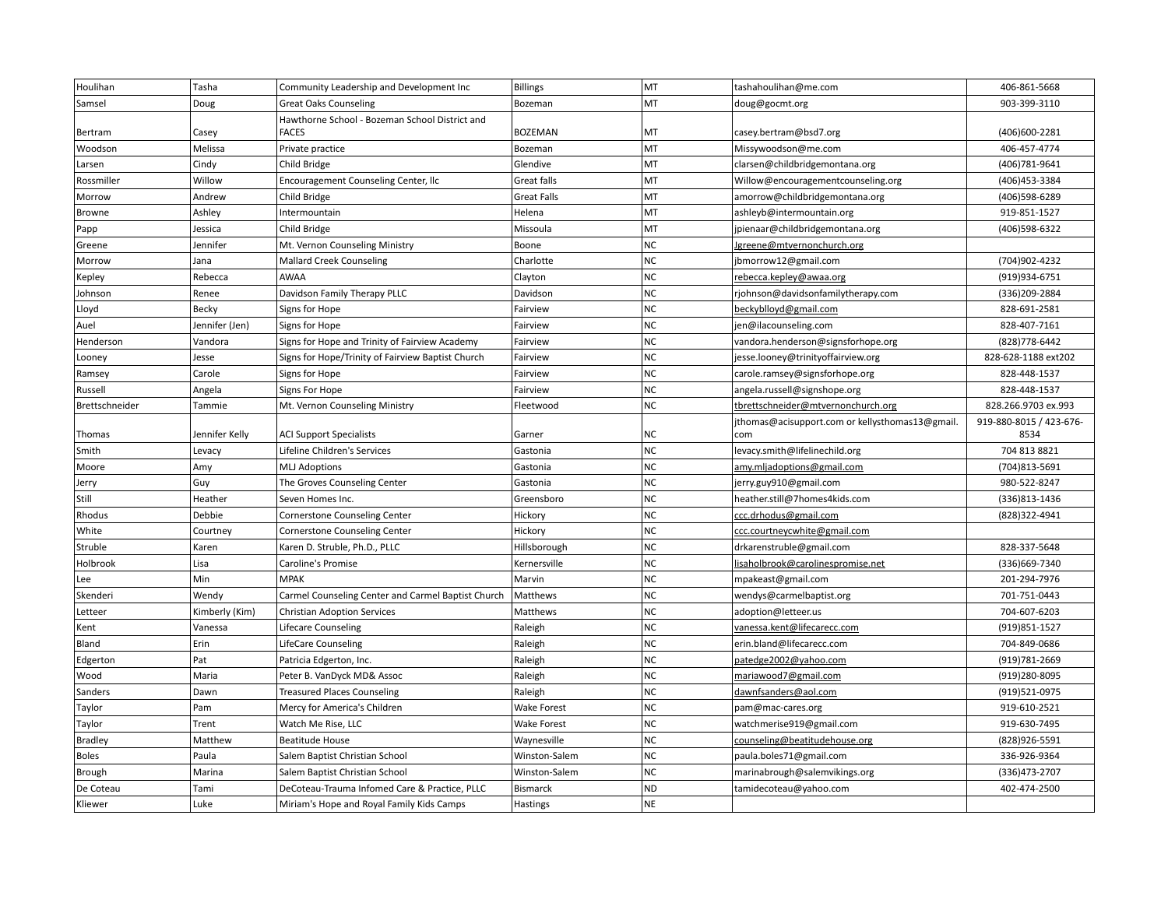| Houlihan       | Tasha          | Community Leadership and Development Inc           | Billings           | MT        | tashahoulihan@me.com                            | 406-861-5668            |
|----------------|----------------|----------------------------------------------------|--------------------|-----------|-------------------------------------------------|-------------------------|
| Samsel         | Doug           | <b>Great Oaks Counseling</b>                       | Bozeman            | MT        | doug@gocmt.org                                  | 903-399-3110            |
|                |                | Hawthorne School - Bozeman School District and     |                    |           |                                                 |                         |
| Bertram        | Casey          | <b>FACES</b>                                       | <b>BOZEMAN</b>     | MT        | casey.bertram@bsd7.org                          | (406)600-2281           |
| Woodson        | Melissa        | Private practice                                   | Bozeman            | MT        | Missywoodson@me.com                             | 406-457-4774            |
| Larsen         | Cindy          | Child Bridge                                       | Glendive           | MT        | clarsen@childbridgemontana.org                  | (406)781-9641           |
| Rossmiller     | Willow         | Encouragement Counseling Center, Ilc               | Great falls        | MT        | Willow@encouragementcounseling.org              | (406) 453-3384          |
| Morrow         | Andrew         | Child Bridge                                       | <b>Great Falls</b> | MT        | amorrow@childbridgemontana.org                  | (406)598-6289           |
| Browne         | Ashley         | Intermountain                                      | Helena             | MT        | ashleyb@intermountain.org                       | 919-851-1527            |
| Papp           | Jessica        | Child Bridge                                       | Missoula           | MT        | jpienaar@childbridgemontana.org                 | (406)598-6322           |
| Greene         | Jennifer       | Mt. Vernon Counseling Ministry                     | Boone              | <b>NC</b> | <u>Jgreene@mtvernonchurch.org</u>               |                         |
| Morrow         | Jana           | <b>Mallard Creek Counseling</b>                    | Charlotte          | <b>NC</b> | jbmorrow12@gmail.com                            | (704)902-4232           |
| Kepley         | Rebecca        | <b>AWAA</b>                                        | Clayton            | $NC$      | rebecca.kepley@awaa.org                         | (919)934-6751           |
| Johnson        | Renee          | Davidson Family Therapy PLLC                       | Davidson           | <b>NC</b> | rjohnson@davidsonfamilytherapy.com              | (336) 209-2884          |
| Lloyd          | Becky          | Signs for Hope                                     | Fairview           | <b>NC</b> | beckyblloyd@gmail.com                           | 828-691-2581            |
| Auel           | Jennifer (Jen) | Signs for Hope                                     | Fairview           | <b>NC</b> | jen@ilacounseling.com                           | 828-407-7161            |
| Henderson      | Vandora        | Signs for Hope and Trinity of Fairview Academy     | Fairview           | NC        | vandora.henderson@signsforhope.org              | (828) 778-6442          |
| Looney         | Jesse          | Signs for Hope/Trinity of Fairview Baptist Church  | Fairview           | <b>NC</b> | jesse.looney@trinityoffairview.org              | 828-628-1188 ext202     |
| Ramsey         | Carole         | Signs for Hope                                     | Fairview           | $NC$      | carole.ramsey@signsforhope.org                  | 828-448-1537            |
| Russell        | Angela         | Signs For Hope                                     | Fairview           | <b>NC</b> | angela.russell@signshope.org                    | 828-448-1537            |
| Brettschneider | Tammie         | Mt. Vernon Counseling Ministry                     | Fleetwood          | <b>NC</b> | tbrettschneider@mtvernonchurch.org              | 828.266.9703 ex.993     |
|                |                |                                                    |                    |           | jthomas@acisupport.com or kellysthomas13@gmail. | 919-880-8015 / 423-676- |
| Thomas         | Jennifer Kelly | <b>ACI Support Specialists</b>                     | Garner             | NC        | com                                             | 8534                    |
| Smith          | Levacy         | Lifeline Children's Services                       | Gastonia           | <b>NC</b> | levacy.smith@lifelinechild.org                  | 704 813 8821            |
| Moore          | Amy            | <b>MLJ Adoptions</b>                               | Gastonia           | <b>NC</b> | amy.mljadoptions@gmail.com                      | (704)813-5691           |
| Jerry          | Guy            | The Groves Counseling Center                       | Gastonia           | <b>NC</b> | jerry.guy910@gmail.com                          | 980-522-8247            |
| Still          | Heather        | Seven Homes Inc.                                   | Greensboro         | <b>NC</b> | heather.still@7homes4kids.com                   | (336)813-1436           |
| Rhodus         | Debbie         | <b>Cornerstone Counseling Center</b>               | Hickory            | <b>NC</b> | ccc.drhodus@gmail.com                           | (828)322-4941           |
| White          | Courtney       | Cornerstone Counseling Center                      | Hickory            | <b>NC</b> | ccc.courtneycwhite@gmail.com                    |                         |
| Struble        | Karen          | Karen D. Struble, Ph.D., PLLC                      | Hillsborough       | <b>NC</b> | drkarenstruble@gmail.com                        | 828-337-5648            |
| Holbrook       | Lisa           | Caroline's Promise                                 | Kernersville       | <b>NC</b> | lisaholbrook@carolinespromise.net               | (336)669-7340           |
| Lee            | Min            | <b>MPAK</b>                                        | Marvin             | <b>NC</b> | mpakeast@gmail.com                              | 201-294-7976            |
| Skenderi       | Wendy          | Carmel Counseling Center and Carmel Baptist Church | Matthews           | <b>NC</b> | wendys@carmelbaptist.org                        | 701-751-0443            |
| Letteer        | Kimberly (Kim) | <b>Christian Adoption Services</b>                 | Matthews           | $NC$      | adoption@letteer.us                             | 704-607-6203            |
| Kent           | Vanessa        | Lifecare Counseling                                | Raleigh            | <b>NC</b> | vanessa.kent@lifecarecc.com                     | (919) 851-1527          |
| Bland          | Erin           | <b>LifeCare Counseling</b>                         | Raleigh            | <b>NC</b> | erin.bland@lifecarecc.com                       | 704-849-0686            |
| Edgerton       | Pat            | Patricia Edgerton, Inc.                            | Raleigh            | <b>NC</b> | patedge2002@yahoo.com                           | (919) 781-2669          |
| Wood           | Maria          | Peter B. VanDyck MD& Assoc                         | Raleigh            | <b>NC</b> | mariawood7@gmail.com                            | (919)280-8095           |
| Sanders        | Dawn           | <b>Treasured Places Counseling</b>                 | Raleigh            | $NC$      | dawnfsanders@aol.com                            | (919)521-0975           |
| Taylor         | Pam            | Mercy for America's Children                       | Wake Forest        | <b>NC</b> | pam@mac-cares.org                               | 919-610-2521            |
| Taylor         | Trent          | Watch Me Rise, LLC                                 | Wake Forest        | NC        | watchmerise919@gmail.com                        | 919-630-7495            |
| <b>Bradley</b> | Matthew        | <b>Beatitude House</b>                             | Waynesville        | <b>NC</b> | counseling@beatitudehouse.org                   | (828)926-5591           |
| <b>Boles</b>   | Paula          | Salem Baptist Christian School                     | Winston-Salem      | $NC$      | paula.boles71@gmail.com                         | 336-926-9364            |
| Brough         | Marina         | Salem Baptist Christian School                     | Winston-Salem      | <b>NC</b> | marinabrough@salemvikings.org                   | (336) 473-2707          |
| De Coteau      | Tami           | DeCoteau-Trauma Infomed Care & Practice, PLLC      | <b>Bismarck</b>    | <b>ND</b> | tamidecoteau@yahoo.com                          | 402-474-2500            |
| Kliewer        | Luke           | Miriam's Hope and Royal Family Kids Camps          | Hastings           | <b>NE</b> |                                                 |                         |
|                |                |                                                    |                    |           |                                                 |                         |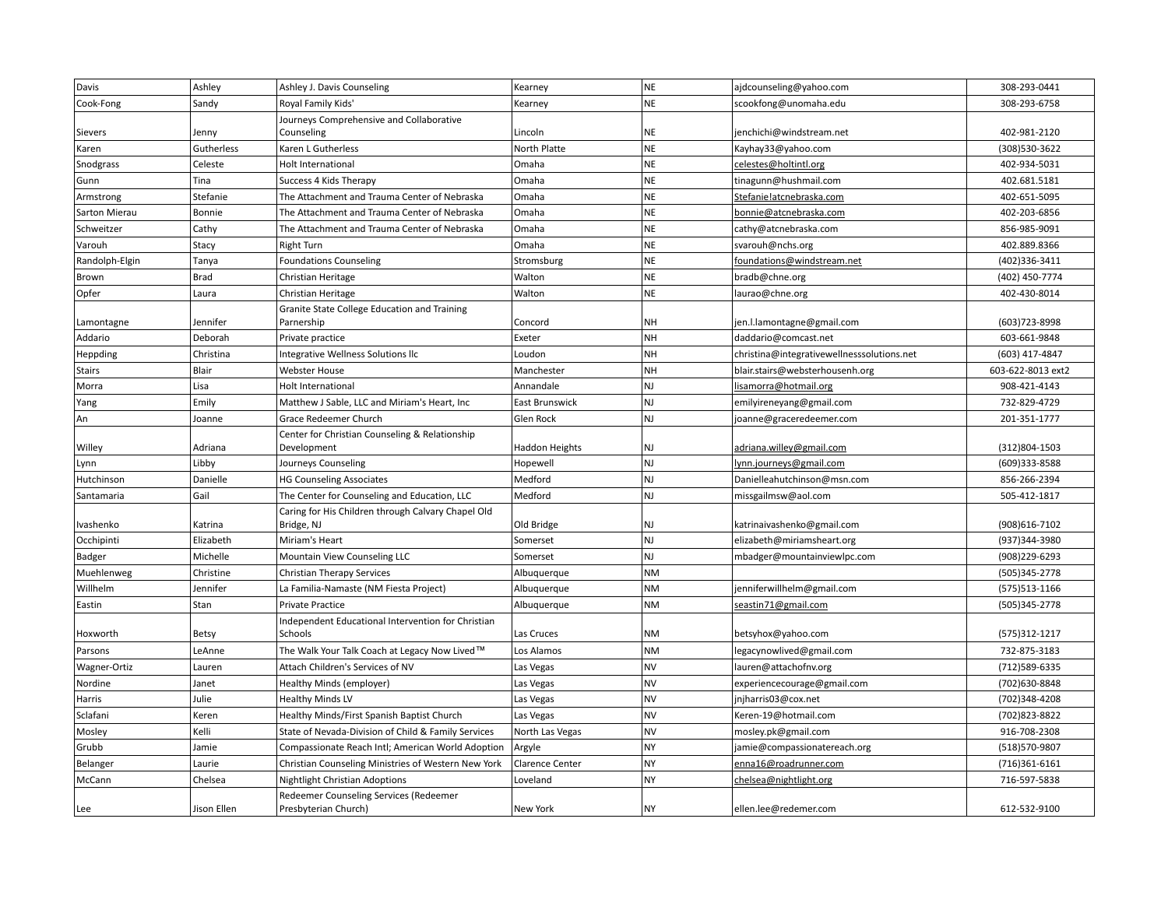| Davis          | Ashley      | Ashley J. Davis Counseling                                       | Kearney               | <b>NE</b> | ajdcounseling@yahoo.com                    | 308-293-0441      |
|----------------|-------------|------------------------------------------------------------------|-----------------------|-----------|--------------------------------------------|-------------------|
| Cook-Fong      | Sandy       | Royal Family Kids'                                               | Kearney               | <b>NE</b> | scookfong@unomaha.edu                      | 308-293-6758      |
|                |             | Journeys Comprehensive and Collaborative                         |                       |           |                                            |                   |
| Sievers        | Jenny       | Counseling                                                       | Lincoln               | <b>NE</b> | jenchichi@windstream.net                   | 402-981-2120      |
| Karen          | Gutherless  | Karen L Gutherless                                               | North Platte          | <b>NE</b> | Kayhay33@yahoo.com                         | (308)530-3622     |
| Snodgrass      | Celeste     | <b>Holt International</b>                                        | Omaha                 | <b>NE</b> | celestes@holtintl.org                      | 402-934-5031      |
| Gunn           | Tina        | Success 4 Kids Therapy                                           | Omaha                 | <b>NE</b> | tinagunn@hushmail.com                      | 402.681.5181      |
| Armstrong      | Stefanie    | The Attachment and Trauma Center of Nebraska                     | Omaha                 | <b>NE</b> | Stefanie!atcnebraska.com                   | 402-651-5095      |
| Sarton Mierau  | Bonnie      | The Attachment and Trauma Center of Nebraska                     | Omaha                 | <b>NE</b> | bonnie@atcnebraska.com                     | 402-203-6856      |
| Schweitzer     | Cathy       | The Attachment and Trauma Center of Nebraska                     | Omaha                 | <b>NE</b> | cathy@atcnebraska.com                      | 856-985-9091      |
| Varouh         | Stacy       | <b>Right Turn</b>                                                | Omaha                 | <b>NE</b> | svarouh@nchs.org                           | 402.889.8366      |
| Randolph-Elgin | Tanya       | <b>Foundations Counseling</b>                                    | Stromsburg            | <b>NE</b> | foundations@windstream.net                 | (402)336-3411     |
| Brown          | <b>Brad</b> | Christian Heritage                                               | Walton                | <b>NE</b> | bradb@chne.org                             | (402) 450-7774    |
| Opfer          | Laura       | Christian Heritage                                               | Walton                | <b>NE</b> | laurao@chne.org                            | 402-430-8014      |
|                |             | Granite State College Education and Training                     |                       |           |                                            |                   |
| Lamontagne     | Jennifer    | Parnership                                                       | Concord               | <b>NH</b> | jen.l.lamontagne@gmail.com                 | (603) 723-8998    |
| Addario        | Deborah     | Private practice                                                 | Exeter                | <b>NH</b> | daddario@comcast.net                       | 603-661-9848      |
| Heppding       | Christina   | Integrative Wellness Solutions IIc                               | Loudon                | <b>NH</b> | christina@integrativewellnesssolutions.net | (603) 417-4847    |
| <b>Stairs</b>  | Blair       | Webster House                                                    | Manchester            | <b>NH</b> | blair.stairs@websterhousenh.org            | 603-622-8013 ext2 |
| Morra          | Lisa        | Holt International                                               | Annandale             | NJ        | lisamorra@hotmail.org                      | 908-421-4143      |
| Yang           | Emily       | Matthew J Sable, LLC and Miriam's Heart, Inc                     | East Brunswick        | NJ        | emilyireneyang@gmail.com                   | 732-829-4729      |
| An             | Joanne      | Grace Redeemer Church                                            | Glen Rock             | NJ        | joanne@graceredeemer.com                   | 201-351-1777      |
| Willey         | Adriana     | Center for Christian Counseling & Relationship<br>Development    | <b>Haddon Heights</b> | NJ        | adriana.willey@gmail.com                   | (312)804-1503     |
| Lynn           | Libby       | Journeys Counseling                                              | Hopewell              | <b>NJ</b> | lynn.journeys@gmail.com                    | (609)333-8588     |
| Hutchinson     | Danielle    | <b>HG Counseling Associates</b>                                  | Medford               | NJ        | Danielleahutchinson@msn.com                | 856-266-2394      |
| Santamaria     | Gail        | The Center for Counseling and Education, LLC                     | Medford               | NJ        | missgailmsw@aol.com                        | 505-412-1817      |
| Ivashenko      | Katrina     | Caring for His Children through Calvary Chapel Old<br>Bridge, NJ | Old Bridge            | NJ        | katrinaivashenko@gmail.com                 | (908)616-7102     |
| Occhipinti     | Elizabeth   | Miriam's Heart                                                   | Somerset              | NJ        | elizabeth@miriamsheart.org                 | (937)344-3980     |
| Badger         | Michelle    | Mountain View Counseling LLC                                     | Somerset              | NJ        | mbadger@mountainviewlpc.com                | (908) 229-6293    |
| Muehlenweg     | Christine   | <b>Christian Therapy Services</b>                                | Albuquerque           | <b>NM</b> |                                            | (505)345-2778     |
| Willhelm       | Jennifer    | La Familia-Namaste (NM Fiesta Project)                           | Albuquerque           | <b>NM</b> | jenniferwillhelm@gmail.com                 | (575) 513-1166    |
| Eastin         | Stan        | <b>Private Practice</b>                                          | Albuquerque           | <b>NM</b> | seastin71@gmail.com                        | (505)345-2778     |
| Hoxworth       | Betsy       | Independent Educational Intervention for Christian<br>Schools    | Las Cruces            | <b>NM</b> | betsyhox@yahoo.com                         | (575)312-1217     |
| Parsons        | LeAnne      | The Walk Your Talk Coach at Legacy Now Lived™                    | Los Alamos            | <b>NM</b> | legacynowlived@gmail.com                   | 732-875-3183      |
| Wagner-Ortiz   | Lauren      | Attach Children's Services of NV                                 | Las Vegas             | <b>NV</b> | lauren@attachofnv.org                      | (712) 589-6335    |
| Nordine        | Janet       | Healthy Minds (employer)                                         | Las Vegas             | <b>NV</b> | experiencecourage@gmail.com                | (702)630-8848     |
| Harris         | Julie       | <b>Healthy Minds LV</b>                                          | Las Vegas             | <b>NV</b> | jnjharris03@cox.net                        | (702)348-4208     |
| Sclafani       | Keren       | Healthy Minds/First Spanish Baptist Church                       | Las Vegas             | <b>NV</b> | Keren-19@hotmail.com                       | (702) 823-8822    |
| Mosley         | Kelli       | State of Nevada-Division of Child & Family Services              | North Las Vegas       | <b>NV</b> | mosley.pk@gmail.com                        | 916-708-2308      |
| Grubb          | Jamie       | Compassionate Reach Intl; American World Adoption                | Argyle                | <b>NY</b> | jamie@compassionatereach.org               | (518)570-9807     |
| Belanger       | Laurie      | Christian Counseling Ministries of Western New York              | Clarence Center       | NY        | enna16@roadrunner.com                      | (716)361-6161     |
| McCann         | Chelsea     | Nightlight Christian Adoptions                                   | Loveland              | <b>NY</b> | chelsea@nightlight.org                     | 716-597-5838      |
|                |             | Redeemer Counseling Services (Redeemer                           |                       |           |                                            |                   |
| Lee            | Jison Ellen | Presbyterian Church)                                             | New York              | NY        | ellen.lee@redemer.com                      | 612-532-9100      |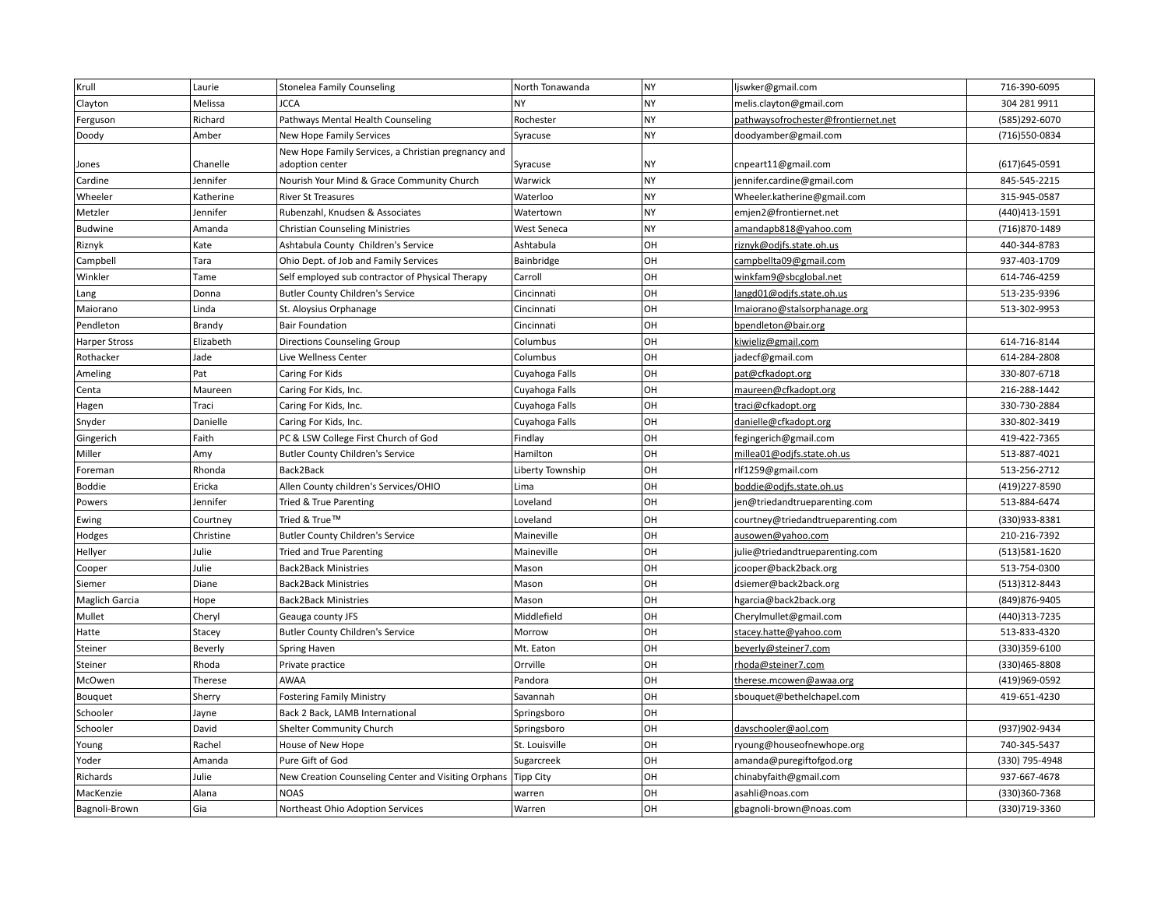| Krull                 | Laurie    | <b>Stonelea Family Counseling</b>                   | North Tonawanda  | <b>NY</b> | ljswker@gmail.com                   | 716-390-6095   |
|-----------------------|-----------|-----------------------------------------------------|------------------|-----------|-------------------------------------|----------------|
| Clayton               | Melissa   | <b>JCCA</b>                                         | <b>NY</b>        | <b>NY</b> | melis.clayton@gmail.com             | 304 281 9911   |
| Ferguson              | Richard   | Pathways Mental Health Counseling                   | Rochester        | <b>NY</b> | pathwaysofrochester@frontiernet.net | (585)292-6070  |
| Doody                 | Amber     | New Hope Family Services                            | Syracuse         | NY        | doodyamber@gmail.com                | (716)550-0834  |
|                       |           | New Hope Family Services, a Christian pregnancy and |                  |           |                                     |                |
| Jones                 | Chanelle  | adoption center                                     | Syracuse         | <b>NY</b> | cnpeart11@gmail.com                 | (617) 645-0591 |
| Cardine               | Jennifer  | Nourish Your Mind & Grace Community Church          | Warwick          | NY        | jennifer.cardine@gmail.com          | 845-545-2215   |
| Wheeler               | Katherine | <b>River St Treasures</b>                           | Waterloo         | <b>NY</b> | Wheeler.katherine@gmail.com         | 315-945-0587   |
| Metzler               | Jennifer  | Rubenzahl, Knudsen & Associates                     | Watertown        | <b>NY</b> | emjen2@frontiernet.net              | (440) 413-1591 |
| <b>Budwine</b>        | Amanda    | <b>Christian Counseling Ministries</b>              | West Seneca      | <b>NY</b> | amandapb818@yahoo.com               | (716)870-1489  |
| Riznyk                | Kate      | Ashtabula County Children's Service                 | Ashtabula        | OH        | riznyk@odjfs.state.oh.us            | 440-344-8783   |
| Campbell              | Tara      | Ohio Dept. of Job and Family Services               | Bainbridge       | OH        | campbellta09@gmail.com              | 937-403-1709   |
| Winkler               | Tame      | Self employed sub contractor of Physical Therapy    | Carroll          | OH        | winkfam9@sbcglobal.net              | 614-746-4259   |
| Lang                  | Donna     | <b>Butler County Children's Service</b>             | Cincinnati       | OH        | langd01@odjfs.state.oh.us           | 513-235-9396   |
| Maiorano              | Linda     | St. Aloysius Orphanage                              | Cincinnati       | OH        | Imaiorano@stalsorphanage.org        | 513-302-9953   |
| Pendleton             | Brandy    | <b>Bair Foundation</b>                              | Cincinnati       | OH        | bpendleton@bair.org                 |                |
| <b>Harper Stross</b>  | Elizabeth | <b>Directions Counseling Group</b>                  | Columbus         | OH        | kiwieliz@gmail.com                  | 614-716-8144   |
| Rothacker             | Jade      | Live Wellness Center                                | Columbus         | OH        | jadecf@gmail.com                    | 614-284-2808   |
| Ameling               | Pat       | Caring For Kids                                     | Cuyahoga Falls   | OH        | pat@cfkadopt.org                    | 330-807-6718   |
| Centa                 | Maureen   | Caring For Kids, Inc.                               | Cuyahoga Falls   | OH        | maureen@cfkadopt.org                | 216-288-1442   |
| Hagen                 | Traci     | Caring For Kids, Inc.                               | Cuyahoga Falls   | OH        | traci@cfkadopt.org                  | 330-730-2884   |
| Snyder                | Danielle  | Caring For Kids, Inc.                               | Cuyahoga Falls   | OH        | danielle@cfkadopt.org               | 330-802-3419   |
| Gingerich             | Faith     | PC & LSW College First Church of God                | Findlay          | OH        | fegingerich@gmail.com               | 419-422-7365   |
| Miller                | Amy       | <b>Butler County Children's Service</b>             | Hamilton         | OH        | millea01@odjfs.state.oh.us          | 513-887-4021   |
| Foreman               | Rhonda    | Back2Back                                           | Liberty Township | OH        | rlf1259@gmail.com                   | 513-256-2712   |
| Boddie                | Ericka    | Allen County children's Services/OHIO               | Lima             | OH        | boddie@odjfs.state.oh.us            | (419) 227-8590 |
| Powers                | Jennifer  | Tried & True Parenting                              | Loveland         | OH        | jen@triedandtrueparenting.com       | 513-884-6474   |
| Ewing                 | Courtney  | Tried & True™                                       | Loveland         | OH        | courtney@triedandtrueparenting.com  | (330)933-8381  |
| Hodges                | Christine | <b>Butler County Children's Service</b>             | Maineville       | OH        | ausowen@yahoo.com                   | 210-216-7392   |
| Hellyer               | Julie     | Tried and True Parenting                            | Maineville       | OH        | julie@triedandtrueparenting.com     | (513) 581-1620 |
| Cooper                | Julie     | <b>Back2Back Ministries</b>                         | Mason            | OH        | jcooper@back2back.org               | 513-754-0300   |
| Siemer                | Diane     | <b>Back2Back Ministries</b>                         | Mason            | OH        | dsiemer@back2back.org               | (513)312-8443  |
| <b>Maglich Garcia</b> | Hope      | <b>Back2Back Ministries</b>                         | Mason            | OH        | hgarcia@back2back.org               | (849) 876-9405 |
| Mullet                | Cheryl    | Geauga county JFS                                   | Middlefield      | OH        | Cherylmullet@gmail.com              | (440)313-7235  |
| Hatte                 | Stacey    | <b>Butler County Children's Service</b>             | Morrow           | OH        | stacey.hatte@yahoo.com              | 513-833-4320   |
| Steiner               | Beverly   | Spring Haven                                        | Mt. Eaton        | OH        | beverly@steiner7.com                | (330)359-6100  |
| Steiner               | Rhoda     | Private practice                                    | Orrville         | OH        | rhoda@steiner7.com                  | (330) 465-8808 |
| McOwen                | Therese   | AWAA                                                | Pandora          | OH        | therese.mcowen@awaa.org             | (419)969-0592  |
| Bouquet               | Sherry    | <b>Fostering Family Ministry</b>                    | Savannah         | OH        | sbouquet@bethelchapel.com           | 419-651-4230   |
| Schooler              | Jayne     | Back 2 Back, LAMB International                     | Springsboro      | OH        |                                     |                |
| Schooler              | David     | Shelter Community Church                            | Springsboro      | OH        | davschooler@aol.com                 | (937) 902-9434 |
| Young                 | Rachel    | House of New Hope                                   | St. Louisville   | OH        | ryoung@houseofnewhope.org           | 740-345-5437   |
| Yoder                 | Amanda    | Pure Gift of God                                    | Sugarcreek       | OH        | amanda@puregiftofgod.org            | (330) 795-4948 |
| Richards              | Julie     | New Creation Counseling Center and Visiting Orphans | <b>Tipp City</b> | OH        | chinabyfaith@gmail.com              | 937-667-4678   |
| MacKenzie             | Alana     | <b>NOAS</b>                                         | warren           | OH        | asahli@noas.com                     | (330)360-7368  |
| Bagnoli-Brown         | Gia       | Northeast Ohio Adoption Services                    | Warren           | OH        | gbagnoli-brown@noas.com             | (330) 719-3360 |
|                       |           |                                                     |                  |           |                                     |                |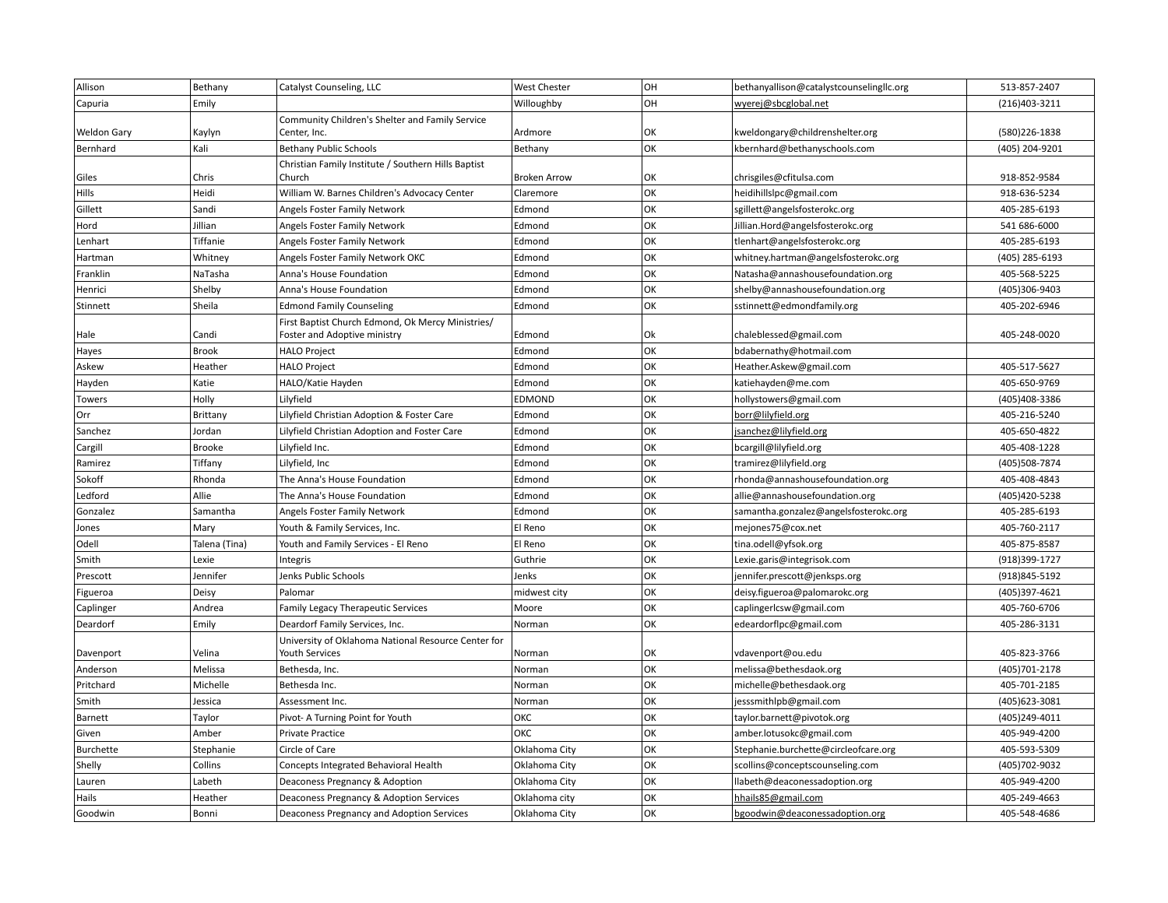| Allison            | Bethany       | Catalyst Counseling, LLC                            | <b>West Chester</b> | OH | bethanyallison@catalystcounselingllc.org | 513-857-2407   |
|--------------------|---------------|-----------------------------------------------------|---------------------|----|------------------------------------------|----------------|
| Capuria            | Emily         |                                                     | Willoughby          | OH | wyerej@sbcglobal.net                     | (216)403-3211  |
|                    |               | Community Children's Shelter and Family Service     |                     |    |                                          |                |
| <b>Weldon Gary</b> | Kaylyn        | Center, Inc.                                        | Ardmore             | OK | kweldongary@childrenshelter.org          | (580)226-1838  |
| Bernhard           | Kali          | <b>Bethany Public Schools</b>                       | Bethany             | OK | kbernhard@bethanyschools.com             | (405) 204-9201 |
|                    |               | Christian Family Institute / Southern Hills Baptist |                     |    |                                          |                |
| Giles              | Chris         | Church                                              | <b>Broken Arrow</b> | OK | chrisgiles@cfitulsa.com                  | 918-852-9584   |
| Hills              | Heidi         | William W. Barnes Children's Advocacy Center        | Claremore           | OK | heidihillslpc@gmail.com                  | 918-636-5234   |
| Gillett            | Sandi         | Angels Foster Family Network                        | Edmond              | OK | sgillett@angelsfosterokc.org             | 405-285-6193   |
| Hord               | Jillian       | Angels Foster Family Network                        | Edmond              | OK | Jillian.Hord@angelsfosterokc.org         | 541 686-6000   |
| Lenhart            | Tiffanie      | Angels Foster Family Network                        | Edmond              | OK | tlenhart@angelsfosterokc.org             | 405-285-6193   |
| Hartman            | Whitney       | Angels Foster Family Network OKC                    | Edmond              | OK | whitney.hartman@angelsfosterokc.org      | (405) 285-6193 |
| Franklin           | NaTasha       | Anna's House Foundation                             | Edmond              | OK | Natasha@annashousefoundation.org         | 405-568-5225   |
| Henrici            | Shelby        | Anna's House Foundation                             | Edmond              | OK | shelby@annashousefoundation.org          | (405)306-9403  |
| Stinnett           | Sheila        | <b>Edmond Family Counseling</b>                     | Edmond              | OK | sstinnett@edmondfamily.org               | 405-202-6946   |
|                    |               | First Baptist Church Edmond, Ok Mercy Ministries/   |                     |    |                                          |                |
| Hale               | Candi         | Foster and Adoptive ministry                        | Edmond              | Ok | chaleblessed@gmail.com                   | 405-248-0020   |
| Hayes              | <b>Brook</b>  | <b>HALO Project</b>                                 | Edmond              | OK | bdabernathy@hotmail.com                  |                |
| Askew              | Heather       | <b>HALO Project</b>                                 | Edmond              | OK | Heather.Askew@gmail.com                  | 405-517-5627   |
| Hayden             | Katie         | HALO/Katie Hayden                                   | Edmond              | OK | katiehayden@me.com                       | 405-650-9769   |
| Towers             | Holly         | Lilyfield                                           | EDMOND              | OK | hollystowers@gmail.com                   | (405)408-3386  |
| Orr                | Brittany      | Lilyfield Christian Adoption & Foster Care          | Edmond              | OK | borr@lilyfield.org                       | 405-216-5240   |
| Sanchez            | Jordan        | Lilyfield Christian Adoption and Foster Care        | Edmond              | OK | jsanchez@lilyfield.org                   | 405-650-4822   |
| Cargill            | <b>Brooke</b> | Lilyfield Inc.                                      | Edmond              | OK | bcargill@lilyfield.org                   | 405-408-1228   |
| Ramirez            | Tiffany       | Lilyfield, Inc                                      | Edmond              | OK | tramirez@lilyfield.org                   | (405)508-7874  |
| Sokoff             | Rhonda        | The Anna's House Foundation                         | Edmond              | OK | rhonda@annashousefoundation.org          | 405-408-4843   |
| Ledford            | Allie         | The Anna's House Foundation                         | Edmond              | OK | allie@annashousefoundation.org           | (405) 420-5238 |
| Gonzalez           | Samantha      | Angels Foster Family Network                        | Edmond              | OK | samantha.gonzalez@angelsfosterokc.org    | 405-285-6193   |
| Jones              | Mary          | Youth & Family Services, Inc.                       | El Reno             | OK | mejones75@cox.net                        | 405-760-2117   |
| Odell              | Talena (Tina) | Youth and Family Services - El Reno                 | El Reno             | OK | tina.odell@yfsok.org                     | 405-875-8587   |
| Smith              | Lexie         | Integris                                            | Guthrie             | OK | Lexie.garis@integrisok.com               | (918)399-1727  |
| Prescott           | Jennifer      | Jenks Public Schools                                | Jenks               | OK | jennifer.prescott@jenksps.org            | (918) 845-5192 |
| Figueroa           | Deisy         | Palomar                                             | midwest city        | OK | deisy.figueroa@palomarokc.org            | (405)397-4621  |
| Caplinger          | Andrea        | Family Legacy Therapeutic Services                  | Moore               | OK | caplingerlcsw@gmail.com                  | 405-760-6706   |
| Deardorf           | Emily         | Deardorf Family Services, Inc.                      | Norman              | OK | edeardorflpc@gmail.com                   | 405-286-3131   |
|                    |               | University of Oklahoma National Resource Center for |                     |    |                                          |                |
| Davenport          | Velina        | Youth Services                                      | Norman              | OK | vdavenport@ou.edu                        | 405-823-3766   |
| Anderson           | Melissa       | Bethesda, Inc.                                      | Norman              | OK | melissa@bethesdaok.org                   | (405)701-2178  |
| Pritchard          | Michelle      | Bethesda Inc.                                       | Norman              | OK | michelle@bethesdaok.org                  | 405-701-2185   |
| Smith              | Jessica       | Assessment Inc.                                     | Norman              | OK | jesssmithlpb@gmail.com                   | (405) 623-3081 |
| Barnett            | Taylor        | Pivot- A Turning Point for Youth                    | ОКС                 | OK | taylor.barnett@pivotok.org               | (405)249-4011  |
| Given              | Amber         | Private Practice                                    | ОКС                 | OK | amber.lotusokc@gmail.com                 | 405-949-4200   |
| Burchette          | Stephanie     | Circle of Care                                      | Oklahoma City       | OK | Stephanie.burchette@circleofcare.org     | 405-593-5309   |
| Shelly             | Collins       | Concepts Integrated Behavioral Health               | Oklahoma City       | OK | scollins@conceptscounseling.com          | (405) 702-9032 |
| Lauren             | Labeth        | Deaconess Pregnancy & Adoption                      | Oklahoma City       | OK | llabeth@deaconessadoption.org            | 405-949-4200   |
| Hails              | Heather       | Deaconess Pregnancy & Adoption Services             | Oklahoma city       | OK | hhails85@gmail.com                       | 405-249-4663   |
| Goodwin            | Bonni         | Deaconess Pregnancy and Adoption Services           | Oklahoma City       | OK | bgoodwin@deaconessadoption.org           | 405-548-4686   |
|                    |               |                                                     |                     |    |                                          |                |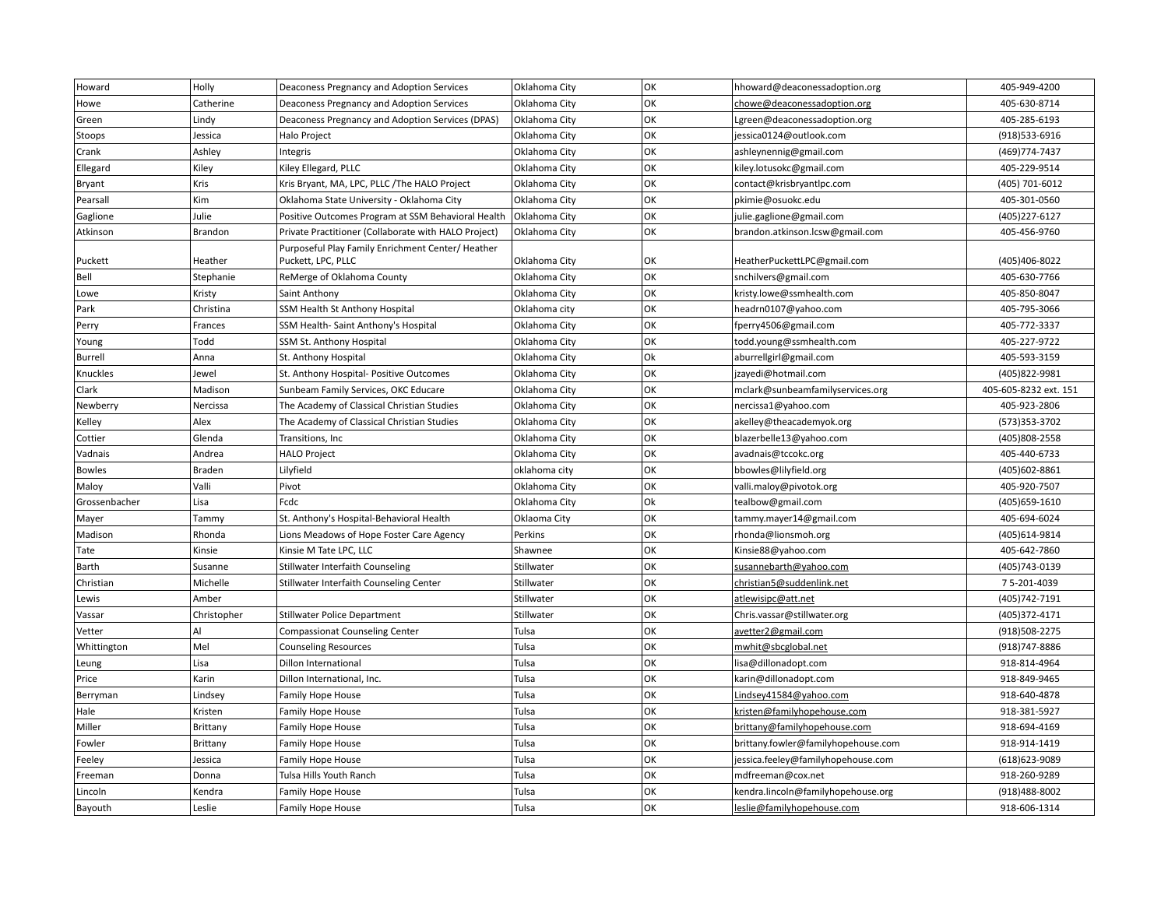| Howard         | Holly       | Deaconess Pregnancy and Adoption Services                               | Oklahoma City | OK | hhoward@deaconessadoption.org       | 405-949-4200          |
|----------------|-------------|-------------------------------------------------------------------------|---------------|----|-------------------------------------|-----------------------|
| Howe           | Catherine   | Deaconess Pregnancy and Adoption Services                               | Oklahoma City | OK | chowe@deaconessadoption.org         | 405-630-8714          |
| Green          | Lindy       | Deaconess Pregnancy and Adoption Services (DPAS)                        | Oklahoma City | OK | Lgreen@deaconessadoption.org        | 405-285-6193          |
| Stoops         | Jessica     | Halo Project                                                            | Oklahoma City | OK | jessica0124@outlook.com             | (918) 533-6916        |
| Crank          | Ashley      | Integris                                                                | Oklahoma City | OK | ashleynennig@gmail.com              | (469) 774-7437        |
| Ellegard       | Kiley       | Kiley Ellegard, PLLC                                                    | Oklahoma City | OK | kiley.lotusokc@gmail.com            | 405-229-9514          |
| Bryant         | Kris        | Kris Bryant, MA, LPC, PLLC / The HALO Project                           | Oklahoma City | OK | contact@krisbryantlpc.com           | (405) 701-6012        |
| Pearsall       | Kim         | Oklahoma State University - Oklahoma City                               | Oklahoma City | OK | pkimie@osuokc.edu                   | 405-301-0560          |
| Gaglione       | Julie       | Positive Outcomes Program at SSM Behavioral Health                      | Oklahoma City | OK | julie.gaglione@gmail.com            | (405) 227-6127        |
| Atkinson       | Brandon     | Private Practitioner (Collaborate with HALO Project)                    | Oklahoma City | OK | brandon.atkinson.lcsw@gmail.com     | 405-456-9760          |
| Puckett        | Heather     | Purposeful Play Family Enrichment Center/ Heather<br>Puckett, LPC, PLLC | Oklahoma City | OK | HeatherPuckettLPC@gmail.com         | (405)406-8022         |
| Bell           | Stephanie   | ReMerge of Oklahoma County                                              | Oklahoma City | OK | snchilvers@gmail.com                | 405-630-7766          |
| Lowe           | Kristy      | Saint Anthony                                                           | Oklahoma City | OK | kristy.lowe@ssmhealth.com           | 405-850-8047          |
| Park           | Christina   | SSM Health St Anthony Hospital                                          | Oklahoma city | OK | headrn0107@yahoo.com                | 405-795-3066          |
| Perry          | Frances     | SSM Health-Saint Anthony's Hospital                                     | Oklahoma City | OK | fperry4506@gmail.com                | 405-772-3337          |
| Young          | Todd        | SSM St. Anthony Hospital                                                | Oklahoma City | OK | todd.young@ssmhealth.com            | 405-227-9722          |
| Burrell        | Anna        | St. Anthony Hospital                                                    | Oklahoma City | Ok | aburrellgirl@gmail.com              | 405-593-3159          |
| Knuckles       | Jewel       | St. Anthony Hospital- Positive Outcomes                                 | Oklahoma City | OK | jzayedi@hotmail.com                 | (405)822-9981         |
| Clark          | Madison     | Sunbeam Family Services, OKC Educare                                    | Oklahoma City | OK | mclark@sunbeamfamilyservices.org    | 405-605-8232 ext. 151 |
| Newberry       | Nercissa    | The Academy of Classical Christian Studies                              | Oklahoma City | OK | nercissa1@yahoo.com                 | 405-923-2806          |
| Kelley         | Alex        | The Academy of Classical Christian Studies                              | Oklahoma City | OK | akelley@theacademyok.org            | (573)353-3702         |
| Cottier        | Glenda      | Transitions, Inc.                                                       | Oklahoma City | OK | blazerbelle13@yahoo.com             | (405)808-2558         |
| Vadnais        | Andrea      | <b>HALO Project</b>                                                     | Oklahoma City | OK | avadnais@tccokc.org                 | 405-440-6733          |
| <b>Bowles</b>  | Braden      | Lilyfield                                                               | oklahoma city | OK | bbowles@lilyfield.org               | (405) 602-8861        |
| Maloy          | Valli       | Pivot                                                                   | Oklahoma City | OK | valli.maloy@pivotok.org             | 405-920-7507          |
| Grossenbacher  | Lisa        | Fcdc                                                                    | Oklahoma City | Ok | tealbow@gmail.com                   | (405) 659-1610        |
| Mayer          | Tammy       | St. Anthony's Hospital-Behavioral Health                                | Oklaoma City  | OK | tammy.mayer14@gmail.com             | 405-694-6024          |
| Madison        | Rhonda      | Lions Meadows of Hope Foster Care Agency                                | Perkins       | OK | rhonda@lionsmoh.org                 | (405) 614-9814        |
| Tate           | Kinsie      | Kinsie M Tate LPC, LLC                                                  | Shawnee       | OK | Kinsie88@yahoo.com                  | 405-642-7860          |
| Barth          | Susanne     | <b>Stillwater Interfaith Counseling</b>                                 | Stillwater    | OK | susannebarth@yahoo.com              | (405) 743-0139        |
| Christian      | Michelle    | Stillwater Interfaith Counseling Center                                 | Stillwater    | OK | christian5@suddenlink.net           | 75-201-4039           |
| Lewis          | Amber       |                                                                         | Stillwater    | OK | atlewisipc@att.net                  | (405) 742-7191        |
| Vassar         | Christopher | <b>Stillwater Police Department</b>                                     | Stillwater    | OK | Chris.vassar@stillwater.org         | (405)372-4171         |
| Vetter         | AI          | <b>Compassionat Counseling Center</b>                                   | Tulsa         | OK | avetter2@gmail.com                  | (918) 508-2275        |
| Whittington    | Mel         | <b>Counseling Resources</b>                                             | Tulsa         | OK | mwhit@sbcglobal.net                 | (918) 747-8886        |
| Leung          | Lisa        | <b>Dillon International</b>                                             | Tulsa         | OK | lisa@dillonadopt.com                | 918-814-4964          |
| Price          | Karin       | Dillon International, Inc.                                              | Tulsa         | OK | karin@dillonadopt.com               | 918-849-9465          |
| Berryman       | Lindsey     | <b>Family Hope House</b>                                                | Tulsa         | OK | Lindsey41584@yahoo.com              | 918-640-4878          |
| Hale           | Kristen     | Family Hope House                                                       | Tulsa         | OK | kristen@familyhopehouse.com         | 918-381-5927          |
| Miller         | Brittany    | <b>Family Hope House</b>                                                | Tulsa         | OK | brittany@familyhopehouse.com        | 918-694-4169          |
| Fowler         | Brittany    | Family Hope House                                                       | Tulsa         | OK | brittany.fowler@familyhopehouse.com | 918-914-1419          |
| Feeley         | Jessica     | <b>Family Hope House</b>                                                | Tulsa         | OK | jessica.feeley@familyhopehouse.com  | (618) 623-9089        |
| Freeman        | Donna       | Tulsa Hills Youth Ranch                                                 | Tulsa         | OK | mdfreeman@cox.net                   | 918-260-9289          |
| Lincoln        | Kendra      | <b>Family Hope House</b>                                                | Tulsa         | OK | kendra.lincoln@familyhopehouse.org  | (918)488-8002         |
| <b>Bayouth</b> | Leslie      | <b>Family Hope House</b>                                                | Tulsa         | OK | leslie@familyhopehouse.com          | 918-606-1314          |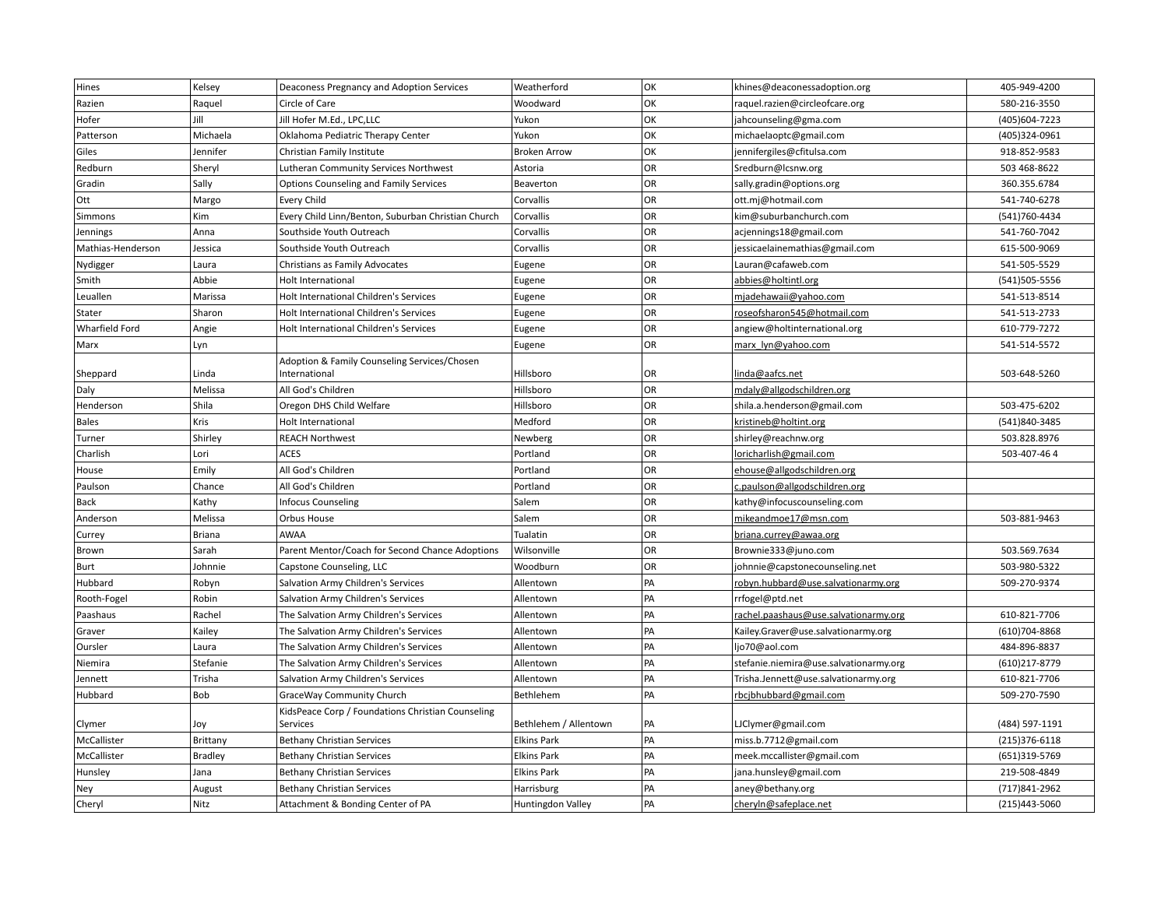| Hines             | Kelsey         | Deaconess Pregnancy and Adoption Services          | Weatherford           | OK        | khines@deaconessadoption.org           | 405-949-4200      |
|-------------------|----------------|----------------------------------------------------|-----------------------|-----------|----------------------------------------|-------------------|
| Razien            | Raquel         | Circle of Care                                     | Woodward              | OK        | raquel.razien@circleofcare.org         | 580-216-3550      |
| Hofer             | Jill           | Jill Hofer M.Ed., LPC,LLC                          | Yukon                 | OK        | jahcounseling@gma.com                  | (405)604-7223     |
| Patterson         | Michaela       | Oklahoma Pediatric Therapy Center                  | Yukon                 | OK        | michaelaoptc@gmail.com                 | (405)324-0961     |
| Giles             | Jennifer       | Christian Family Institute                         | <b>Broken Arrow</b>   | OK        | jennifergiles@cfitulsa.com             | 918-852-9583      |
| Redburn           | Sheryl         | Lutheran Community Services Northwest              | Astoria               | OR        | Sredburn@lcsnw.org                     | 503 468-8622      |
| Gradin            | Sally          | <b>Options Counseling and Family Services</b>      | Beaverton             | OR        | sally.gradin@options.org               | 360.355.6784      |
| Ott               | Margo          | Every Child                                        | Corvallis             | OR        | ott.mj@hotmail.com                     | 541-740-6278      |
| Simmons           | Kim            | Every Child Linn/Benton, Suburban Christian Church | Corvallis             | <b>OR</b> | kim@suburbanchurch.com                 | (541)760-4434     |
| Jennings          | Anna           | Southside Youth Outreach                           | Corvallis             | OR        | acjennings18@gmail.com                 | 541-760-7042      |
| Mathias-Henderson | Jessica        | Southside Youth Outreach                           | Corvallis             | OR        | jessicaelainemathias@gmail.com         | 615-500-9069      |
| Nydigger          | Laura          | Christians as Family Advocates                     | Eugene                | OR        | Lauran@cafaweb.com                     | 541-505-5529      |
| Smith             | Abbie          | Holt International                                 | Eugene                | OR        | abbies@holtintl.org                    | (541)505-5556     |
| Leuallen          | Marissa        | Holt International Children's Services             | Eugene                | OR        | mjadehawaii@yahoo.com                  | 541-513-8514      |
| Stater            | Sharon         | Holt International Children's Services             | Eugene                | OR        | roseofsharon545@hotmail.com            | 541-513-2733      |
| Wharfield Ford    | Angie          | Holt International Children's Services             | Eugene                | <b>OR</b> | angiew@holtinternational.org           | 610-779-7272      |
| Marx              | Lyn            |                                                    | Eugene                | OR        | marx lyn@yahoo.com                     | 541-514-5572      |
|                   |                | Adoption & Family Counseling Services/Chosen       |                       |           |                                        |                   |
| Sheppard          | Linda          | International                                      | Hillsboro             | OR        | linda@aafcs.net                        | 503-648-5260      |
| Daly              | Melissa        | All God's Children                                 | Hillsboro             | OR        | mdaly@allgodschildren.org              |                   |
| Henderson         | Shila          | Oregon DHS Child Welfare                           | Hillsboro             | OR        | shila.a.henderson@gmail.com            | 503-475-6202      |
| <b>Bales</b>      | Kris           | Holt International                                 | Medford               | OR        | kristineb@holtint.org                  | (541)840-3485     |
| Turner            | Shirley        | <b>REACH Northwest</b>                             | Newberg               | OR        | shirley@reachnw.org                    | 503.828.8976      |
| Charlish          | Lori           | <b>ACES</b>                                        | Portland              | OR        | loricharlish@gmail.com                 | 503-407-464       |
| House             | Emily          | All God's Children                                 | Portland              | <b>OR</b> | ehouse@allgodschildren.org             |                   |
| Paulson           | Chance         | All God's Children                                 | Portland              | OR        | c.paulson@allgodschildren.org          |                   |
| Back              | Kathy          | <b>Infocus Counseling</b>                          | Salem                 | OR        | kathy@infocuscounseling.com            |                   |
| Anderson          | Melissa        | Orbus House                                        | Salem                 | OR        | mikeandmoe17@msn.com                   | 503-881-9463      |
| Currey            | <b>Briana</b>  | <b>AWAA</b>                                        | Tualatin              | OR        | briana.currey@awaa.org                 |                   |
| Brown             | Sarah          | Parent Mentor/Coach for Second Chance Adoptions    | Wilsonville           | OR        | Brownie333@juno.com                    | 503.569.7634      |
| Burt              | Johnnie        | Capstone Counseling, LLC                           | Woodburn              | <b>OR</b> | johnnie@capstonecounseling.net         | 503-980-5322      |
| Hubbard           | Robyn          | Salvation Army Children's Services                 | Allentown             | PA        | robyn.hubbard@use.salvationarmy.org    | 509-270-9374      |
| Rooth-Fogel       | Robin          | Salvation Army Children's Services                 | Allentown             | PA        | rrfogel@ptd.net                        |                   |
| Paashaus          | Rachel         | The Salvation Army Children's Services             | Allentown             | PA        | rachel.paashaus@use.salvationarmy.org  | 610-821-7706      |
| Graver            | Kailey         | The Salvation Army Children's Services             | Allentown             | PA        | Kailey.Graver@use.salvationarmy.org    | (610) 704-8868    |
| Oursler           | Laura          | The Salvation Army Children's Services             | Allentown             | PA        | ljo70@aol.com                          | 484-896-8837      |
| Niemira           | Stefanie       | The Salvation Army Children's Services             | Allentown             | PA        | stefanie.niemira@use.salvationarmy.org | (610)217-8779     |
| Jennett           | Trisha         | Salvation Army Children's Services                 | Allentown             | PA        | Trisha.Jennett@use.salvationarmy.org   | 610-821-7706      |
| Hubbard           | Bob            | GraceWay Community Church                          | Bethlehem             | PA        | rbcjbhubbard@gmail.com                 | 509-270-7590      |
|                   |                | KidsPeace Corp / Foundations Christian Counseling  |                       |           |                                        |                   |
| Clymer            | Joy            | Services                                           | Bethlehem / Allentown | PA        | LJClymer@gmail.com                     | (484) 597-1191    |
| McCallister       | Brittany       | <b>Bethany Christian Services</b>                  | <b>Elkins Park</b>    | PA        | miss.b.7712@gmail.com                  | $(215)376 - 6118$ |
| McCallister       | <b>Bradley</b> | <b>Bethany Christian Services</b>                  | <b>Elkins Park</b>    | PA        | meek.mccallister@gmail.com             | (651)319-5769     |
| Hunsley           | Jana           | <b>Bethany Christian Services</b>                  | <b>Elkins Park</b>    | PA        | jana.hunsley@gmail.com                 | 219-508-4849      |
| Ney               | August         | <b>Bethany Christian Services</b>                  | Harrisburg            | PA        | aney@bethany.org                       | (717) 841-2962    |
| Cheryl            | Nitz           | Attachment & Bonding Center of PA                  | Huntingdon Valley     | PA        | cheryIn@safeplace.net                  | (215)443-5060     |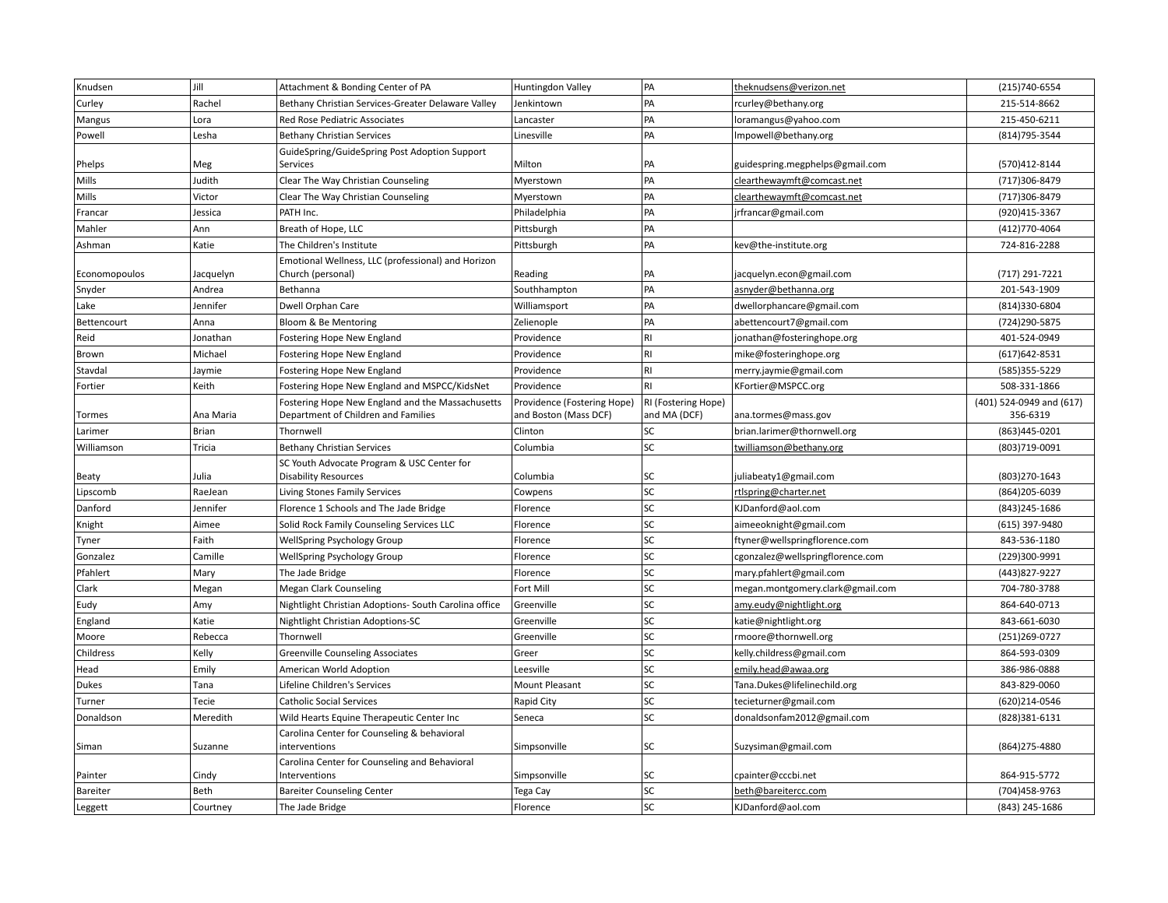| Knudsen       | Jill         | Attachment & Bonding Center of PA                                                       | Huntingdon Valley                                    | PA                                  | theknudsens@verizon.net          | (215) 740-6554                       |
|---------------|--------------|-----------------------------------------------------------------------------------------|------------------------------------------------------|-------------------------------------|----------------------------------|--------------------------------------|
| Curley        | Rachel       | Bethany Christian Services-Greater Delaware Valley                                      | Jenkintown                                           | PA                                  | rcurley@bethany.org              | 215-514-8662                         |
| Mangus        | Lora         | Red Rose Pediatric Associates                                                           | Lancaster                                            | PA                                  | loramangus@yahoo.com             | 215-450-6211                         |
| Powell        | Lesha        | <b>Bethany Christian Services</b>                                                       | Linesville                                           | PA                                  | Impowell@bethany.org             | (814) 795-3544                       |
|               |              | GuideSpring/GuideSpring Post Adoption Support                                           |                                                      |                                     |                                  |                                      |
| Phelps        | Meg          | Services                                                                                | Milton                                               | PA                                  | guidespring.megphelps@gmail.com  | (570)412-8144                        |
| Mills         | Judith       | Clear The Way Christian Counseling                                                      | Myerstown                                            | PA                                  | clearthewaymft@comcast.net       | (717)306-8479                        |
| Mills         | Victor       | Clear The Way Christian Counseling                                                      | Myerstown                                            | PA                                  | clearthewaymft@comcast.net       | (717)306-8479                        |
| Francar       | Jessica      | PATH Inc.                                                                               | Philadelphia                                         | PA                                  | jrfrancar@gmail.com              | (920) 415-3367                       |
| Mahler        | Ann          | Breath of Hope, LLC                                                                     | Pittsburgh                                           | PA                                  |                                  | (412) 770-4064                       |
| Ashman        | Katie        | The Children's Institute                                                                | Pittsburgh                                           | PA                                  | kev@the-institute.org            | 724-816-2288                         |
| Economopoulos | Jacquelyn    | Emotional Wellness, LLC (professional) and Horizon<br>Church (personal)                 | Reading                                              | PA                                  | jacquelyn.econ@gmail.com         | (717) 291-7221                       |
| Snyder        | Andrea       | Bethanna                                                                                | Southhampton                                         | PA                                  | asnyder@bethanna.org             | 201-543-1909                         |
| Lake          | Jennifer     | Dwell Orphan Care                                                                       | Williamsport                                         | PA                                  | dwellorphancare@gmail.com        | (814)330-6804                        |
| Bettencourt   | Anna         | Bloom & Be Mentoring                                                                    | Zelienople                                           | PA                                  | abettencourt7@gmail.com          | (724) 290-5875                       |
| Reid          | Jonathan     | Fostering Hope New England                                                              | Providence                                           | R <sub>l</sub>                      | jonathan@fosteringhope.org       | 401-524-0949                         |
| Brown         | Michael      | Fostering Hope New England                                                              | Providence                                           | <b>RI</b>                           | mike@fosteringhope.org           | $(617)642 - 8531$                    |
| Stavdal       | Jaymie       | Fostering Hope New England                                                              | Providence                                           | R <sub>l</sub>                      | merry.jaymie@gmail.com           | (585)355-5229                        |
| Fortier       | Keith        | Fostering Hope New England and MSPCC/KidsNet                                            | Providence                                           | <b>RI</b>                           | KFortier@MSPCC.org               | 508-331-1866                         |
| Tormes        | Ana Maria    | Fostering Hope New England and the Massachusetts<br>Department of Children and Families | Providence (Fostering Hope)<br>and Boston (Mass DCF) | RI (Fostering Hope)<br>and MA (DCF) | ana.tormes@mass.gov              | (401) 524-0949 and (617)<br>356-6319 |
| Larimer       | <b>Brian</b> | Thornwell                                                                               | Clinton                                              | SC                                  | brian.larimer@thornwell.org      | (863)445-0201                        |
| Williamson    | Tricia       | <b>Bethany Christian Services</b>                                                       | Columbia                                             | SC                                  | twilliamson@bethany.org          | (803)719-0091                        |
| Beaty         | Julia        | SC Youth Advocate Program & USC Center for<br><b>Disability Resources</b>               | Columbia                                             | SC                                  | juliabeaty1@gmail.com            | (803) 270-1643                       |
| Lipscomb      | RaeJean      | Living Stones Family Services                                                           | Cowpens                                              | SC                                  | rtlspring@charter.net            | (864) 205-6039                       |
| Danford       | Jennifer     | Florence 1 Schools and The Jade Bridge                                                  | Florence                                             | SC                                  | KJDanford@aol.com                | (843) 245-1686                       |
| Knight        | Aimee        | Solid Rock Family Counseling Services LLC                                               | Florence                                             | SC                                  | aimeeoknight@gmail.com           | (615) 397-9480                       |
| Tyner         | Faith        | WellSpring Psychology Group                                                             | Florence                                             | SC                                  | ftyner@wellspringflorence.com    | 843-536-1180                         |
| Gonzalez      | Camille      | WellSpring Psychology Group                                                             | Florence                                             | SC                                  | cgonzalez@wellspringflorence.com | (229)300-9991                        |
| Pfahlert      | Mary         | The Jade Bridge                                                                         | Florence                                             | SC                                  | mary.pfahlert@gmail.com          | (443) 827-9227                       |
| Clark         | Megan        | <b>Megan Clark Counseling</b>                                                           | Fort Mill                                            | SC                                  | megan.montgomery.clark@gmail.com | 704-780-3788                         |
| Eudy          | Amy          | Nightlight Christian Adoptions- South Carolina office                                   | Greenville                                           | SC                                  | amy.eudy@nightlight.org          | 864-640-0713                         |
| England       | Katie        | Nightlight Christian Adoptions-SC                                                       | Greenville                                           | SC                                  | katie@nightlight.org             | 843-661-6030                         |
| Moore         | Rebecca      | Thornwell                                                                               | Greenville                                           | SC                                  | rmoore@thornwell.org             | (251) 269-0727                       |
| Childress     | Kelly        | <b>Greenville Counseling Associates</b>                                                 | Greer                                                | SC                                  | kelly.childress@gmail.com        | 864-593-0309                         |
| Head          | Emily        | American World Adoption                                                                 | Leesville                                            | SC                                  | emily.head@awaa.org              | 386-986-0888                         |
| Dukes         | Tana         | Lifeline Children's Services                                                            | Mount Pleasant                                       | SC                                  | Tana.Dukes@lifelinechild.org     | 843-829-0060                         |
| Turner        | Tecie        | <b>Catholic Social Services</b>                                                         | Rapid City                                           | SC                                  | tecieturner@gmail.com            | (620)214-0546                        |
| Donaldson     | Meredith     | Wild Hearts Equine Therapeutic Center Inc                                               | Seneca                                               | SC                                  | donaldsonfam2012@gmail.com       | (828)381-6131                        |
|               |              | Carolina Center for Counseling & behavioral                                             |                                                      |                                     |                                  |                                      |
| Siman         | Suzanne      | interventions                                                                           | Simpsonville                                         | SC                                  | Suzysiman@gmail.com              | (864) 275-4880                       |
|               |              | Carolina Center for Counseling and Behavioral                                           |                                                      |                                     |                                  |                                      |
| Painter       | Cindy        | Interventions                                                                           | Simpsonville                                         | SC                                  | cpainter@cccbi.net               | 864-915-5772                         |
| Bareiter      | Beth         | <b>Bareiter Counseling Center</b>                                                       | Tega Cay                                             | SC                                  | beth@bareitercc.com              | (704)458-9763                        |
| Leggett       | Courtney     | The Jade Bridge                                                                         | Florence                                             | SC                                  | KJDanford@aol.com                | (843) 245-1686                       |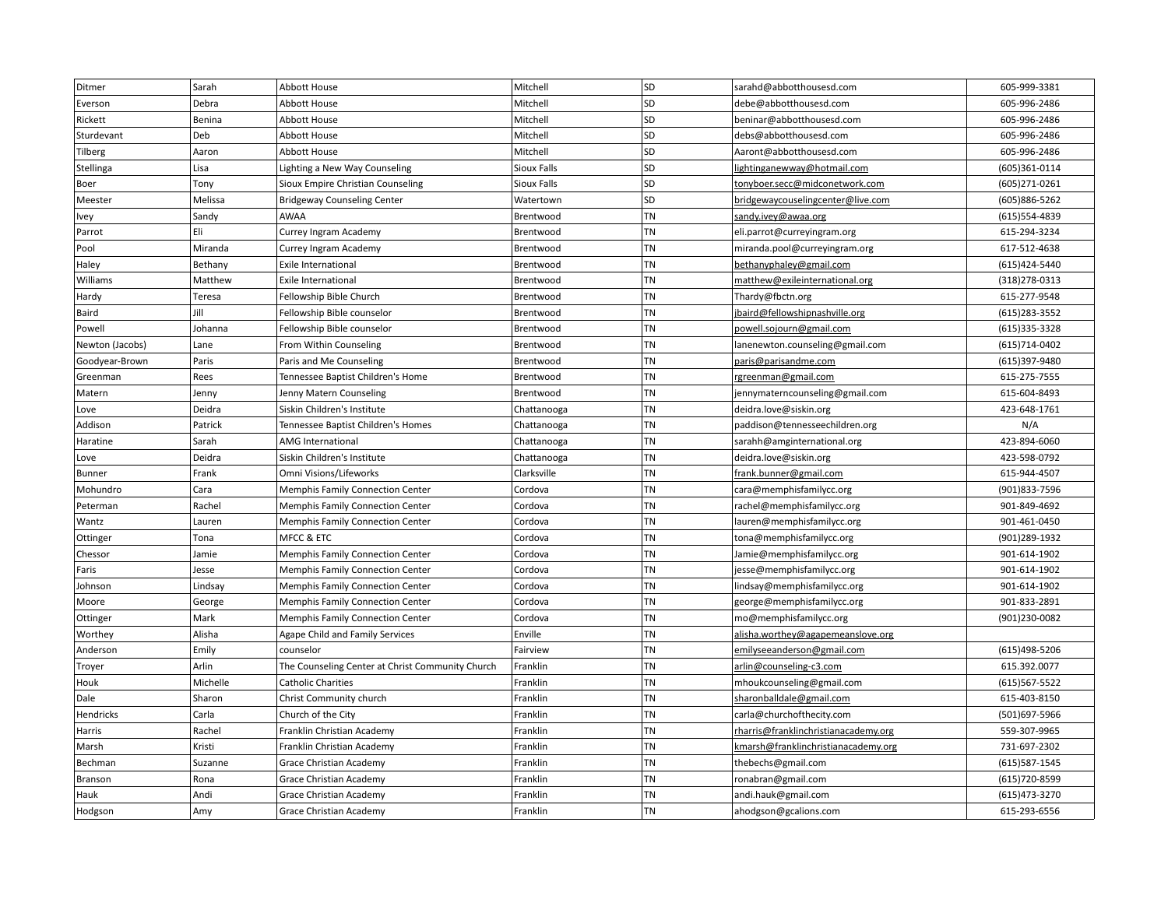| Ditmer          | Sarah    | Abbott House                                     | Mitchell    | SD        | sarahd@abbotthousesd.com             | 605-999-3381      |
|-----------------|----------|--------------------------------------------------|-------------|-----------|--------------------------------------|-------------------|
| Everson         | Debra    | <b>Abbott House</b>                              | Mitchell    | SD        | debe@abbotthousesd.com               | 605-996-2486      |
| Rickett         | Benina   | Abbott House                                     | Mitchell    | SD        | beninar@abbotthousesd.com            | 605-996-2486      |
| Sturdevant      | Deb      | <b>Abbott House</b>                              | Mitchell    | SD        | debs@abbotthousesd.com               | 605-996-2486      |
| Tilberg         | Aaron    | Abbott House                                     | Mitchell    | SD        | Aaront@abbotthousesd.com             | 605-996-2486      |
| Stellinga       | Lisa     | Lighting a New Way Counseling                    | Sioux Falls | SD        | lightinganewway@hotmail.com          | (605)361-0114     |
| Boer            | Tony     | Sioux Empire Christian Counseling                | Sioux Falls | SD        | tonyboer.secc@midconetwork.com       | (605)271-0261     |
| Meester         | Melissa  | <b>Bridgeway Counseling Center</b>               | Watertown   | SD        | bridgewaycouselingcenter@live.com    | (605)886-5262     |
| Ivey            | Sandy    | AWAA                                             | Brentwood   | <b>TN</b> | sandy.ivey@awaa.org                  | (615) 554-4839    |
| Parrot          | Eli      | Currey Ingram Academy                            | Brentwood   | TN        | eli.parrot@curreyingram.org          | 615-294-3234      |
| Pool            | Miranda  | Currey Ingram Academy                            | Brentwood   | <b>TN</b> | miranda.pool@curreyingram.org        | 617-512-4638      |
| Haley           | Bethany  | Exile International                              | Brentwood   | TN        | bethanyphaley@gmail.com              | (615)424-5440     |
| Williams        | Matthew  | <b>Exile International</b>                       | Brentwood   | <b>TN</b> | matthew@exileinternational.org       | (318) 278-0313    |
| Hardy           | Teresa   | Fellowship Bible Church                          | Brentwood   | TN        | Thardy@fbctn.org                     | 615-277-9548      |
| Baird           | Jill     | Fellowship Bible counselor                       | Brentwood   | TN        | jbaird@fellowshipnashville.org       | $(615)283 - 3552$ |
| Powell          | Johanna  | Fellowship Bible counselor                       | Brentwood   | TN        | powell.sojourn@gmail.com             | (615) 335-3328    |
| Newton (Jacobs) | Lane     | From Within Counseling                           | Brentwood   | TN        | lanenewton.counseling@gmail.com      | $(615)714-0402$   |
| Goodyear-Brown  | Paris    | Paris and Me Counseling                          | Brentwood   | TN        | paris@parisandme.com                 | (615)397-9480     |
| Greenman        | Rees     | Tennessee Baptist Children's Home                | Brentwood   | TN        | rgreenman@gmail.com                  | 615-275-7555      |
| Matern          | Jenny    | Jenny Matern Counseling                          | Brentwood   | TN        | jennymaterncounseling@gmail.com      | 615-604-8493      |
| Love            | Deidra   | Siskin Children's Institute                      | Chattanooga | TN        | deidra.love@siskin.org               | 423-648-1761      |
| Addison         | Patrick  | Tennessee Baptist Children's Homes               | Chattanooga | TN        | paddison@tennesseechildren.org       | N/A               |
| Haratine        | Sarah    | <b>AMG International</b>                         | Chattanooga | <b>TN</b> | sarahh@amginternational.org          | 423-894-6060      |
| Love            | Deidra   | Siskin Children's Institute                      | Chattanooga | TN        | deidra.love@siskin.org               | 423-598-0792      |
| Bunner          | Frank    | Omni Visions/Lifeworks                           | Clarksville | <b>TN</b> | frank.bunner@gmail.com               | 615-944-4507      |
| Mohundro        | Cara     | Memphis Family Connection Center                 | Cordova     | TN        | cara@memphisfamilycc.org             | (901)833-7596     |
| Peterman        | Rachel   | <b>Memphis Family Connection Center</b>          | Cordova     | <b>TN</b> | rachel@memphisfamilycc.org           | 901-849-4692      |
| Wantz           | Lauren   | <b>Memphis Family Connection Center</b>          | Cordova     | TN        | lauren@memphisfamilycc.org           | 901-461-0450      |
| Ottinger        | Tona     | MFCC & ETC                                       | Cordova     | <b>TN</b> | tona@memphisfamilycc.org             | (901)289-1932     |
| Chessor         | Jamie    | <b>Memphis Family Connection Center</b>          | Cordova     | TN        | Jamie@memphisfamilycc.org            | 901-614-1902      |
| Faris           | Jesse    | <b>Memphis Family Connection Center</b>          | Cordova     | <b>TN</b> | jesse@memphisfamilycc.org            | 901-614-1902      |
| Johnson         | Lindsay  | Memphis Family Connection Center                 | Cordova     | TN        | lindsay@memphisfamilycc.org          | 901-614-1902      |
| Moore           | George   | <b>Memphis Family Connection Center</b>          | Cordova     | <b>TN</b> | george@memphisfamilycc.org           | 901-833-2891      |
| Ottinger        | Mark     | Memphis Family Connection Center                 | Cordova     | TN        | mo@memphisfamilycc.org               | (901)230-0082     |
| Worthey         | Alisha   | Agape Child and Family Services                  | Enville     | TN        | alisha.worthey@agapemeanslove.org    |                   |
| Anderson        | Emily    | counselor                                        | Fairview    | TN        | emilyseeanderson@gmail.com           | (615)498-5206     |
| Troyer          | Arlin    | The Counseling Center at Christ Community Church | Franklin    | <b>TN</b> | arlin@counseling-c3.com              | 615.392.0077      |
| Houk            | Michelle | <b>Catholic Charities</b>                        | Franklin    | TN        | mhoukcounseling@gmail.com            | (615) 567-5522    |
| Dale            | Sharon   | Christ Community church                          | Franklin    | <b>TN</b> | sharonballdale@gmail.com             | 615-403-8150      |
| Hendricks       | Carla    | Church of the City                               | Franklin    | <b>TN</b> | carla@churchofthecity.com            | (501)697-5966     |
| Harris          | Rachel   | Franklin Christian Academy                       | Franklin    | TN        | rharris@franklinchristianacademy.org | 559-307-9965      |
| Marsh           | Kristi   | Franklin Christian Academy                       | Franklin    | TN        | kmarsh@franklinchristianacademy.org  | 731-697-2302      |
| Bechman         | Suzanne  | Grace Christian Academy                          | Franklin    | TN        | thebechs@gmail.com                   | $(615)587 - 1545$ |
| Branson         | Rona     | Grace Christian Academy                          | Franklin    | TN        | ronabran@gmail.com                   | (615) 720-8599    |
| Hauk            | Andi     | <b>Grace Christian Academy</b>                   | Franklin    | TN        | andi.hauk@gmail.com                  | (615) 473-3270    |
| Hodgson         | Amy      | <b>Grace Christian Academy</b>                   | Franklin    | TN        | ahodgson@gcalions.com                | 615-293-6556      |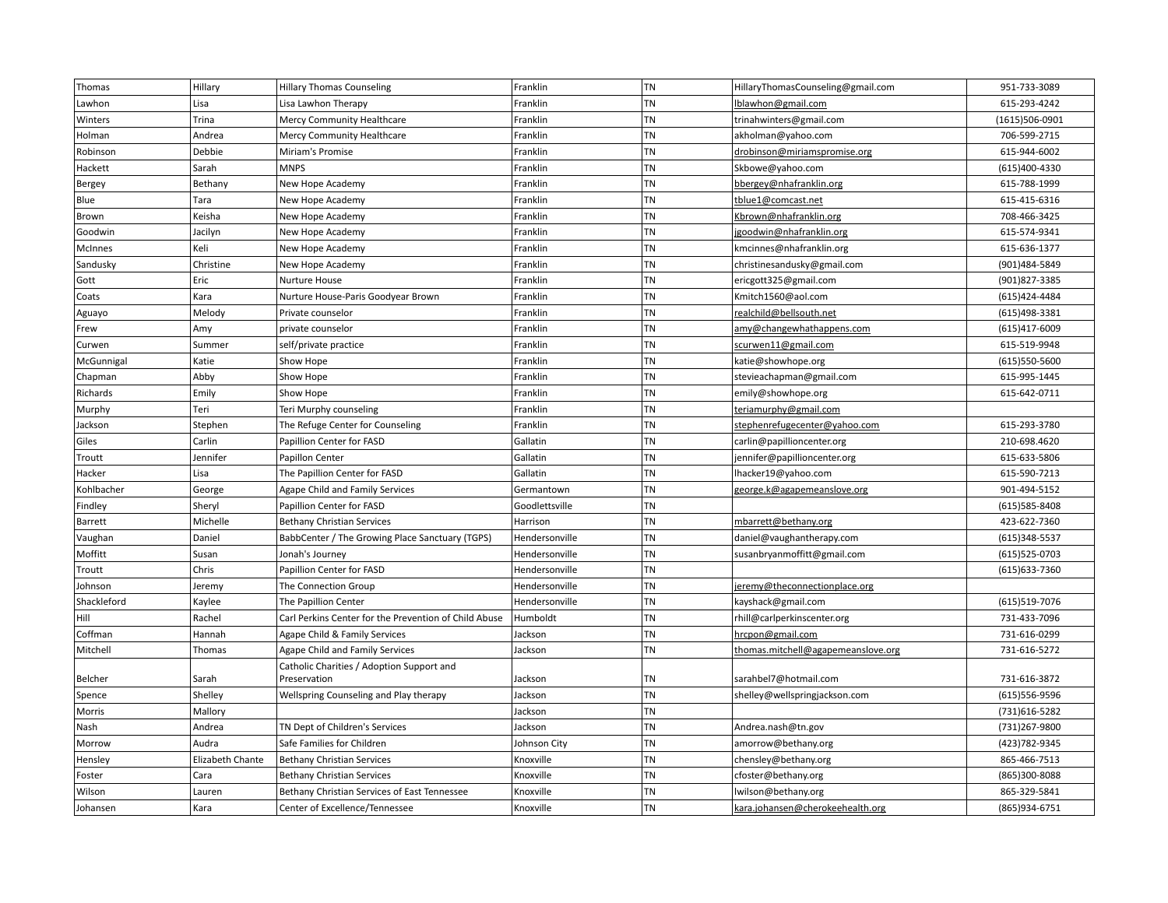| Thomas      | Hillary          | <b>Hillary Thomas Counseling</b>                      | Franklin       | TN        | HillaryThomasCounseling@gmail.com  | 951-733-3089      |
|-------------|------------------|-------------------------------------------------------|----------------|-----------|------------------------------------|-------------------|
| Lawhon      | Lisa             | Lisa Lawhon Therapy                                   | Franklin       | <b>TN</b> | lblawhon@gmail.com                 | 615-293-4242      |
| Winters     | Trina            | Mercy Community Healthcare                            | Franklin       | TN        | trinahwinters@gmail.com            | (1615)506-0901    |
| Holman      | Andrea           | Mercy Community Healthcare                            | Franklin       | TN        | akholman@yahoo.com                 | 706-599-2715      |
| Robinson    | Debbie           | Miriam's Promise                                      | Franklin       | TN        | drobinson@miriamspromise.org       | 615-944-6002      |
| Hackett     | Sarah            | <b>MNPS</b>                                           | Franklin       | TN        | Skbowe@yahoo.com                   | (615)400-4330     |
| Bergey      | Bethany          | New Hope Academy                                      | Franklin       | TN        | bbergey@nhafranklin.org            | 615-788-1999      |
| Blue        | Tara             | New Hope Academy                                      | Franklin       | <b>TN</b> | tblue1@comcast.net                 | 615-415-6316      |
| Brown       | Keisha           | New Hope Academy                                      | Franklin       | <b>TN</b> | Kbrown@nhafranklin.org             | 708-466-3425      |
| Goodwin     | Jacilyn          | New Hope Academy                                      | Franklin       | <b>TN</b> | jgoodwin@nhafranklin.org           | 615-574-9341      |
| McInnes     | Keli             | New Hope Academy                                      | Franklin       | <b>TN</b> | kmcinnes@nhafranklin.org           | 615-636-1377      |
| Sandusky    | Christine        | New Hope Academy                                      | Franklin       | TN        | christinesandusky@gmail.com        | (901)484-5849     |
| Gott        | Eric             | Nurture House                                         | Franklin       | <b>TN</b> | ericgott325@gmail.com              | (901)827-3385     |
| Coats       | Kara             | Nurture House-Paris Goodyear Brown                    | Franklin       | TN        | Kmitch1560@aol.com                 | (615) 424-4484    |
| Aguayo      | Melody           | Private counselor                                     | Franklin       | <b>TN</b> | realchild@bellsouth.net            | (615)498-3381     |
| Frew        | Amy              | private counselor                                     | Franklin       | TN        | amy@changewhathappens.com          | (615)417-6009     |
| Curwen      | Summer           | self/private practice                                 | Franklin       | <b>TN</b> | scurwen11@gmail.com                | 615-519-9948      |
| McGunnigal  | Katie            | Show Hope                                             | Franklin       | TN        | katie@showhope.org                 | (615)550-5600     |
| Chapman     | Abby             | Show Hope                                             | Franklin       | <b>TN</b> | stevieachapman@gmail.com           | 615-995-1445      |
| Richards    | Emily            | Show Hope                                             | Franklin       | TN        | emily@showhope.org                 | 615-642-0711      |
| Murphy      | Teri             | Teri Murphy counseling                                | Franklin       | <b>TN</b> | teriamurphy@gmail.com              |                   |
| Jackson     | Stephen          | The Refuge Center for Counseling                      | Franklin       | TN        | stephenrefugecenter@yahoo.com      | 615-293-3780      |
| Giles       | Carlin           | Papillion Center for FASD                             | Gallatin       | <b>TN</b> | carlin@papillioncenter.org         | 210-698.4620      |
| Troutt      | Jennifer         | <b>Papillon Center</b>                                | Gallatin       | <b>TN</b> | jennifer@papillioncenter.org       | 615-633-5806      |
| Hacker      | Lisa             | The Papillion Center for FASD                         | Gallatin       | TN        | lhacker19@yahoo.com                | 615-590-7213      |
| Kohlbacher  | George           | Agape Child and Family Services                       | Germantown     | <b>TN</b> | george.k@agapemeanslove.org        | 901-494-5152      |
| Findley     | Sheryl           | Papillion Center for FASD                             | Goodlettsville | TN        |                                    | $(615)585 - 8408$ |
| Barrett     | Michelle         | <b>Bethany Christian Services</b>                     | Harrison       | <b>TN</b> | mbarrett@bethany.org               | 423-622-7360      |
| Vaughan     | Daniel           | BabbCenter / The Growing Place Sanctuary (TGPS)       | Hendersonville | TN        | daniel@vaughantherapy.com          | (615)348-5537     |
| Moffitt     | Susan            | Jonah's Journey                                       | Hendersonville | TN        | susanbryanmoffitt@gmail.com        | (615) 525-0703    |
| Troutt      | Chris            | Papillion Center for FASD                             | Hendersonville | TN        |                                    | (615) 633-7360    |
| Johnson     | Jeremy           | The Connection Group                                  | Hendersonville | TN        | jeremy@theconnectionplace.org      |                   |
| Shackleford | Kaylee           | The Papillion Center                                  | Hendersonville | TN        | kayshack@gmail.com                 | (615)519-7076     |
| Hill        | Rachel           | Carl Perkins Center for the Prevention of Child Abuse | Humboldt       | <b>TN</b> | rhill@carlperkinscenter.org        | 731-433-7096      |
| Coffman     | Hannah           | Agape Child & Family Services                         | Jackson        | TN        | hrcpon@gmail.com                   | 731-616-0299      |
| Mitchell    | Thomas           | Agape Child and Family Services                       | Jackson        | <b>TN</b> | thomas.mitchell@agapemeanslove.org | 731-616-5272      |
|             |                  | Catholic Charities / Adoption Support and             |                |           |                                    |                   |
| Belcher     | Sarah            | Preservation                                          | Jackson        | TN        | sarahbel7@hotmail.com              | 731-616-3872      |
| Spence      | Shelley          | Wellspring Counseling and Play therapy                | Jackson        | TN        | shelley@wellspringjackson.com      | (615)556-9596     |
| Morris      | Mallory          |                                                       | Jackson        | TN        |                                    | (731)616-5282     |
| Nash        | Andrea           | TN Dept of Children's Services                        | Jackson        | TN        | Andrea.nash@tn.gov                 | (731) 267-9800    |
| Morrow      | Audra            | Safe Families for Children                            | Johnson City   | TN        | amorrow@bethany.org                | (423) 782-9345    |
| Hensley     | Elizabeth Chante | <b>Bethany Christian Services</b>                     | Knoxville      | TN        | chensley@bethany.org               | 865-466-7513      |
| Foster      | Cara             | <b>Bethany Christian Services</b>                     | Knoxville      | <b>TN</b> | cfoster@bethany.org                | (865)300-8088     |
| Wilson      | Lauren           | Bethany Christian Services of East Tennessee          | Knoxville      | TN        | lwilson@bethany.org                | 865-329-5841      |
| Johansen    | Kara             | Center of Excellence/Tennessee                        | Knoxville      | <b>TN</b> | kara.johansen@cherokeehealth.org   | (865) 934-6751    |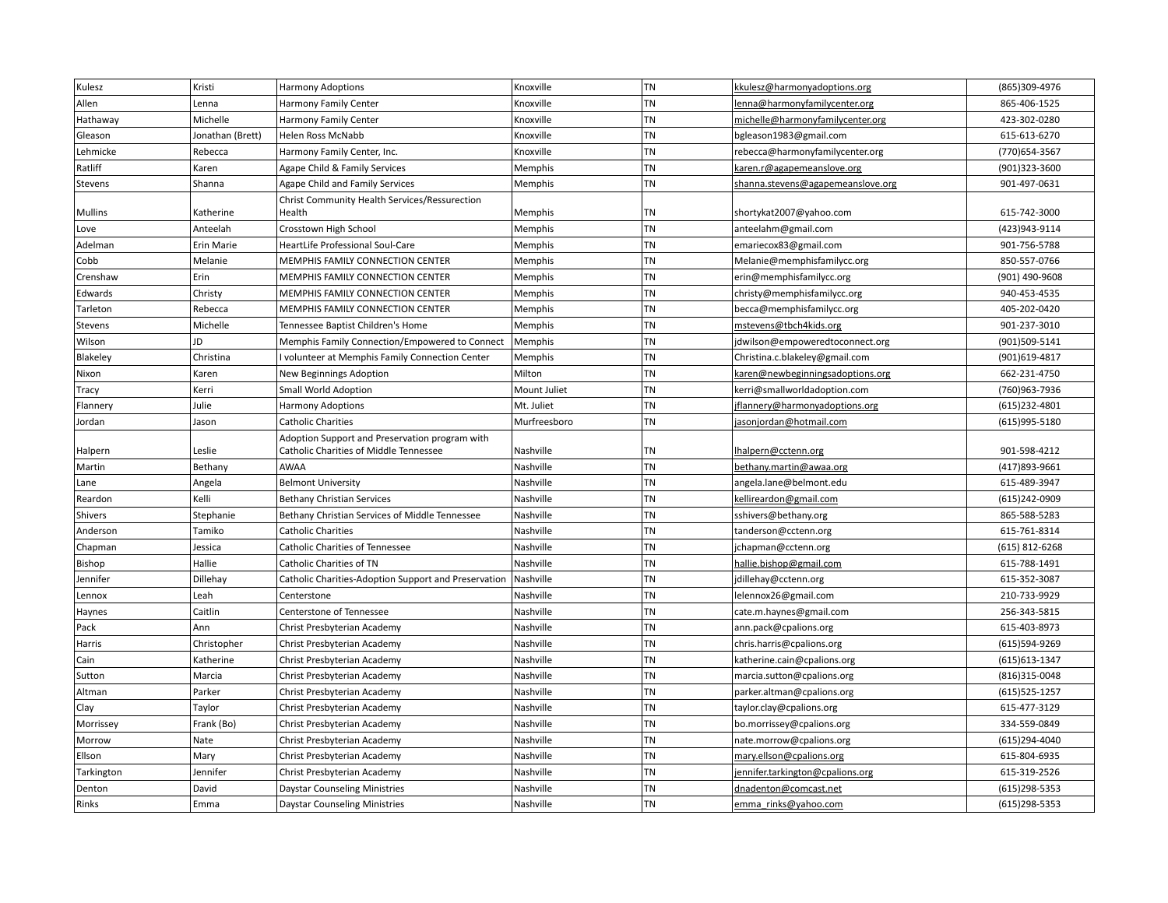| Kulesz         | Kristi           | <b>Harmony Adoptions</b>                                | Knoxville    | TN        | kkulesz@harmonyadoptions.org      | (865)309-4976     |
|----------------|------------------|---------------------------------------------------------|--------------|-----------|-----------------------------------|-------------------|
| Allen          | Lenna            | Harmony Family Center                                   | Knoxville    | TN        | lenna@harmonyfamilycenter.org     | 865-406-1525      |
| Hathaway       | Michelle         | Harmony Family Center                                   | Knoxville    | TN        | michelle@harmonyfamilycenter.org  | 423-302-0280      |
| Gleason        | Jonathan (Brett) | Helen Ross McNabb                                       | Knoxville    | <b>TN</b> | bgleason1983@gmail.com            | 615-613-6270      |
| Lehmicke       | Rebecca          | Harmony Family Center, Inc.                             | Knoxville    | TN        | rebecca@harmonyfamilycenter.org   | (770) 654-3567    |
| Ratliff        | Karen            | Agape Child & Family Services                           | Memphis      | TN        | karen.r@agapemeanslove.org        | (901)323-3600     |
| Stevens        | Shanna           | Agape Child and Family Services                         | Memphis      | <b>TN</b> | shanna.stevens@agapemeanslove.org | 901-497-0631      |
| <b>Mullins</b> | Katherine        | Christ Community Health Services/Ressurection<br>Health | Memphis      | TN        | shortykat2007@yahoo.com           | 615-742-3000      |
| Love           | Anteelah         | Crosstown High School                                   | Memphis      | TN        | anteelahm@gmail.com               | (423)943-9114     |
| Adelman        | Erin Marie       | HeartLife Professional Soul-Care                        | Memphis      | TN        | emariecox83@gmail.com             | 901-756-5788      |
| Cobb           | Melanie          | MEMPHIS FAMILY CONNECTION CENTER                        | Memphis      | TN        | Melanie@memphisfamilycc.org       | 850-557-0766      |
| Crenshaw       | Erin             | MEMPHIS FAMILY CONNECTION CENTER                        | Memphis      | TN        | erin@memphisfamilycc.org          | (901) 490-9608    |
| Edwards        | Christy          | MEMPHIS FAMILY CONNECTION CENTER                        | Memphis      | <b>TN</b> | christy@memphisfamilycc.org       | 940-453-4535      |
| Tarleton       | Rebecca          | MEMPHIS FAMILY CONNECTION CENTER                        | Memphis      | TN        | becca@memphisfamilycc.org         | 405-202-0420      |
| Stevens        | Michelle         | Tennessee Baptist Children's Home                       | Memphis      | <b>TN</b> | mstevens@tbch4kids.org            | 901-237-3010      |
| Wilson         | JD               | Memphis Family Connection/Empowered to Connect          | Memphis      | TN        | jdwilson@empoweredtoconnect.org   | (901)509-5141     |
| Blakeley       | Christina        | volunteer at Memphis Family Connection Center           | Memphis      | TN        | Christina.c.blakeley@gmail.com    | (901)619-4817     |
| Nixon          | Karen            | New Beginnings Adoption                                 | Milton       | TN        | karen@newbeginningsadoptions.org  | 662-231-4750      |
| Tracy          | Kerri            | Small World Adoption                                    | Mount Juliet | <b>TN</b> | kerri@smallworldadoption.com      | (760)963-7936     |
| Flannery       | Julie            | <b>Harmony Adoptions</b>                                | Mt. Juliet   | TN        | jflannery@harmonyadoptions.org    | $(615)$ 232-4801  |
| Jordan         | Jason            | <b>Catholic Charities</b>                               | Murfreesboro | TN        | jasonjordan@hotmail.com           | (615)995-5180     |
|                |                  | Adoption Support and Preservation program with          |              |           |                                   |                   |
| Halpern        | Leslie           | Catholic Charities of Middle Tennessee                  | Nashville    | TN        | lhalpern@cctenn.org               | 901-598-4212      |
| Martin         | Bethany          | <b>AWAA</b>                                             | Nashville    | <b>TN</b> | bethany.martin@awaa.org           | (417) 893-9661    |
| Lane           | Angela           | <b>Belmont University</b>                               | Nashville    | <b>TN</b> | angela.lane@belmont.edu           | 615-489-3947      |
| Reardon        | Kelli            | <b>Bethany Christian Services</b>                       | Nashville    | TN        | kellireardon@gmail.com            | (615)242-0909     |
| Shivers        | Stephanie        | Bethany Christian Services of Middle Tennessee          | Nashville    | TN        | sshivers@bethany.org              | 865-588-5283      |
| Anderson       | Tamiko           | <b>Catholic Charities</b>                               | Nashville    | <b>TN</b> | tanderson@cctenn.org              | 615-761-8314      |
| Chapman        | Jessica          | Catholic Charities of Tennessee                         | Nashville    | TN        | jchapman@cctenn.org               | $(615)$ 812-6268  |
| Bishop         | Hallie           | Catholic Charities of TN                                | Nashville    | <b>TN</b> | hallie.bishop@gmail.com           | 615-788-1491      |
| Jennifer       | Dillehay         | Catholic Charities-Adoption Support and Preservation    | Nashville    | TN        | jdillehay@cctenn.org              | 615-352-3087      |
| Lennox         | Leah             | Centerstone                                             | Nashville    | <b>TN</b> | lelennox26@gmail.com              | 210-733-9929      |
| Haynes         | Caitlin          | Centerstone of Tennessee                                | Nashville    | TN        | cate.m.haynes@gmail.com           | 256-343-5815      |
| Pack           | Ann              | Christ Presbyterian Academy                             | Nashville    | TN        | ann.pack@cpalions.org             | 615-403-8973      |
| Harris         | Christopher      | Christ Presbyterian Academy                             | Nashville    | <b>TN</b> | chris.harris@cpalions.org         | (615)594-9269     |
| Cain           | Katherine        | Christ Presbyterian Academy                             | Nashville    | TN        | katherine.cain@cpalions.org       | $(615)613-1347$   |
| Sutton         | Marcia           | Christ Presbyterian Academy                             | Nashville    | TN        | marcia.sutton@cpalions.org        | (816)315-0048     |
| Altman         | Parker           | Christ Presbyterian Academy                             | Nashville    | TN        | parker.altman@cpalions.org        | $(615)525 - 1257$ |
| Clay           | Taylor           | Christ Presbyterian Academy                             | Nashville    | TN        | taylor.clay@cpalions.org          | 615-477-3129      |
| Morrissey      | Frank (Bo)       | Christ Presbyterian Academy                             | Nashville    | <b>TN</b> | bo.morrissey@cpalions.org         | 334-559-0849      |
| Morrow         | Nate             | Christ Presbyterian Academy                             | Nashville    | TN        | nate.morrow@cpalions.org          | (615)294-4040     |
| Ellson         | Mary             | Christ Presbyterian Academy                             | Nashville    | TN        | mary.ellson@cpalions.org          | 615-804-6935      |
| Tarkington     | Jennifer         | Christ Presbyterian Academy                             | Nashville    | <b>TN</b> | jennifer.tarkington@cpalions.org  | 615-319-2526      |
| Denton         | David            | <b>Daystar Counseling Ministries</b>                    | Nashville    | <b>TN</b> | dnadenton@comcast.net             | (615) 298-5353    |
| Rinks          | Emma             | <b>Daystar Counseling Ministries</b>                    | Nashville    | TN        | emma rinks@yahoo.com              | $(615)298-5353$   |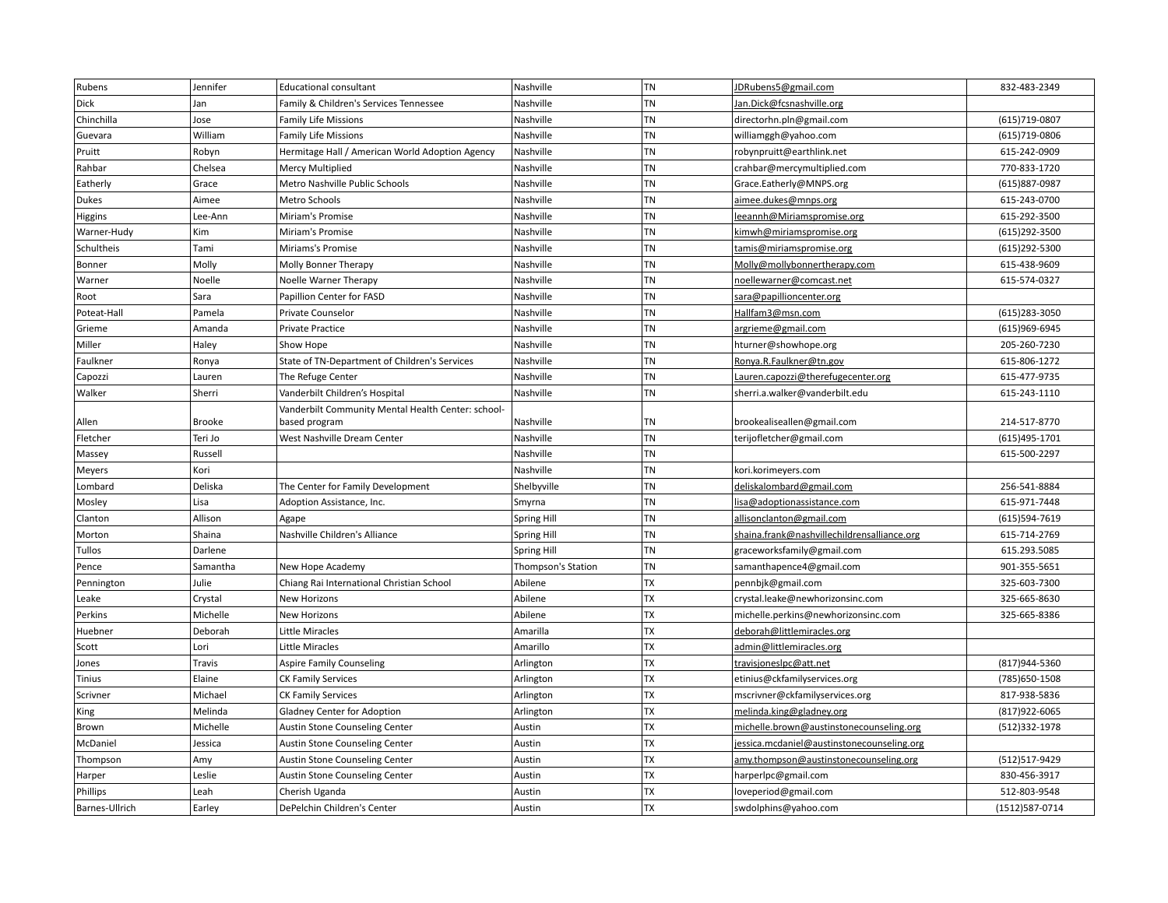| Rubens          | Jennifer      | <b>Educational consultant</b>                      | Nashville          | <b>TN</b> | <b>IDRubens5@gmail.com</b>                  | 832-483-2349   |
|-----------------|---------------|----------------------------------------------------|--------------------|-----------|---------------------------------------------|----------------|
| Dick            | Jan           | Family & Children's Services Tennessee             | Nashville          | TN        | Jan.Dick@fcsnashville.org                   |                |
| Chinchilla      | Jose          | <b>Family Life Missions</b>                        | Nashville          | <b>TN</b> | directorhn.pln@gmail.com                    | (615) 719-0807 |
| Guevara         | William       | <b>Family Life Missions</b>                        | Nashville          | <b>TN</b> | williamggh@yahoo.com                        | (615) 719-0806 |
| Pruitt          | Robyn         | Hermitage Hall / American World Adoption Agency    | Nashville          | <b>TN</b> | robynpruitt@earthlink.net                   | 615-242-0909   |
| Rahbar          | Chelsea       | Mercy Multiplied                                   | Nashville          | TN        | crahbar@mercymultiplied.com                 | 770-833-1720   |
| Eatherly        | Grace         | Metro Nashville Public Schools                     | Nashville          | <b>TN</b> | Grace.Eatherly@MNPS.org                     | (615) 887-0987 |
| Dukes           | Aimee         | Metro Schools                                      | Nashville          | TN        | aimee.dukes@mnps.org                        | 615-243-0700   |
| Higgins         | Lee-Ann       | Miriam's Promise                                   | Nashville          | <b>TN</b> | eeannh@Miriamspromise.org                   | 615-292-3500   |
| Warner-Hudy     | Kim           | Miriam's Promise                                   | Nashville          | TN        | kimwh@miriamspromise.org                    | (615) 292-3500 |
| Schultheis      | Tami          | Miriams's Promise                                  | Nashville          | <b>TN</b> | tamis@miriamspromise.org                    | (615) 292-5300 |
| Bonner          | Molly         | Molly Bonner Therapy                               | Nashville          | <b>TN</b> | Molly@mollybonnertherapy.com                | 615-438-9609   |
| Warner          | Noelle        | Noelle Warner Therapy                              | Nashville          | TN        | noellewarner@comcast.net                    | 615-574-0327   |
| Root            | Sara          | Papillion Center for FASD                          | Nashville          | TN        | sara@papillioncenter.org                    |                |
| Poteat-Hall     | Pamela        | Private Counselor                                  | Nashville          | <b>TN</b> | Hallfam3@msn.com                            | (615)283-3050  |
| Grieme          | Amanda        | Private Practice                                   | Nashville          | <b>TN</b> | argrieme@gmail.com                          | (615)969-6945  |
| Miller          | Haley         | Show Hope                                          | Nashville          | TN        | hturner@showhope.org                        | 205-260-7230   |
| Faulkner        | Ronya         | State of TN-Department of Children's Services      | Nashville          | TN        | Ronya.R.Faulkner@tn.gov                     | 615-806-1272   |
| Capozzi         | Lauren        | The Refuge Center                                  | Nashville          | <b>TN</b> | Lauren.capozzi@therefugecenter.org          | 615-477-9735   |
| Walker          | Sherri        | Vanderbilt Children's Hospital                     | Nashville          | TN        | sherri.a.walker@vanderbilt.edu              | 615-243-1110   |
|                 |               | Vanderbilt Community Mental Health Center: school- |                    |           |                                             |                |
| Allen           | <b>Brooke</b> | based program                                      | Nashville          | TN        | brookealiseallen@gmail.com                  | 214-517-8770   |
| Fletcher        | Teri Jo       | West Nashville Dream Center                        | Nashville          | <b>TN</b> | terijofletcher@gmail.com                    | (615)495-1701  |
| Massey          | Russell       |                                                    | Nashville          | TN        |                                             | 615-500-2297   |
| Meyers          | Kori          |                                                    | Nashville          | <b>TN</b> | kori.korimeyers.com                         |                |
| Lombard         | Deliska       | The Center for Family Development                  | Shelbyville        | TN        | deliskalombard@gmail.com                    | 256-541-8884   |
| Mosley          | Lisa          | Adoption Assistance, Inc.                          | Smyrna             | <b>TN</b> | lisa@adoptionassistance.com                 | 615-971-7448   |
| Clanton         | Allison       | Agape                                              | Spring Hill        | <b>TN</b> | allisonclanton@gmail.com                    | (615)594-7619  |
| Morton          | Shaina        | Nashville Children's Alliance                      | Spring Hill        | <b>TN</b> | shaina.frank@nashvillechildrensalliance.org | 615-714-2769   |
| Tullos          | Darlene       |                                                    | <b>Spring Hill</b> | TN        | graceworksfamily@gmail.com                  | 615.293.5085   |
| Pence           | Samantha      | New Hope Academy                                   | Thompson's Station | <b>TN</b> | samanthapence4@gmail.com                    | 901-355-5651   |
| Pennington      | Julie         | Chiang Rai International Christian School          | Abilene            | <b>TX</b> | pennbjk@gmail.com                           | 325-603-7300   |
| Leake           | Crystal       | <b>New Horizons</b>                                | Abilene            | <b>TX</b> | crystal.leake@newhorizonsinc.com            | 325-665-8630   |
| Perkins         | Michelle      | <b>New Horizons</b>                                | Abilene            | <b>TX</b> | michelle.perkins@newhorizonsinc.com         | 325-665-8386   |
| Huebner         | Deborah       | Little Miracles                                    | Amarilla           | TX        | deborah@littlemiracles.org                  |                |
| Scott           | Lori          | <b>Little Miracles</b>                             | Amarillo           | <b>TX</b> | admin@littlemiracles.org                    |                |
| Jones           | Travis        | <b>Aspire Family Counseling</b>                    | Arlington          | <b>TX</b> | travisjoneslpc@att.net                      | (817)944-5360  |
| <b>Tinius</b>   | Elaine        | <b>CK Family Services</b>                          | Arlington          | <b>TX</b> | etinius@ckfamilyservices.org                | (785) 650-1508 |
| Scrivner        | Michael       | <b>CK Family Services</b>                          | Arlington          | TX        | mscrivner@ckfamilyservices.org              | 817-938-5836   |
| King            | Melinda       | Gladney Center for Adoption                        | Arlington          | TX        | melinda.king@gladney.org                    | (817) 922-6065 |
| Brown           | Michelle      | Austin Stone Counseling Center                     | Austin             | <b>TX</b> | michelle.brown@austinstonecounseling.org    | (512)332-1978  |
| McDaniel        | Jessica       | Austin Stone Counseling Center                     | Austin             | <b>TX</b> | jessica.mcdaniel@austinstonecounseling.org  |                |
| Thompson        | Amy           | Austin Stone Counseling Center                     | Austin             | TX        | amy.thompson@austinstonecounseling.org      | (512)517-9429  |
| Harper          | Leslie        | Austin Stone Counseling Center                     | Austin             | <b>TX</b> | harperlpc@gmail.com                         | 830-456-3917   |
| <b>Phillips</b> | Leah          | Cherish Uganda                                     | Austin             | TX        | loveperiod@gmail.com                        | 512-803-9548   |
| Barnes-Ullrich  | Earley        | DePelchin Children's Center                        | Austin             | <b>TX</b> | swdolphins@yahoo.com                        | (1512)587-0714 |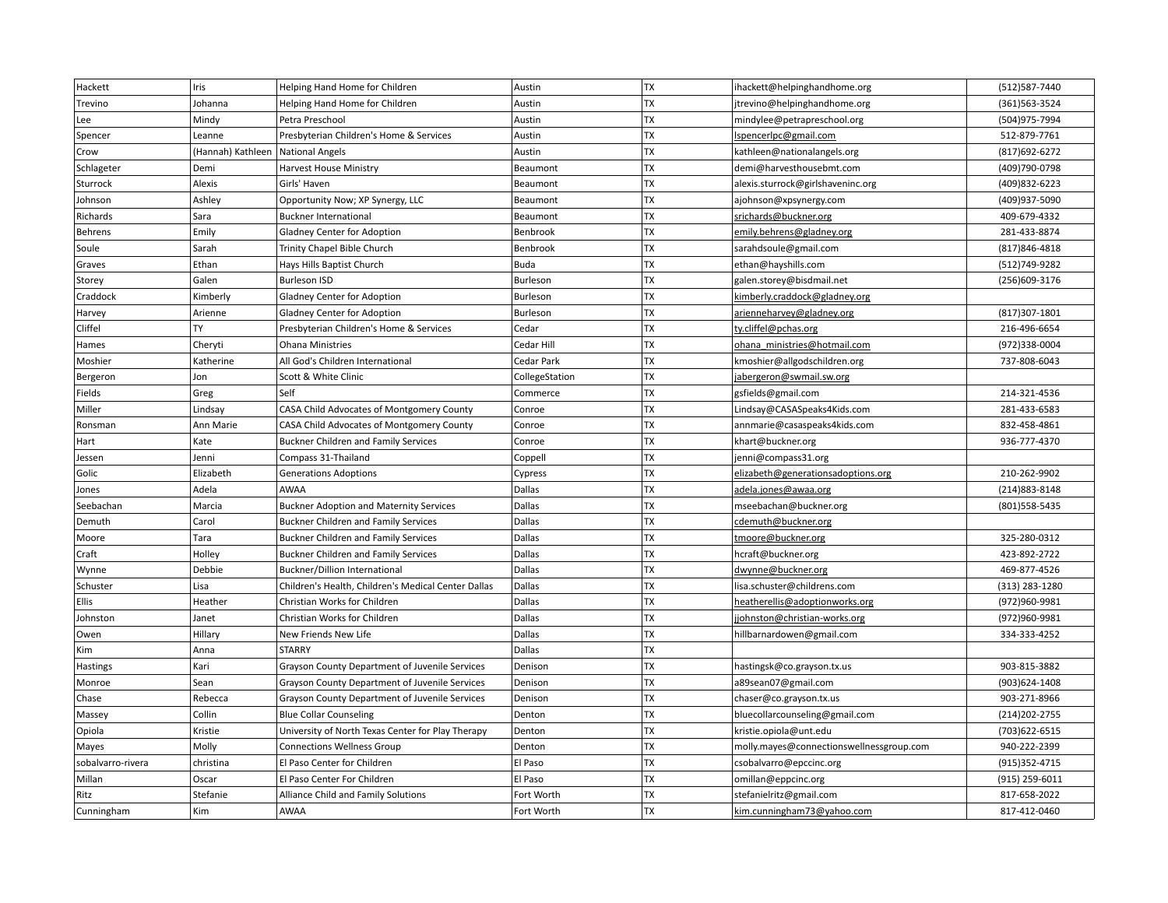| Hackett           | Iris              | Helping Hand Home for Children                      | Austin         | TX        | ihackett@helpinghandhome.org             | (512) 587-7440   |
|-------------------|-------------------|-----------------------------------------------------|----------------|-----------|------------------------------------------|------------------|
| Trevino           | Johanna           | Helping Hand Home for Children                      | Austin         | <b>TX</b> | jtrevino@helpinghandhome.org             | (361) 563 - 3524 |
| Lee               | Mindy             | Petra Preschool                                     | Austin         | TX        | mindylee@petrapreschool.org              | (504)975-7994    |
| Spencer           | Leanne            | Presbyterian Children's Home & Services             | Austin         | <b>TX</b> | IspencerIpc@gmail.com                    | 512-879-7761     |
| Crow              | (Hannah) Kathleen | National Angels                                     | Austin         | TX        | kathleen@nationalangels.org              | (817) 692-6272   |
| Schlageter        | Demi              | Harvest House Ministry                              | Beaumont       | <b>TX</b> | demi@harvesthousebmt.com                 | (409)790-0798    |
| Sturrock          | Alexis            | Girls' Haven                                        | Beaumont       | TX        | alexis.sturrock@girlshaveninc.org        | (409) 832-6223   |
| Johnson           | Ashley            | Opportunity Now; XP Synergy, LLC                    | Beaumont       | <b>TX</b> | ajohnson@xpsynergy.com                   | (409)937-5090    |
| Richards          | Sara              | <b>Buckner International</b>                        | Beaumont       | TX        | srichards@buckner.org                    | 409-679-4332     |
| Behrens           | Emily             | Gladney Center for Adoption                         | Benbrook       | TX        | emily.behrens@gladney.org                | 281-433-8874     |
| Soule             | Sarah             | Trinity Chapel Bible Church                         | Benbrook       | TX        | sarahdsoule@gmail.com                    | (817) 846-4818   |
| Graves            | Ethan             | Hays Hills Baptist Church                           | <b>Buda</b>    | TX        | ethan@hayshills.com                      | (512)749-9282    |
| Storey            | Galen             | <b>Burleson ISD</b>                                 | Burleson       | <b>TX</b> | galen.storey@bisdmail.net                | (256)609-3176    |
| Craddock          | Kimberly          | Gladney Center for Adoption                         | Burleson       | <b>TX</b> | kimberly.craddock@gladney.org            |                  |
| Harvey            | Arienne           | <b>Gladney Center for Adoption</b>                  | Burleson       | TX        | arienneharvey@gladney.org                | (817)307-1801    |
| Cliffel           | <b>TY</b>         | Presbyterian Children's Home & Services             | Cedar          | <b>TX</b> | ty.cliffel@pchas.org                     | 216-496-6654     |
| Hames             | Cheryti           | <b>Ohana Ministries</b>                             | Cedar Hill     | <b>TX</b> | ohana ministries@hotmail.com             | (972)338-0004    |
| Moshier           | Katherine         | All God's Children International                    | Cedar Park     | <b>TX</b> | kmoshier@allgodschildren.org             | 737-808-6043     |
| Bergeron          | Jon               | Scott & White Clinic                                | CollegeStation | <b>TX</b> | jabergeron@swmail.sw.org                 |                  |
| Fields            | Greg              | Self                                                | Commerce       | <b>TX</b> | gsfields@gmail.com                       | 214-321-4536     |
| Miller            | Lindsay           | CASA Child Advocates of Montgomery County           | Conroe         | TX        | Lindsay@CASASpeaks4Kids.com              | 281-433-6583     |
| Ronsman           | Ann Marie         | CASA Child Advocates of Montgomery County           | Conroe         | <b>TX</b> | annmarie@casaspeaks4kids.com             | 832-458-4861     |
| Hart              | Kate              | <b>Buckner Children and Family Services</b>         | Conroe         | TX        | khart@buckner.org                        | 936-777-4370     |
| Jessen            | Jenni             | Compass 31-Thailand                                 | Coppell        | TX        | jenni@compass31.org                      |                  |
| Golic             | Elizabeth         | <b>Generations Adoptions</b>                        | Cypress        | TX        | elizabeth@generationsadoptions.org       | 210-262-9902     |
| Jones             | Adela             | AWAA                                                | Dallas         | TX        | adela.jones@awaa.org                     | (214) 883-8148   |
| Seebachan         | Marcia            | <b>Buckner Adoption and Maternity Services</b>      | Dallas         | TX        | mseebachan@buckner.org                   | (801) 558-5435   |
| Demuth            | Carol             | <b>Buckner Children and Family Services</b>         | Dallas         | <b>TX</b> | cdemuth@buckner.org                      |                  |
| Moore             | Tara              | <b>Buckner Children and Family Services</b>         | Dallas         | TX        | tmoore@buckner.org                       | 325-280-0312     |
| Craft             | Holley            | <b>Buckner Children and Family Services</b>         | Dallas         | <b>TX</b> | hcraft@buckner.org                       | 423-892-2722     |
| Wynne             | Debbie            | Buckner/Dillion International                       | Dallas         | <b>TX</b> | dwynne@buckner.org                       | 469-877-4526     |
| Schuster          | Lisa              | Children's Health, Children's Medical Center Dallas | Dallas         | <b>TX</b> | lisa.schuster@childrens.com              | (313) 283-1280   |
| Ellis             | Heather           | Christian Works for Children                        | Dallas         | TX        | heatherellis@adoptionworks.org           | (972)960-9981    |
| Johnston          | Janet             | Christian Works for Children                        | Dallas         | <b>TX</b> | jjohnston@christian-works.org            | (972)960-9981    |
| Owen              | Hillary           | New Friends New Life                                | Dallas         | TX        | hillbarnardowen@gmail.com                | 334-333-4252     |
| Kim               | Anna              | <b>STARRY</b>                                       | Dallas         | TX        |                                          |                  |
| Hastings          | Kari              | Grayson County Department of Juvenile Services      | Denison        | TX        | hastingsk@co.grayson.tx.us               | 903-815-3882     |
| Monroe            | Sean              | Grayson County Department of Juvenile Services      | Denison        | TX        | a89sean07@gmail.com                      | (903)624-1408    |
| Chase             | Rebecca           | Grayson County Department of Juvenile Services      | Denison        | TX        | chaser@co.grayson.tx.us                  | 903-271-8966     |
| Massey            | Collin            | <b>Blue Collar Counseling</b>                       | Denton         | <b>TX</b> | bluecollarcounseling@gmail.com           | (214) 202-2755   |
| Opiola            | Kristie           | University of North Texas Center for Play Therapy   | Denton         | TX        | kristie.opiola@unt.edu                   | (703) 622-6515   |
| Mayes             | Molly             | <b>Connections Wellness Group</b>                   | Denton         | <b>TX</b> | molly.mayes@connectionswellnessgroup.com | 940-222-2399     |
| sobalvarro-rivera | christina         | El Paso Center for Children                         | El Paso        | <b>TX</b> | csobalvarro@epccinc.org                  | (915) 352-4715   |
| Millan            | Oscar             | El Paso Center For Children                         | El Paso        | <b>TX</b> | omillan@eppcinc.org                      | (915) 259-6011   |
| Ritz              | Stefanie          | Alliance Child and Family Solutions                 | Fort Worth     | TX        | stefanielritz@gmail.com                  | 817-658-2022     |
| Cunningham        | Kim               | AWAA                                                | Fort Worth     | TX        | kim.cunningham73@yahoo.com               | 817-412-0460     |
|                   |                   |                                                     |                |           |                                          |                  |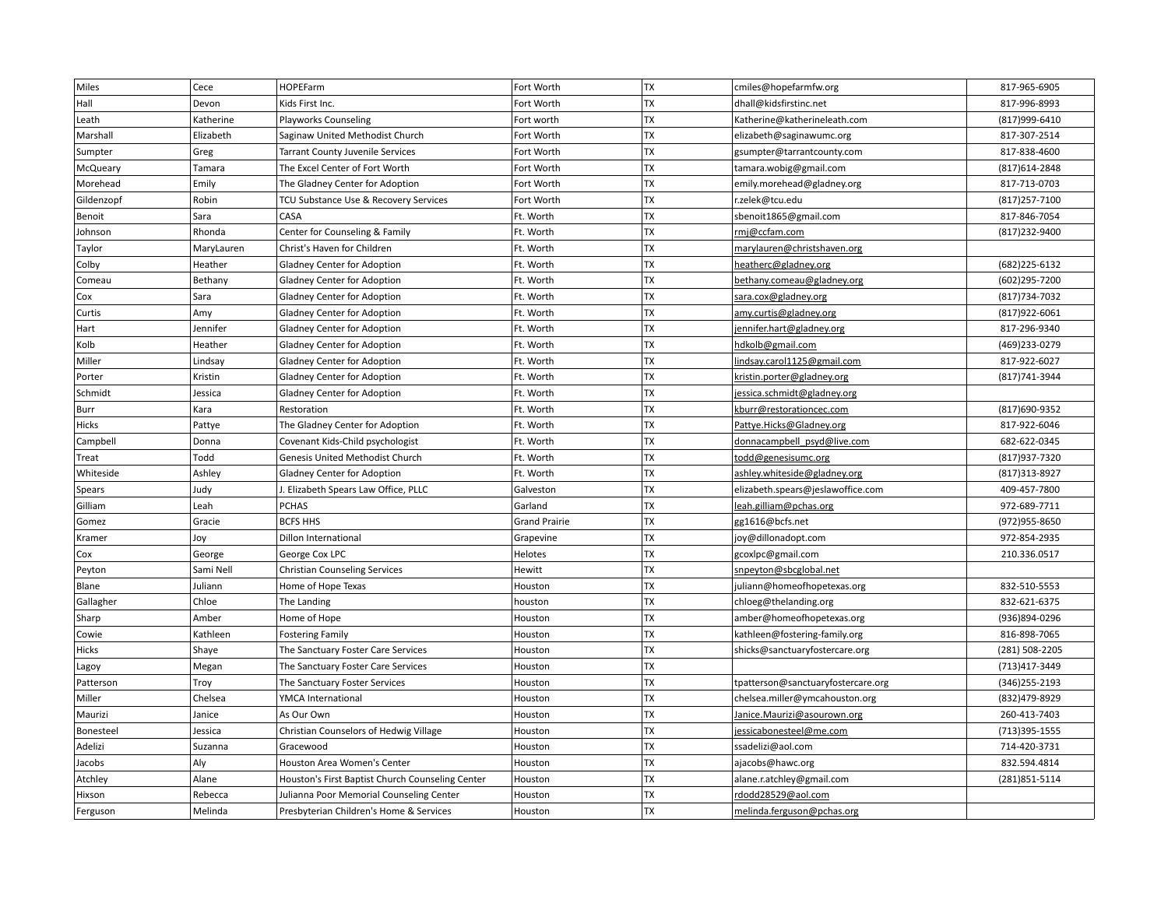| <b>TX</b><br>Hall<br>Kids First Inc.<br>Fort Worth<br>dhall@kidsfirstinc.net<br>817-996-8993<br>Devon<br><b>TX</b><br>(817)999-6410<br>Leath<br>Katherine<br><b>Playworks Counseling</b><br>Fort worth<br>Katherine@katherineleath.com<br><b>TX</b><br>817-307-2514<br>Marshall<br>Elizabeth<br>Saginaw United Methodist Church<br>Fort Worth<br>elizabeth@saginawumc.org<br>TX<br>817-838-4600<br>Sumpter<br>Fort Worth<br>Greg<br><b>Tarrant County Juvenile Services</b><br>gsumpter@tarrantcounty.com<br><b>TX</b><br>McQueary<br>Tamara<br>The Excel Center of Fort Worth<br>Fort Worth<br>tamara.wobig@gmail.com<br>(817) 614-2848<br><b>TX</b><br>Morehead<br>Fort Worth<br>817-713-0703<br>Emily<br>The Gladney Center for Adoption<br>emily.morehead@gladney.org<br>TX<br>(817) 257-7100<br>Gildenzopf<br>Robin<br>TCU Substance Use & Recovery Services<br>Fort Worth<br>r.zelek@tcu.edu<br><b>TX</b><br>CASA<br>Ft. Worth<br>817-846-7054<br>Benoit<br>Sara<br>sbenoit1865@gmail.com<br><b>TX</b><br>Rhonda<br>Ft. Worth<br>(817) 232-9400<br>Johnson<br>Center for Counseling & Family<br>rmj@ccfam.com<br><b>TX</b><br>Ft. Worth<br>Taylor<br>MaryLauren<br>Christ's Haven for Children<br>marylauren@christshaven.org<br><b>TX</b><br>Colby<br>Heather<br>Ft. Worth<br>(682) 225-6132<br>Gladney Center for Adoption<br>heatherc@gladney.org<br><b>TX</b><br>Ft. Worth<br>(602)295-7200<br>Bethany<br><b>Gladney Center for Adoption</b><br>bethany.comeau@gladney.org<br>Comeau<br><b>TX</b><br>Ft. Worth<br>(817) 734-7032<br>Cox<br>Sara<br>Gladney Center for Adoption<br>sara.cox@gladney.org<br><b>TX</b><br>(817) 922-6061<br>Amy<br>Ft. Worth<br>Curtis<br>Gladney Center for Adoption<br>amy.curtis@gladney.org<br>TX<br>Hart<br>Jennifer<br>Gladney Center for Adoption<br>Ft. Worth<br>817-296-9340<br>jennifer.hart@gladney.org<br><b>TX</b><br>Kolb<br>Heather<br>Ft. Worth<br>(469)233-0279<br>hdkolb@gmail.com<br>Gladney Center for Adoption<br><b>TX</b><br>Miller<br>Ft. Worth<br>817-922-6027<br>Lindsay<br>Gladney Center for Adoption<br>lindsay.carol1125@gmail.com<br><b>TX</b><br>(817) 741-3944<br>Kristin<br>Ft. Worth<br>Porter<br>Gladney Center for Adoption<br>kristin.porter@gladney.org<br><b>TX</b><br>Schmidt<br>Ft. Worth<br>Jessica<br>Gladney Center for Adoption<br>jessica.schmidt@gladney.org<br><b>TX</b><br>Ft. Worth<br>(817)690-9352<br>Burr<br>Kara<br>kburr@restorationcec.com<br>Restoration<br><b>TX</b><br>Hicks<br>Ft. Worth<br>817-922-6046<br>Pattye<br>The Gladney Center for Adoption<br>Pattye.Hicks@Gladney.org<br><b>TX</b><br>682-622-0345<br>Campbell<br>Ft. Worth<br>Donna<br>Covenant Kids-Child psychologist<br>donnacampbell psyd@live.com<br><b>TX</b><br>Todd<br><b>Genesis United Methodist Church</b><br>Ft. Worth<br>(817) 937-7320<br>Treat<br>todd@genesisumc.org<br><b>TX</b><br>Ashley<br>Ft. Worth<br>(817) 313-8927<br>Whiteside<br><b>Gladney Center for Adoption</b><br>ashley.whiteside@gladney.org<br><b>TX</b><br>409-457-7800<br>Judy<br>. Elizabeth Spears Law Office, PLLC<br>Galveston<br>elizabeth.spears@jeslawoffice.com<br>Spears<br><b>TX</b><br>972-689-7711<br>Gilliam<br>Leah<br><b>PCHAS</b><br>Garland<br>leah.gilliam@pchas.org<br><b>TX</b><br><b>BCFS HHS</b><br>(972) 955-8650<br>Gomez<br>Gracie<br><b>Grand Prairie</b><br>gg1616@bcfs.net<br><b>TX</b><br>972-854-2935<br>Joy<br><b>Dillon International</b><br>Grapevine<br>joy@dillonadopt.com<br>Kramer<br><b>TX</b><br>210.336.0517<br>George Cox LPC<br>Helotes<br>gcoxlpc@gmail.com<br>Cox<br>George<br><b>TX</b><br>Sami Nell<br>Hewitt<br>Peyton<br><b>Christian Counseling Services</b><br>snpeyton@sbcglobal.net<br>TX<br>Juliann<br>832-510-5553<br>Blane<br>Home of Hope Texas<br>Houston<br>juliann@homeofhopetexas.org<br><b>TX</b><br>832-621-6375<br>Gallagher<br>Chloe<br>The Landing<br>houston<br>chloeg@thelanding.org<br>TX<br>Home of Hope<br>Houston<br>amber@homeofhopetexas.org<br>(936)894-0296<br>Sharp<br>Amber<br>TX<br>816-898-7065<br>Kathleen<br>Houston<br>kathleen@fostering-family.org<br>Cowie<br><b>Fostering Family</b><br><b>TX</b><br>Hicks<br>Shaye<br>Houston<br>shicks@sanctuaryfostercare.org<br>(281) 508-2205<br>The Sanctuary Foster Care Services<br><b>TX</b><br>(713) 417-3449<br>Houston<br>Megan<br>The Sanctuary Foster Care Services<br>Lagoy<br><b>TX</b><br>(346) 255-2193<br>Patterson<br>Troy<br>The Sanctuary Foster Services<br>Houston<br>tpatterson@sanctuaryfostercare.org<br>TX<br>Miller<br>(832)479-8929<br>Chelsea<br><b>YMCA International</b><br>Houston<br>chelsea.miller@ymcahouston.org<br>TX<br>260-413-7403<br>Maurizi<br>Janice<br>As Our Own<br>Houston<br>Janice.Maurizi@asourown.org<br><b>TX</b><br>(713)395-1555<br>Bonesteel<br>Jessica<br>Christian Counselors of Hedwig Village<br>Houston<br>jessicabonesteel@me.com<br><b>TX</b><br>714-420-3731<br>Adelizi<br>Suzanna<br>Gracewood<br>Houston<br>ssadelizi@aol.com<br>Aly<br>TX<br>832.594.4814<br>Jacobs<br>Houston Area Women's Center<br>Houston<br>ajacobs@hawc.org<br><b>TX</b><br>Atchley<br>Alane<br>alane.r.atchley@gmail.com<br>(281) 851-5114<br>Houston's First Baptist Church Counseling Center<br>Houston<br><b>TX</b><br>Hixson<br>Julianna Poor Memorial Counseling Center<br>rdodd28529@aol.com<br>Rebecca<br>Houston<br>TX<br>Melinda<br>Presbyterian Children's Home & Services<br>melinda.ferguson@pchas.org<br>Ferguson<br>Houston | Miles | Cece | <b>HOPEFarm</b> | Fort Worth | <b>TX</b> | cmiles@hopefarmfw.org | 817-965-6905 |
|----------------------------------------------------------------------------------------------------------------------------------------------------------------------------------------------------------------------------------------------------------------------------------------------------------------------------------------------------------------------------------------------------------------------------------------------------------------------------------------------------------------------------------------------------------------------------------------------------------------------------------------------------------------------------------------------------------------------------------------------------------------------------------------------------------------------------------------------------------------------------------------------------------------------------------------------------------------------------------------------------------------------------------------------------------------------------------------------------------------------------------------------------------------------------------------------------------------------------------------------------------------------------------------------------------------------------------------------------------------------------------------------------------------------------------------------------------------------------------------------------------------------------------------------------------------------------------------------------------------------------------------------------------------------------------------------------------------------------------------------------------------------------------------------------------------------------------------------------------------------------------------------------------------------------------------------------------------------------------------------------------------------------------------------------------------------------------------------------------------------------------------------------------------------------------------------------------------------------------------------------------------------------------------------------------------------------------------------------------------------------------------------------------------------------------------------------------------------------------------------------------------------------------------------------------------------------------------------------------------------------------------------------------------------------------------------------------------------------------------------------------------------------------------------------------------------------------------------------------------------------------------------------------------------------------------------------------------------------------------------------------------------------------------------------------------------------------------------------------------------------------------------------------------------------------------------------------------------------------------------------------------------------------------------------------------------------------------------------------------------------------------------------------------------------------------------------------------------------------------------------------------------------------------------------------------------------------------------------------------------------------------------------------------------------------------------------------------------------------------------------------------------------------------------------------------------------------------------------------------------------------------------------------------------------------------------------------------------------------------------------------------------------------------------------------------------------------------------------------------------------------------------------------------------------------------------------------------------------------------------------------------------------------------------------------------------------------------------------------------------------------------------------------------------------------------------------------------------------------------------------------------------------------------------------------------------------------------------------------------------------------------------------------------------------------------------------------------------------------------------------------------------------------------------------------------------------------------------------------------------------------------------------------------------------------------------------------------------------------------------------------------------------------------------------------------------------------------------------------------------------------------------------------------------------------------------------------------------------------------------------------------------------------------------------------------------------------------------------------------------------------------------------------------------------------------------------------------|-------|------|-----------------|------------|-----------|-----------------------|--------------|
|                                                                                                                                                                                                                                                                                                                                                                                                                                                                                                                                                                                                                                                                                                                                                                                                                                                                                                                                                                                                                                                                                                                                                                                                                                                                                                                                                                                                                                                                                                                                                                                                                                                                                                                                                                                                                                                                                                                                                                                                                                                                                                                                                                                                                                                                                                                                                                                                                                                                                                                                                                                                                                                                                                                                                                                                                                                                                                                                                                                                                                                                                                                                                                                                                                                                                                                                                                                                                                                                                                                                                                                                                                                                                                                                                                                                                                                                                                                                                                                                                                                                                                                                                                                                                                                                                                                                                                                                                                                                                                                                                                                                                                                                                                                                                                                                                                                                                                                                                                                                                                                                                                                                                                                                                                                                                                                                                                                                                                                                |       |      |                 |            |           |                       |              |
|                                                                                                                                                                                                                                                                                                                                                                                                                                                                                                                                                                                                                                                                                                                                                                                                                                                                                                                                                                                                                                                                                                                                                                                                                                                                                                                                                                                                                                                                                                                                                                                                                                                                                                                                                                                                                                                                                                                                                                                                                                                                                                                                                                                                                                                                                                                                                                                                                                                                                                                                                                                                                                                                                                                                                                                                                                                                                                                                                                                                                                                                                                                                                                                                                                                                                                                                                                                                                                                                                                                                                                                                                                                                                                                                                                                                                                                                                                                                                                                                                                                                                                                                                                                                                                                                                                                                                                                                                                                                                                                                                                                                                                                                                                                                                                                                                                                                                                                                                                                                                                                                                                                                                                                                                                                                                                                                                                                                                                                                |       |      |                 |            |           |                       |              |
|                                                                                                                                                                                                                                                                                                                                                                                                                                                                                                                                                                                                                                                                                                                                                                                                                                                                                                                                                                                                                                                                                                                                                                                                                                                                                                                                                                                                                                                                                                                                                                                                                                                                                                                                                                                                                                                                                                                                                                                                                                                                                                                                                                                                                                                                                                                                                                                                                                                                                                                                                                                                                                                                                                                                                                                                                                                                                                                                                                                                                                                                                                                                                                                                                                                                                                                                                                                                                                                                                                                                                                                                                                                                                                                                                                                                                                                                                                                                                                                                                                                                                                                                                                                                                                                                                                                                                                                                                                                                                                                                                                                                                                                                                                                                                                                                                                                                                                                                                                                                                                                                                                                                                                                                                                                                                                                                                                                                                                                                |       |      |                 |            |           |                       |              |
|                                                                                                                                                                                                                                                                                                                                                                                                                                                                                                                                                                                                                                                                                                                                                                                                                                                                                                                                                                                                                                                                                                                                                                                                                                                                                                                                                                                                                                                                                                                                                                                                                                                                                                                                                                                                                                                                                                                                                                                                                                                                                                                                                                                                                                                                                                                                                                                                                                                                                                                                                                                                                                                                                                                                                                                                                                                                                                                                                                                                                                                                                                                                                                                                                                                                                                                                                                                                                                                                                                                                                                                                                                                                                                                                                                                                                                                                                                                                                                                                                                                                                                                                                                                                                                                                                                                                                                                                                                                                                                                                                                                                                                                                                                                                                                                                                                                                                                                                                                                                                                                                                                                                                                                                                                                                                                                                                                                                                                                                |       |      |                 |            |           |                       |              |
|                                                                                                                                                                                                                                                                                                                                                                                                                                                                                                                                                                                                                                                                                                                                                                                                                                                                                                                                                                                                                                                                                                                                                                                                                                                                                                                                                                                                                                                                                                                                                                                                                                                                                                                                                                                                                                                                                                                                                                                                                                                                                                                                                                                                                                                                                                                                                                                                                                                                                                                                                                                                                                                                                                                                                                                                                                                                                                                                                                                                                                                                                                                                                                                                                                                                                                                                                                                                                                                                                                                                                                                                                                                                                                                                                                                                                                                                                                                                                                                                                                                                                                                                                                                                                                                                                                                                                                                                                                                                                                                                                                                                                                                                                                                                                                                                                                                                                                                                                                                                                                                                                                                                                                                                                                                                                                                                                                                                                                                                |       |      |                 |            |           |                       |              |
|                                                                                                                                                                                                                                                                                                                                                                                                                                                                                                                                                                                                                                                                                                                                                                                                                                                                                                                                                                                                                                                                                                                                                                                                                                                                                                                                                                                                                                                                                                                                                                                                                                                                                                                                                                                                                                                                                                                                                                                                                                                                                                                                                                                                                                                                                                                                                                                                                                                                                                                                                                                                                                                                                                                                                                                                                                                                                                                                                                                                                                                                                                                                                                                                                                                                                                                                                                                                                                                                                                                                                                                                                                                                                                                                                                                                                                                                                                                                                                                                                                                                                                                                                                                                                                                                                                                                                                                                                                                                                                                                                                                                                                                                                                                                                                                                                                                                                                                                                                                                                                                                                                                                                                                                                                                                                                                                                                                                                                                                |       |      |                 |            |           |                       |              |
|                                                                                                                                                                                                                                                                                                                                                                                                                                                                                                                                                                                                                                                                                                                                                                                                                                                                                                                                                                                                                                                                                                                                                                                                                                                                                                                                                                                                                                                                                                                                                                                                                                                                                                                                                                                                                                                                                                                                                                                                                                                                                                                                                                                                                                                                                                                                                                                                                                                                                                                                                                                                                                                                                                                                                                                                                                                                                                                                                                                                                                                                                                                                                                                                                                                                                                                                                                                                                                                                                                                                                                                                                                                                                                                                                                                                                                                                                                                                                                                                                                                                                                                                                                                                                                                                                                                                                                                                                                                                                                                                                                                                                                                                                                                                                                                                                                                                                                                                                                                                                                                                                                                                                                                                                                                                                                                                                                                                                                                                |       |      |                 |            |           |                       |              |
|                                                                                                                                                                                                                                                                                                                                                                                                                                                                                                                                                                                                                                                                                                                                                                                                                                                                                                                                                                                                                                                                                                                                                                                                                                                                                                                                                                                                                                                                                                                                                                                                                                                                                                                                                                                                                                                                                                                                                                                                                                                                                                                                                                                                                                                                                                                                                                                                                                                                                                                                                                                                                                                                                                                                                                                                                                                                                                                                                                                                                                                                                                                                                                                                                                                                                                                                                                                                                                                                                                                                                                                                                                                                                                                                                                                                                                                                                                                                                                                                                                                                                                                                                                                                                                                                                                                                                                                                                                                                                                                                                                                                                                                                                                                                                                                                                                                                                                                                                                                                                                                                                                                                                                                                                                                                                                                                                                                                                                                                |       |      |                 |            |           |                       |              |
|                                                                                                                                                                                                                                                                                                                                                                                                                                                                                                                                                                                                                                                                                                                                                                                                                                                                                                                                                                                                                                                                                                                                                                                                                                                                                                                                                                                                                                                                                                                                                                                                                                                                                                                                                                                                                                                                                                                                                                                                                                                                                                                                                                                                                                                                                                                                                                                                                                                                                                                                                                                                                                                                                                                                                                                                                                                                                                                                                                                                                                                                                                                                                                                                                                                                                                                                                                                                                                                                                                                                                                                                                                                                                                                                                                                                                                                                                                                                                                                                                                                                                                                                                                                                                                                                                                                                                                                                                                                                                                                                                                                                                                                                                                                                                                                                                                                                                                                                                                                                                                                                                                                                                                                                                                                                                                                                                                                                                                                                |       |      |                 |            |           |                       |              |
|                                                                                                                                                                                                                                                                                                                                                                                                                                                                                                                                                                                                                                                                                                                                                                                                                                                                                                                                                                                                                                                                                                                                                                                                                                                                                                                                                                                                                                                                                                                                                                                                                                                                                                                                                                                                                                                                                                                                                                                                                                                                                                                                                                                                                                                                                                                                                                                                                                                                                                                                                                                                                                                                                                                                                                                                                                                                                                                                                                                                                                                                                                                                                                                                                                                                                                                                                                                                                                                                                                                                                                                                                                                                                                                                                                                                                                                                                                                                                                                                                                                                                                                                                                                                                                                                                                                                                                                                                                                                                                                                                                                                                                                                                                                                                                                                                                                                                                                                                                                                                                                                                                                                                                                                                                                                                                                                                                                                                                                                |       |      |                 |            |           |                       |              |
|                                                                                                                                                                                                                                                                                                                                                                                                                                                                                                                                                                                                                                                                                                                                                                                                                                                                                                                                                                                                                                                                                                                                                                                                                                                                                                                                                                                                                                                                                                                                                                                                                                                                                                                                                                                                                                                                                                                                                                                                                                                                                                                                                                                                                                                                                                                                                                                                                                                                                                                                                                                                                                                                                                                                                                                                                                                                                                                                                                                                                                                                                                                                                                                                                                                                                                                                                                                                                                                                                                                                                                                                                                                                                                                                                                                                                                                                                                                                                                                                                                                                                                                                                                                                                                                                                                                                                                                                                                                                                                                                                                                                                                                                                                                                                                                                                                                                                                                                                                                                                                                                                                                                                                                                                                                                                                                                                                                                                                                                |       |      |                 |            |           |                       |              |
|                                                                                                                                                                                                                                                                                                                                                                                                                                                                                                                                                                                                                                                                                                                                                                                                                                                                                                                                                                                                                                                                                                                                                                                                                                                                                                                                                                                                                                                                                                                                                                                                                                                                                                                                                                                                                                                                                                                                                                                                                                                                                                                                                                                                                                                                                                                                                                                                                                                                                                                                                                                                                                                                                                                                                                                                                                                                                                                                                                                                                                                                                                                                                                                                                                                                                                                                                                                                                                                                                                                                                                                                                                                                                                                                                                                                                                                                                                                                                                                                                                                                                                                                                                                                                                                                                                                                                                                                                                                                                                                                                                                                                                                                                                                                                                                                                                                                                                                                                                                                                                                                                                                                                                                                                                                                                                                                                                                                                                                                |       |      |                 |            |           |                       |              |
|                                                                                                                                                                                                                                                                                                                                                                                                                                                                                                                                                                                                                                                                                                                                                                                                                                                                                                                                                                                                                                                                                                                                                                                                                                                                                                                                                                                                                                                                                                                                                                                                                                                                                                                                                                                                                                                                                                                                                                                                                                                                                                                                                                                                                                                                                                                                                                                                                                                                                                                                                                                                                                                                                                                                                                                                                                                                                                                                                                                                                                                                                                                                                                                                                                                                                                                                                                                                                                                                                                                                                                                                                                                                                                                                                                                                                                                                                                                                                                                                                                                                                                                                                                                                                                                                                                                                                                                                                                                                                                                                                                                                                                                                                                                                                                                                                                                                                                                                                                                                                                                                                                                                                                                                                                                                                                                                                                                                                                                                |       |      |                 |            |           |                       |              |
|                                                                                                                                                                                                                                                                                                                                                                                                                                                                                                                                                                                                                                                                                                                                                                                                                                                                                                                                                                                                                                                                                                                                                                                                                                                                                                                                                                                                                                                                                                                                                                                                                                                                                                                                                                                                                                                                                                                                                                                                                                                                                                                                                                                                                                                                                                                                                                                                                                                                                                                                                                                                                                                                                                                                                                                                                                                                                                                                                                                                                                                                                                                                                                                                                                                                                                                                                                                                                                                                                                                                                                                                                                                                                                                                                                                                                                                                                                                                                                                                                                                                                                                                                                                                                                                                                                                                                                                                                                                                                                                                                                                                                                                                                                                                                                                                                                                                                                                                                                                                                                                                                                                                                                                                                                                                                                                                                                                                                                                                |       |      |                 |            |           |                       |              |
|                                                                                                                                                                                                                                                                                                                                                                                                                                                                                                                                                                                                                                                                                                                                                                                                                                                                                                                                                                                                                                                                                                                                                                                                                                                                                                                                                                                                                                                                                                                                                                                                                                                                                                                                                                                                                                                                                                                                                                                                                                                                                                                                                                                                                                                                                                                                                                                                                                                                                                                                                                                                                                                                                                                                                                                                                                                                                                                                                                                                                                                                                                                                                                                                                                                                                                                                                                                                                                                                                                                                                                                                                                                                                                                                                                                                                                                                                                                                                                                                                                                                                                                                                                                                                                                                                                                                                                                                                                                                                                                                                                                                                                                                                                                                                                                                                                                                                                                                                                                                                                                                                                                                                                                                                                                                                                                                                                                                                                                                |       |      |                 |            |           |                       |              |
|                                                                                                                                                                                                                                                                                                                                                                                                                                                                                                                                                                                                                                                                                                                                                                                                                                                                                                                                                                                                                                                                                                                                                                                                                                                                                                                                                                                                                                                                                                                                                                                                                                                                                                                                                                                                                                                                                                                                                                                                                                                                                                                                                                                                                                                                                                                                                                                                                                                                                                                                                                                                                                                                                                                                                                                                                                                                                                                                                                                                                                                                                                                                                                                                                                                                                                                                                                                                                                                                                                                                                                                                                                                                                                                                                                                                                                                                                                                                                                                                                                                                                                                                                                                                                                                                                                                                                                                                                                                                                                                                                                                                                                                                                                                                                                                                                                                                                                                                                                                                                                                                                                                                                                                                                                                                                                                                                                                                                                                                |       |      |                 |            |           |                       |              |
|                                                                                                                                                                                                                                                                                                                                                                                                                                                                                                                                                                                                                                                                                                                                                                                                                                                                                                                                                                                                                                                                                                                                                                                                                                                                                                                                                                                                                                                                                                                                                                                                                                                                                                                                                                                                                                                                                                                                                                                                                                                                                                                                                                                                                                                                                                                                                                                                                                                                                                                                                                                                                                                                                                                                                                                                                                                                                                                                                                                                                                                                                                                                                                                                                                                                                                                                                                                                                                                                                                                                                                                                                                                                                                                                                                                                                                                                                                                                                                                                                                                                                                                                                                                                                                                                                                                                                                                                                                                                                                                                                                                                                                                                                                                                                                                                                                                                                                                                                                                                                                                                                                                                                                                                                                                                                                                                                                                                                                                                |       |      |                 |            |           |                       |              |
|                                                                                                                                                                                                                                                                                                                                                                                                                                                                                                                                                                                                                                                                                                                                                                                                                                                                                                                                                                                                                                                                                                                                                                                                                                                                                                                                                                                                                                                                                                                                                                                                                                                                                                                                                                                                                                                                                                                                                                                                                                                                                                                                                                                                                                                                                                                                                                                                                                                                                                                                                                                                                                                                                                                                                                                                                                                                                                                                                                                                                                                                                                                                                                                                                                                                                                                                                                                                                                                                                                                                                                                                                                                                                                                                                                                                                                                                                                                                                                                                                                                                                                                                                                                                                                                                                                                                                                                                                                                                                                                                                                                                                                                                                                                                                                                                                                                                                                                                                                                                                                                                                                                                                                                                                                                                                                                                                                                                                                                                |       |      |                 |            |           |                       |              |
|                                                                                                                                                                                                                                                                                                                                                                                                                                                                                                                                                                                                                                                                                                                                                                                                                                                                                                                                                                                                                                                                                                                                                                                                                                                                                                                                                                                                                                                                                                                                                                                                                                                                                                                                                                                                                                                                                                                                                                                                                                                                                                                                                                                                                                                                                                                                                                                                                                                                                                                                                                                                                                                                                                                                                                                                                                                                                                                                                                                                                                                                                                                                                                                                                                                                                                                                                                                                                                                                                                                                                                                                                                                                                                                                                                                                                                                                                                                                                                                                                                                                                                                                                                                                                                                                                                                                                                                                                                                                                                                                                                                                                                                                                                                                                                                                                                                                                                                                                                                                                                                                                                                                                                                                                                                                                                                                                                                                                                                                |       |      |                 |            |           |                       |              |
|                                                                                                                                                                                                                                                                                                                                                                                                                                                                                                                                                                                                                                                                                                                                                                                                                                                                                                                                                                                                                                                                                                                                                                                                                                                                                                                                                                                                                                                                                                                                                                                                                                                                                                                                                                                                                                                                                                                                                                                                                                                                                                                                                                                                                                                                                                                                                                                                                                                                                                                                                                                                                                                                                                                                                                                                                                                                                                                                                                                                                                                                                                                                                                                                                                                                                                                                                                                                                                                                                                                                                                                                                                                                                                                                                                                                                                                                                                                                                                                                                                                                                                                                                                                                                                                                                                                                                                                                                                                                                                                                                                                                                                                                                                                                                                                                                                                                                                                                                                                                                                                                                                                                                                                                                                                                                                                                                                                                                                                                |       |      |                 |            |           |                       |              |
|                                                                                                                                                                                                                                                                                                                                                                                                                                                                                                                                                                                                                                                                                                                                                                                                                                                                                                                                                                                                                                                                                                                                                                                                                                                                                                                                                                                                                                                                                                                                                                                                                                                                                                                                                                                                                                                                                                                                                                                                                                                                                                                                                                                                                                                                                                                                                                                                                                                                                                                                                                                                                                                                                                                                                                                                                                                                                                                                                                                                                                                                                                                                                                                                                                                                                                                                                                                                                                                                                                                                                                                                                                                                                                                                                                                                                                                                                                                                                                                                                                                                                                                                                                                                                                                                                                                                                                                                                                                                                                                                                                                                                                                                                                                                                                                                                                                                                                                                                                                                                                                                                                                                                                                                                                                                                                                                                                                                                                                                |       |      |                 |            |           |                       |              |
|                                                                                                                                                                                                                                                                                                                                                                                                                                                                                                                                                                                                                                                                                                                                                                                                                                                                                                                                                                                                                                                                                                                                                                                                                                                                                                                                                                                                                                                                                                                                                                                                                                                                                                                                                                                                                                                                                                                                                                                                                                                                                                                                                                                                                                                                                                                                                                                                                                                                                                                                                                                                                                                                                                                                                                                                                                                                                                                                                                                                                                                                                                                                                                                                                                                                                                                                                                                                                                                                                                                                                                                                                                                                                                                                                                                                                                                                                                                                                                                                                                                                                                                                                                                                                                                                                                                                                                                                                                                                                                                                                                                                                                                                                                                                                                                                                                                                                                                                                                                                                                                                                                                                                                                                                                                                                                                                                                                                                                                                |       |      |                 |            |           |                       |              |
|                                                                                                                                                                                                                                                                                                                                                                                                                                                                                                                                                                                                                                                                                                                                                                                                                                                                                                                                                                                                                                                                                                                                                                                                                                                                                                                                                                                                                                                                                                                                                                                                                                                                                                                                                                                                                                                                                                                                                                                                                                                                                                                                                                                                                                                                                                                                                                                                                                                                                                                                                                                                                                                                                                                                                                                                                                                                                                                                                                                                                                                                                                                                                                                                                                                                                                                                                                                                                                                                                                                                                                                                                                                                                                                                                                                                                                                                                                                                                                                                                                                                                                                                                                                                                                                                                                                                                                                                                                                                                                                                                                                                                                                                                                                                                                                                                                                                                                                                                                                                                                                                                                                                                                                                                                                                                                                                                                                                                                                                |       |      |                 |            |           |                       |              |
|                                                                                                                                                                                                                                                                                                                                                                                                                                                                                                                                                                                                                                                                                                                                                                                                                                                                                                                                                                                                                                                                                                                                                                                                                                                                                                                                                                                                                                                                                                                                                                                                                                                                                                                                                                                                                                                                                                                                                                                                                                                                                                                                                                                                                                                                                                                                                                                                                                                                                                                                                                                                                                                                                                                                                                                                                                                                                                                                                                                                                                                                                                                                                                                                                                                                                                                                                                                                                                                                                                                                                                                                                                                                                                                                                                                                                                                                                                                                                                                                                                                                                                                                                                                                                                                                                                                                                                                                                                                                                                                                                                                                                                                                                                                                                                                                                                                                                                                                                                                                                                                                                                                                                                                                                                                                                                                                                                                                                                                                |       |      |                 |            |           |                       |              |
|                                                                                                                                                                                                                                                                                                                                                                                                                                                                                                                                                                                                                                                                                                                                                                                                                                                                                                                                                                                                                                                                                                                                                                                                                                                                                                                                                                                                                                                                                                                                                                                                                                                                                                                                                                                                                                                                                                                                                                                                                                                                                                                                                                                                                                                                                                                                                                                                                                                                                                                                                                                                                                                                                                                                                                                                                                                                                                                                                                                                                                                                                                                                                                                                                                                                                                                                                                                                                                                                                                                                                                                                                                                                                                                                                                                                                                                                                                                                                                                                                                                                                                                                                                                                                                                                                                                                                                                                                                                                                                                                                                                                                                                                                                                                                                                                                                                                                                                                                                                                                                                                                                                                                                                                                                                                                                                                                                                                                                                                |       |      |                 |            |           |                       |              |
|                                                                                                                                                                                                                                                                                                                                                                                                                                                                                                                                                                                                                                                                                                                                                                                                                                                                                                                                                                                                                                                                                                                                                                                                                                                                                                                                                                                                                                                                                                                                                                                                                                                                                                                                                                                                                                                                                                                                                                                                                                                                                                                                                                                                                                                                                                                                                                                                                                                                                                                                                                                                                                                                                                                                                                                                                                                                                                                                                                                                                                                                                                                                                                                                                                                                                                                                                                                                                                                                                                                                                                                                                                                                                                                                                                                                                                                                                                                                                                                                                                                                                                                                                                                                                                                                                                                                                                                                                                                                                                                                                                                                                                                                                                                                                                                                                                                                                                                                                                                                                                                                                                                                                                                                                                                                                                                                                                                                                                                                |       |      |                 |            |           |                       |              |
|                                                                                                                                                                                                                                                                                                                                                                                                                                                                                                                                                                                                                                                                                                                                                                                                                                                                                                                                                                                                                                                                                                                                                                                                                                                                                                                                                                                                                                                                                                                                                                                                                                                                                                                                                                                                                                                                                                                                                                                                                                                                                                                                                                                                                                                                                                                                                                                                                                                                                                                                                                                                                                                                                                                                                                                                                                                                                                                                                                                                                                                                                                                                                                                                                                                                                                                                                                                                                                                                                                                                                                                                                                                                                                                                                                                                                                                                                                                                                                                                                                                                                                                                                                                                                                                                                                                                                                                                                                                                                                                                                                                                                                                                                                                                                                                                                                                                                                                                                                                                                                                                                                                                                                                                                                                                                                                                                                                                                                                                |       |      |                 |            |           |                       |              |
|                                                                                                                                                                                                                                                                                                                                                                                                                                                                                                                                                                                                                                                                                                                                                                                                                                                                                                                                                                                                                                                                                                                                                                                                                                                                                                                                                                                                                                                                                                                                                                                                                                                                                                                                                                                                                                                                                                                                                                                                                                                                                                                                                                                                                                                                                                                                                                                                                                                                                                                                                                                                                                                                                                                                                                                                                                                                                                                                                                                                                                                                                                                                                                                                                                                                                                                                                                                                                                                                                                                                                                                                                                                                                                                                                                                                                                                                                                                                                                                                                                                                                                                                                                                                                                                                                                                                                                                                                                                                                                                                                                                                                                                                                                                                                                                                                                                                                                                                                                                                                                                                                                                                                                                                                                                                                                                                                                                                                                                                |       |      |                 |            |           |                       |              |
|                                                                                                                                                                                                                                                                                                                                                                                                                                                                                                                                                                                                                                                                                                                                                                                                                                                                                                                                                                                                                                                                                                                                                                                                                                                                                                                                                                                                                                                                                                                                                                                                                                                                                                                                                                                                                                                                                                                                                                                                                                                                                                                                                                                                                                                                                                                                                                                                                                                                                                                                                                                                                                                                                                                                                                                                                                                                                                                                                                                                                                                                                                                                                                                                                                                                                                                                                                                                                                                                                                                                                                                                                                                                                                                                                                                                                                                                                                                                                                                                                                                                                                                                                                                                                                                                                                                                                                                                                                                                                                                                                                                                                                                                                                                                                                                                                                                                                                                                                                                                                                                                                                                                                                                                                                                                                                                                                                                                                                                                |       |      |                 |            |           |                       |              |
|                                                                                                                                                                                                                                                                                                                                                                                                                                                                                                                                                                                                                                                                                                                                                                                                                                                                                                                                                                                                                                                                                                                                                                                                                                                                                                                                                                                                                                                                                                                                                                                                                                                                                                                                                                                                                                                                                                                                                                                                                                                                                                                                                                                                                                                                                                                                                                                                                                                                                                                                                                                                                                                                                                                                                                                                                                                                                                                                                                                                                                                                                                                                                                                                                                                                                                                                                                                                                                                                                                                                                                                                                                                                                                                                                                                                                                                                                                                                                                                                                                                                                                                                                                                                                                                                                                                                                                                                                                                                                                                                                                                                                                                                                                                                                                                                                                                                                                                                                                                                                                                                                                                                                                                                                                                                                                                                                                                                                                                                |       |      |                 |            |           |                       |              |
|                                                                                                                                                                                                                                                                                                                                                                                                                                                                                                                                                                                                                                                                                                                                                                                                                                                                                                                                                                                                                                                                                                                                                                                                                                                                                                                                                                                                                                                                                                                                                                                                                                                                                                                                                                                                                                                                                                                                                                                                                                                                                                                                                                                                                                                                                                                                                                                                                                                                                                                                                                                                                                                                                                                                                                                                                                                                                                                                                                                                                                                                                                                                                                                                                                                                                                                                                                                                                                                                                                                                                                                                                                                                                                                                                                                                                                                                                                                                                                                                                                                                                                                                                                                                                                                                                                                                                                                                                                                                                                                                                                                                                                                                                                                                                                                                                                                                                                                                                                                                                                                                                                                                                                                                                                                                                                                                                                                                                                                                |       |      |                 |            |           |                       |              |
|                                                                                                                                                                                                                                                                                                                                                                                                                                                                                                                                                                                                                                                                                                                                                                                                                                                                                                                                                                                                                                                                                                                                                                                                                                                                                                                                                                                                                                                                                                                                                                                                                                                                                                                                                                                                                                                                                                                                                                                                                                                                                                                                                                                                                                                                                                                                                                                                                                                                                                                                                                                                                                                                                                                                                                                                                                                                                                                                                                                                                                                                                                                                                                                                                                                                                                                                                                                                                                                                                                                                                                                                                                                                                                                                                                                                                                                                                                                                                                                                                                                                                                                                                                                                                                                                                                                                                                                                                                                                                                                                                                                                                                                                                                                                                                                                                                                                                                                                                                                                                                                                                                                                                                                                                                                                                                                                                                                                                                                                |       |      |                 |            |           |                       |              |
|                                                                                                                                                                                                                                                                                                                                                                                                                                                                                                                                                                                                                                                                                                                                                                                                                                                                                                                                                                                                                                                                                                                                                                                                                                                                                                                                                                                                                                                                                                                                                                                                                                                                                                                                                                                                                                                                                                                                                                                                                                                                                                                                                                                                                                                                                                                                                                                                                                                                                                                                                                                                                                                                                                                                                                                                                                                                                                                                                                                                                                                                                                                                                                                                                                                                                                                                                                                                                                                                                                                                                                                                                                                                                                                                                                                                                                                                                                                                                                                                                                                                                                                                                                                                                                                                                                                                                                                                                                                                                                                                                                                                                                                                                                                                                                                                                                                                                                                                                                                                                                                                                                                                                                                                                                                                                                                                                                                                                                                                |       |      |                 |            |           |                       |              |
|                                                                                                                                                                                                                                                                                                                                                                                                                                                                                                                                                                                                                                                                                                                                                                                                                                                                                                                                                                                                                                                                                                                                                                                                                                                                                                                                                                                                                                                                                                                                                                                                                                                                                                                                                                                                                                                                                                                                                                                                                                                                                                                                                                                                                                                                                                                                                                                                                                                                                                                                                                                                                                                                                                                                                                                                                                                                                                                                                                                                                                                                                                                                                                                                                                                                                                                                                                                                                                                                                                                                                                                                                                                                                                                                                                                                                                                                                                                                                                                                                                                                                                                                                                                                                                                                                                                                                                                                                                                                                                                                                                                                                                                                                                                                                                                                                                                                                                                                                                                                                                                                                                                                                                                                                                                                                                                                                                                                                                                                |       |      |                 |            |           |                       |              |
|                                                                                                                                                                                                                                                                                                                                                                                                                                                                                                                                                                                                                                                                                                                                                                                                                                                                                                                                                                                                                                                                                                                                                                                                                                                                                                                                                                                                                                                                                                                                                                                                                                                                                                                                                                                                                                                                                                                                                                                                                                                                                                                                                                                                                                                                                                                                                                                                                                                                                                                                                                                                                                                                                                                                                                                                                                                                                                                                                                                                                                                                                                                                                                                                                                                                                                                                                                                                                                                                                                                                                                                                                                                                                                                                                                                                                                                                                                                                                                                                                                                                                                                                                                                                                                                                                                                                                                                                                                                                                                                                                                                                                                                                                                                                                                                                                                                                                                                                                                                                                                                                                                                                                                                                                                                                                                                                                                                                                                                                |       |      |                 |            |           |                       |              |
|                                                                                                                                                                                                                                                                                                                                                                                                                                                                                                                                                                                                                                                                                                                                                                                                                                                                                                                                                                                                                                                                                                                                                                                                                                                                                                                                                                                                                                                                                                                                                                                                                                                                                                                                                                                                                                                                                                                                                                                                                                                                                                                                                                                                                                                                                                                                                                                                                                                                                                                                                                                                                                                                                                                                                                                                                                                                                                                                                                                                                                                                                                                                                                                                                                                                                                                                                                                                                                                                                                                                                                                                                                                                                                                                                                                                                                                                                                                                                                                                                                                                                                                                                                                                                                                                                                                                                                                                                                                                                                                                                                                                                                                                                                                                                                                                                                                                                                                                                                                                                                                                                                                                                                                                                                                                                                                                                                                                                                                                |       |      |                 |            |           |                       |              |
|                                                                                                                                                                                                                                                                                                                                                                                                                                                                                                                                                                                                                                                                                                                                                                                                                                                                                                                                                                                                                                                                                                                                                                                                                                                                                                                                                                                                                                                                                                                                                                                                                                                                                                                                                                                                                                                                                                                                                                                                                                                                                                                                                                                                                                                                                                                                                                                                                                                                                                                                                                                                                                                                                                                                                                                                                                                                                                                                                                                                                                                                                                                                                                                                                                                                                                                                                                                                                                                                                                                                                                                                                                                                                                                                                                                                                                                                                                                                                                                                                                                                                                                                                                                                                                                                                                                                                                                                                                                                                                                                                                                                                                                                                                                                                                                                                                                                                                                                                                                                                                                                                                                                                                                                                                                                                                                                                                                                                                                                |       |      |                 |            |           |                       |              |
|                                                                                                                                                                                                                                                                                                                                                                                                                                                                                                                                                                                                                                                                                                                                                                                                                                                                                                                                                                                                                                                                                                                                                                                                                                                                                                                                                                                                                                                                                                                                                                                                                                                                                                                                                                                                                                                                                                                                                                                                                                                                                                                                                                                                                                                                                                                                                                                                                                                                                                                                                                                                                                                                                                                                                                                                                                                                                                                                                                                                                                                                                                                                                                                                                                                                                                                                                                                                                                                                                                                                                                                                                                                                                                                                                                                                                                                                                                                                                                                                                                                                                                                                                                                                                                                                                                                                                                                                                                                                                                                                                                                                                                                                                                                                                                                                                                                                                                                                                                                                                                                                                                                                                                                                                                                                                                                                                                                                                                                                |       |      |                 |            |           |                       |              |
|                                                                                                                                                                                                                                                                                                                                                                                                                                                                                                                                                                                                                                                                                                                                                                                                                                                                                                                                                                                                                                                                                                                                                                                                                                                                                                                                                                                                                                                                                                                                                                                                                                                                                                                                                                                                                                                                                                                                                                                                                                                                                                                                                                                                                                                                                                                                                                                                                                                                                                                                                                                                                                                                                                                                                                                                                                                                                                                                                                                                                                                                                                                                                                                                                                                                                                                                                                                                                                                                                                                                                                                                                                                                                                                                                                                                                                                                                                                                                                                                                                                                                                                                                                                                                                                                                                                                                                                                                                                                                                                                                                                                                                                                                                                                                                                                                                                                                                                                                                                                                                                                                                                                                                                                                                                                                                                                                                                                                                                                |       |      |                 |            |           |                       |              |
|                                                                                                                                                                                                                                                                                                                                                                                                                                                                                                                                                                                                                                                                                                                                                                                                                                                                                                                                                                                                                                                                                                                                                                                                                                                                                                                                                                                                                                                                                                                                                                                                                                                                                                                                                                                                                                                                                                                                                                                                                                                                                                                                                                                                                                                                                                                                                                                                                                                                                                                                                                                                                                                                                                                                                                                                                                                                                                                                                                                                                                                                                                                                                                                                                                                                                                                                                                                                                                                                                                                                                                                                                                                                                                                                                                                                                                                                                                                                                                                                                                                                                                                                                                                                                                                                                                                                                                                                                                                                                                                                                                                                                                                                                                                                                                                                                                                                                                                                                                                                                                                                                                                                                                                                                                                                                                                                                                                                                                                                |       |      |                 |            |           |                       |              |
|                                                                                                                                                                                                                                                                                                                                                                                                                                                                                                                                                                                                                                                                                                                                                                                                                                                                                                                                                                                                                                                                                                                                                                                                                                                                                                                                                                                                                                                                                                                                                                                                                                                                                                                                                                                                                                                                                                                                                                                                                                                                                                                                                                                                                                                                                                                                                                                                                                                                                                                                                                                                                                                                                                                                                                                                                                                                                                                                                                                                                                                                                                                                                                                                                                                                                                                                                                                                                                                                                                                                                                                                                                                                                                                                                                                                                                                                                                                                                                                                                                                                                                                                                                                                                                                                                                                                                                                                                                                                                                                                                                                                                                                                                                                                                                                                                                                                                                                                                                                                                                                                                                                                                                                                                                                                                                                                                                                                                                                                |       |      |                 |            |           |                       |              |
|                                                                                                                                                                                                                                                                                                                                                                                                                                                                                                                                                                                                                                                                                                                                                                                                                                                                                                                                                                                                                                                                                                                                                                                                                                                                                                                                                                                                                                                                                                                                                                                                                                                                                                                                                                                                                                                                                                                                                                                                                                                                                                                                                                                                                                                                                                                                                                                                                                                                                                                                                                                                                                                                                                                                                                                                                                                                                                                                                                                                                                                                                                                                                                                                                                                                                                                                                                                                                                                                                                                                                                                                                                                                                                                                                                                                                                                                                                                                                                                                                                                                                                                                                                                                                                                                                                                                                                                                                                                                                                                                                                                                                                                                                                                                                                                                                                                                                                                                                                                                                                                                                                                                                                                                                                                                                                                                                                                                                                                                |       |      |                 |            |           |                       |              |
|                                                                                                                                                                                                                                                                                                                                                                                                                                                                                                                                                                                                                                                                                                                                                                                                                                                                                                                                                                                                                                                                                                                                                                                                                                                                                                                                                                                                                                                                                                                                                                                                                                                                                                                                                                                                                                                                                                                                                                                                                                                                                                                                                                                                                                                                                                                                                                                                                                                                                                                                                                                                                                                                                                                                                                                                                                                                                                                                                                                                                                                                                                                                                                                                                                                                                                                                                                                                                                                                                                                                                                                                                                                                                                                                                                                                                                                                                                                                                                                                                                                                                                                                                                                                                                                                                                                                                                                                                                                                                                                                                                                                                                                                                                                                                                                                                                                                                                                                                                                                                                                                                                                                                                                                                                                                                                                                                                                                                                                                |       |      |                 |            |           |                       |              |
|                                                                                                                                                                                                                                                                                                                                                                                                                                                                                                                                                                                                                                                                                                                                                                                                                                                                                                                                                                                                                                                                                                                                                                                                                                                                                                                                                                                                                                                                                                                                                                                                                                                                                                                                                                                                                                                                                                                                                                                                                                                                                                                                                                                                                                                                                                                                                                                                                                                                                                                                                                                                                                                                                                                                                                                                                                                                                                                                                                                                                                                                                                                                                                                                                                                                                                                                                                                                                                                                                                                                                                                                                                                                                                                                                                                                                                                                                                                                                                                                                                                                                                                                                                                                                                                                                                                                                                                                                                                                                                                                                                                                                                                                                                                                                                                                                                                                                                                                                                                                                                                                                                                                                                                                                                                                                                                                                                                                                                                                |       |      |                 |            |           |                       |              |
|                                                                                                                                                                                                                                                                                                                                                                                                                                                                                                                                                                                                                                                                                                                                                                                                                                                                                                                                                                                                                                                                                                                                                                                                                                                                                                                                                                                                                                                                                                                                                                                                                                                                                                                                                                                                                                                                                                                                                                                                                                                                                                                                                                                                                                                                                                                                                                                                                                                                                                                                                                                                                                                                                                                                                                                                                                                                                                                                                                                                                                                                                                                                                                                                                                                                                                                                                                                                                                                                                                                                                                                                                                                                                                                                                                                                                                                                                                                                                                                                                                                                                                                                                                                                                                                                                                                                                                                                                                                                                                                                                                                                                                                                                                                                                                                                                                                                                                                                                                                                                                                                                                                                                                                                                                                                                                                                                                                                                                                                |       |      |                 |            |           |                       |              |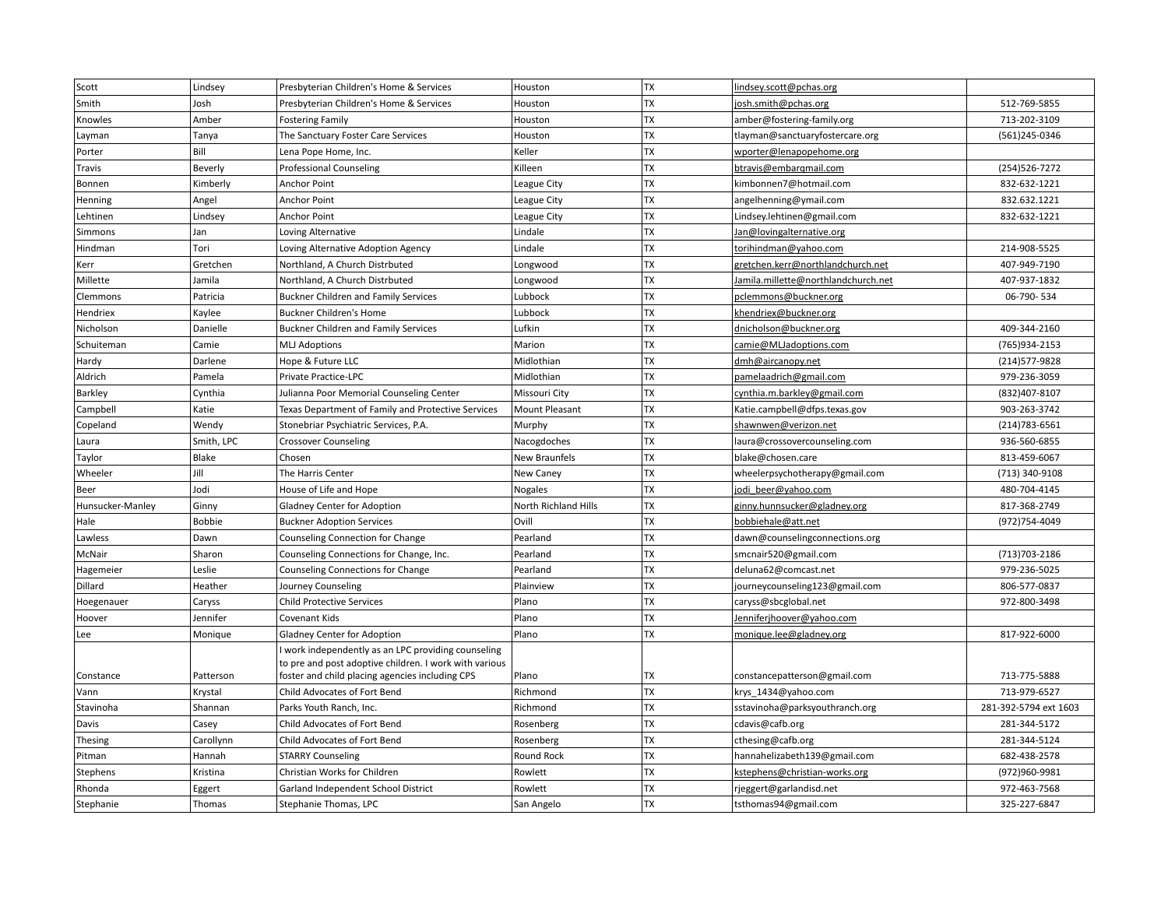| Scott            | Lindsey       | Presbyterian Children's Home & Services                | Houston              | ТX        | lindsey.scott@pchas.org             |                       |
|------------------|---------------|--------------------------------------------------------|----------------------|-----------|-------------------------------------|-----------------------|
| Smith            | Josh          | Presbyterian Children's Home & Services                | Houston              | TX        | josh.smith@pchas.org                | 512-769-5855          |
| Knowles          | Amber         | <b>Fostering Family</b>                                | Houston              | <b>TX</b> | amber@fostering-family.org          | 713-202-3109          |
| Layman           | Tanya         | The Sanctuary Foster Care Services                     | Houston              | TX        | tlayman@sanctuaryfostercare.org     | (561)245-0346         |
| Porter           | Bill          | Lena Pope Home, Inc.                                   | Keller               | <b>TX</b> | wporter@lenapopehome.org            |                       |
| Travis           | Beverly       | <b>Professional Counseling</b>                         | Killeen              | TX        | btravis@embargmail.com              | (254)526-7272         |
| Bonnen           | Kimberly      | Anchor Point                                           | League City          | <b>TX</b> | kimbonnen7@hotmail.com              | 832-632-1221          |
| Henning          | Angel         | Anchor Point                                           | League City          | TX        | angelhenning@ymail.com              | 832.632.1221          |
| Lehtinen         | Lindsey       | Anchor Point                                           | League City          | TX        | Lindsey.lehtinen@gmail.com          | 832-632-1221          |
| Simmons          | Jan           | Loving Alternative                                     | Lindale              | <b>TX</b> | Jan@lovingalternative.org           |                       |
| Hindman          | Tori          | Loving Alternative Adoption Agency                     | Lindale              | TX        | torihindman@yahoo.com               | 214-908-5525          |
| Kerr             | Gretchen      | Northland, A Church Distrbuted                         | Longwood             | TX        | gretchen.kerr@northlandchurch.net   | 407-949-7190          |
| Millette         | Jamila        | Northland, A Church Distrbuted                         | Longwood             | TX        | Jamila.millette@northlandchurch.net | 407-937-1832          |
| Clemmons         | Patricia      | <b>Buckner Children and Family Services</b>            | Lubbock              | <b>TX</b> | pclemmons@buckner.org               | 06-790-534            |
| Hendriex         | Kaylee        | <b>Buckner Children's Home</b>                         | Lubbock              | <b>TX</b> | khendriex@buckner.org               |                       |
| Nicholson        | Danielle      | <b>Buckner Children and Family Services</b>            | Lufkin               | TX        | dnicholson@buckner.org              | 409-344-2160          |
| Schuiteman       | Camie         | MLJ Adoptions                                          | Marion               | <b>TX</b> | camie@MLJadoptions.com              | (765)934-2153         |
| Hardy            | Darlene       | Hope & Future LLC                                      | Midlothian           | <b>TX</b> | dmh@aircanopy.net                   | (214) 577-9828        |
| Aldrich          | Pamela        | <b>Private Practice-LPC</b>                            | Midlothian           | <b>TX</b> | pamelaadrich@gmail.com              | 979-236-3059          |
| Barkley          | Cynthia       | Julianna Poor Memorial Counseling Center               | Missouri City        | TX        | cynthia.m.barkley@gmail.com         | (832) 407-8107        |
| Campbell         | Katie         | Texas Department of Family and Protective Services     | Mount Pleasant       | TX        | Katie.campbell@dfps.texas.gov       | 903-263-3742          |
| Copeland         | Wendy         | Stonebriar Psychiatric Services, P.A.                  | Murphy               | TX        | shawnwen@verizon.net                | $(214)783 - 6561$     |
| Laura            | Smith, LPC    | Crossover Counseling                                   | Nacogdoches          | TX        | laura@crossovercounseling.com       | 936-560-6855          |
| Taylor           | <b>Blake</b>  | Chosen                                                 | <b>New Braunfels</b> | TX        | blake@chosen.care                   | 813-459-6067          |
| Wheeler          | Jill          | The Harris Center                                      | New Caney            | <b>TX</b> | wheelerpsychotherapy@gmail.com      | (713) 340-9108        |
| Beer             | Jodi          | House of Life and Hope                                 | <b>Nogales</b>       | <b>TX</b> | jodi_beer@yahoo.com                 | 480-704-4145          |
| Hunsucker-Manley | Ginny         | <b>Gladney Center for Adoption</b>                     | North Richland Hills | <b>TX</b> | ginny.hunnsucker@gladney.org        | 817-368-2749          |
| Hale             | <b>Bobbie</b> | <b>Buckner Adoption Services</b>                       | Ovill                | <b>TX</b> | bobbiehale@att.net                  | (972)754-4049         |
| Lawless          | Dawn          | Counseling Connection for Change                       | Pearland             | <b>TX</b> | dawn@counselingconnections.org      |                       |
| McNair           | Sharon        | Counseling Connections for Change, Inc.                | Pearland             | <b>TX</b> | smcnair520@gmail.com                | (713) 703-2186        |
| Hagemeier        | Leslie        | Counseling Connections for Change                      | Pearland             | <b>TX</b> | deluna62@comcast.net                | 979-236-5025          |
| Dillard          | Heather       | Journey Counseling                                     | Plainview            | <b>TX</b> | journeycounseling123@gmail.com      | 806-577-0837          |
| Hoegenauer       | Caryss        | <b>Child Protective Services</b>                       | Plano                | TX        | caryss@sbcglobal.net                | 972-800-3498          |
| Hoover           | Jennifer      | Covenant Kids                                          | Plano                | <b>TX</b> | Jenniferjhoover@yahoo.com           |                       |
| Lee              | Monique       | <b>Gladney Center for Adoption</b>                     | Plano                | <b>TX</b> | monique.lee@gladney.org             | 817-922-6000          |
|                  |               | work independently as an LPC providing counseling      |                      |           |                                     |                       |
|                  |               | to pre and post adoptive children. I work with various |                      |           |                                     |                       |
| Constance        | Patterson     | foster and child placing agencies including CPS        | Plano                | TX        | constancepatterson@gmail.com        | 713-775-5888          |
| Vann             | Krystal       | Child Advocates of Fort Bend                           | Richmond             | TX        | krys 1434@yahoo.com                 | 713-979-6527          |
| Stavinoha        | Shannan       | Parks Youth Ranch, Inc.                                | Richmond             | TX        | sstavinoha@parksyouthranch.org      | 281-392-5794 ext 1603 |
| Davis            | Casey         | Child Advocates of Fort Bend                           | Rosenberg            | <b>TX</b> | cdavis@cafb.org                     | 281-344-5172          |
| Thesing          | Carollynn     | Child Advocates of Fort Bend                           | Rosenberg            | <b>TX</b> | cthesing@cafb.org                   | 281-344-5124          |
| Pitman           | Hannah        | <b>STARRY Counseling</b>                               | Round Rock           | TX        | hannahelizabeth139@gmail.com        | 682-438-2578          |
| Stephens         | Kristina      | Christian Works for Children                           | Rowlett              | <b>TX</b> | kstephens@christian-works.org       | (972)960-9981         |
| Rhonda           | Eggert        | Garland Independent School District                    | Rowlett              | <b>TX</b> | rjeggert@garlandisd.net             | 972-463-7568          |
| Stephanie        | Thomas        | Stephanie Thomas, LPC                                  | San Angelo           | <b>TX</b> | tsthomas94@gmail.com                | 325-227-6847          |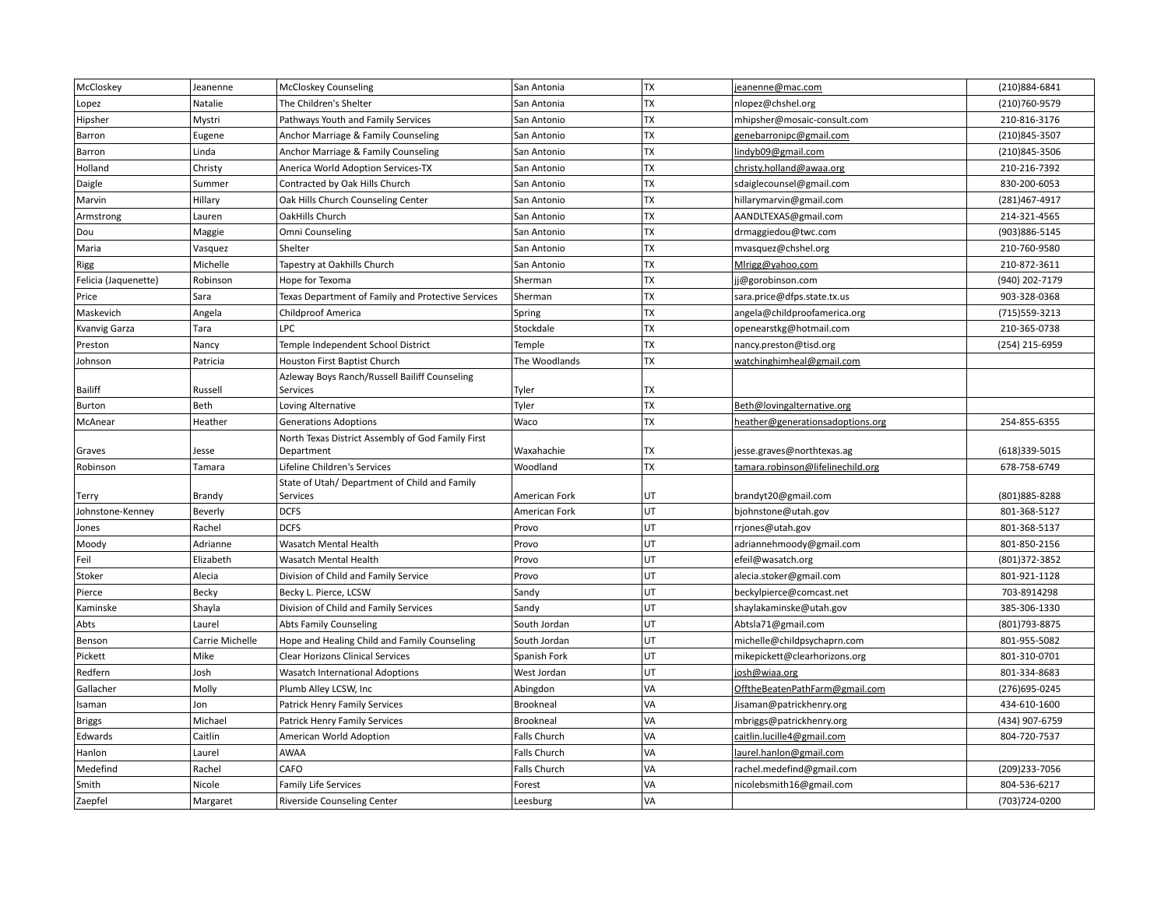| McCloskey            | Jeanenne        | <b>McCloskey Counseling</b>                        | San Antonia         | <b>TX</b> | jeanenne@mac.com                  | (210)884-6841  |
|----------------------|-----------------|----------------------------------------------------|---------------------|-----------|-----------------------------------|----------------|
| Lopez                | Natalie         | The Children's Shelter                             | San Antonia         | <b>TX</b> | nlopez@chshel.org                 | (210)760-9579  |
| Hipsher              | Mystri          | Pathways Youth and Family Services                 | San Antonio         | TX        | mhipsher@mosaic-consult.com       | 210-816-3176   |
| Barron               | Eugene          | Anchor Marriage & Family Counseling                | San Antonio         | <b>TX</b> | genebarronipc@gmail.com           | (210)845-3507  |
| Barron               | Linda           | Anchor Marriage & Family Counseling                | San Antonio         | <b>TX</b> | lindyb09@gmail.com                | (210)845-3506  |
| Holland              | Christy         | Anerica World Adoption Services-TX                 | San Antonio         | <b>TX</b> | christy.holland@awaa.org          | 210-216-7392   |
| Daigle               | Summer          | Contracted by Oak Hills Church                     | San Antonio         | <b>TX</b> | sdaiglecounsel@gmail.com          | 830-200-6053   |
| Marvin               | Hillary         | Oak Hills Church Counseling Center                 | San Antonio         | <b>TX</b> | hillarymarvin@gmail.com           | (281)467-4917  |
| Armstrong            | Lauren          | OakHills Church                                    | San Antonio         | <b>TX</b> | AANDLTEXAS@gmail.com              | 214-321-4565   |
| Dou                  | Maggie          | Omni Counseling                                    | San Antonio         | <b>TX</b> | drmaggiedou@twc.com               | (903) 886-5145 |
| Maria                | Vasquez         | Shelter                                            | San Antonio         | <b>TX</b> | mvasquez@chshel.org               | 210-760-9580   |
| <b>Rigg</b>          | Michelle        | Tapestry at Oakhills Church                        | San Antonio         | <b>TX</b> | Mlrigg@yahoo.com                  | 210-872-3611   |
| Felicia (Jaquenette) | Robinson        | Hope for Texoma                                    | Sherman             | <b>TX</b> | jj@gorobinson.com                 | (940) 202-7179 |
| Price                | Sara            | Texas Department of Family and Protective Services | Sherman             | <b>TX</b> | sara.price@dfps.state.tx.us       | 903-328-0368   |
| Maskevich            | Angela          | <b>Childproof America</b>                          | Spring              | <b>TX</b> | angela@childproofamerica.org      | (715) 559-3213 |
| Kvanvig Garza        | Tara            | LPC                                                | Stockdale           | <b>TX</b> | openearstkg@hotmail.com           | 210-365-0738   |
| Preston              | Nancy           | Temple Independent School District                 | Temple              | <b>TX</b> | nancy.preston@tisd.org            | (254) 215-6959 |
| Johnson              | Patricia        | Houston First Baptist Church                       | The Woodlands       | <b>TX</b> | watchinghimheal@gmail.com         |                |
|                      |                 | Azleway Boys Ranch/Russell Bailiff Counseling      |                     |           |                                   |                |
| <b>Bailiff</b>       | Russell         | Services                                           | Tyler               | TX        |                                   |                |
| Burton               | Beth            | Loving Alternative                                 | Tyler               | <b>TX</b> | Beth@lovingalternative.org        |                |
| McAnear              | Heather         | <b>Generations Adoptions</b>                       | Waco                | TX        | heather@generationsadoptions.org  | 254-855-6355   |
|                      |                 | North Texas District Assembly of God Family First  |                     |           |                                   |                |
| Graves               | Jesse           | Department                                         | Waxahachie          | TX        | jesse.graves@northtexas.ag        | (618)339-5015  |
| Robinson             | Tamara          | Lifeline Children's Services                       | Woodland            | TX        | tamara.robinson@lifelinechild.org | 678-758-6749   |
|                      |                 | State of Utah/ Department of Child and Family      |                     |           |                                   |                |
| Terry                | Brandy          | Services                                           | American Fork       | UT        | brandyt20@gmail.com               | (801) 885-8288 |
| Johnstone-Kenney     | Beverly         | <b>DCFS</b>                                        | American Fork       | UT        | bjohnstone@utah.gov               | 801-368-5127   |
| Jones                | Rachel          | <b>DCFS</b>                                        | Provo               | UT        | rrjones@utah.gov                  | 801-368-5137   |
| Moody                | Adrianne        | Wasatch Mental Health                              | Provo               | UT        | adriannehmoody@gmail.com          | 801-850-2156   |
| Feil                 | Elizabeth       | Wasatch Mental Health                              | Provo               | UT        | efeil@wasatch.org                 | (801)372-3852  |
| Stoker               | Alecia          | Division of Child and Family Service               | Provo               | UT        | alecia.stoker@gmail.com           | 801-921-1128   |
| Pierce               | Becky           | Becky L. Pierce, LCSW                              | Sandy               | UT        | beckylpierce@comcast.net          | 703-8914298    |
| Kaminske             | Shayla          | Division of Child and Family Services              | Sandy               | UT        | shaylakaminske@utah.gov           | 385-306-1330   |
| Abts                 | Laurel          | <b>Abts Family Counseling</b>                      | South Jordan        | UT        | Abtsla71@gmail.com                | (801) 793-8875 |
| Benson               | Carrie Michelle | Hope and Healing Child and Family Counseling       | South Jordan        | UT        | michelle@childpsychaprn.com       | 801-955-5082   |
| Pickett              | Mike            | <b>Clear Horizons Clinical Services</b>            | Spanish Fork        | UT        | mikepickett@clearhorizons.org     | 801-310-0701   |
| Redfern              | Josh            | Wasatch International Adoptions                    | West Jordan         | UT        | josh@wiaa.org                     | 801-334-8683   |
| Gallacher            | Molly           | Plumb Alley LCSW, Inc                              | Abingdon            | VA        | OfftheBeatenPathFarm@gmail.com    | (276) 695-0245 |
| Isaman               | Jon             | Patrick Henry Family Services                      | Brookneal           | VA        | Jisaman@patrickhenry.org          | 434-610-1600   |
| <b>Briggs</b>        | Michael         | Patrick Henry Family Services                      | Brookneal           | VA        | mbriggs@patrickhenry.org          | (434) 907-6759 |
| Edwards              | Caitlin         | American World Adoption                            | <b>Falls Church</b> | VA        | caitlin.lucille4@gmail.com        | 804-720-7537   |
| Hanlon               | Laurel          | AWAA                                               | Falls Church        | VA        | laurel.hanlon@gmail.com           |                |
| Medefind             | Rachel          | CAFO                                               | Falls Church        | VA        | rachel.medefind@gmail.com         | (209)233-7056  |
| Smith                | Nicole          | <b>Family Life Services</b>                        | Forest              | VA        | nicolebsmith16@gmail.com          | 804-536-6217   |
| Zaepfel              | Margaret        | Riverside Counseling Center                        | Leesburg            | VA        |                                   | (703) 724-0200 |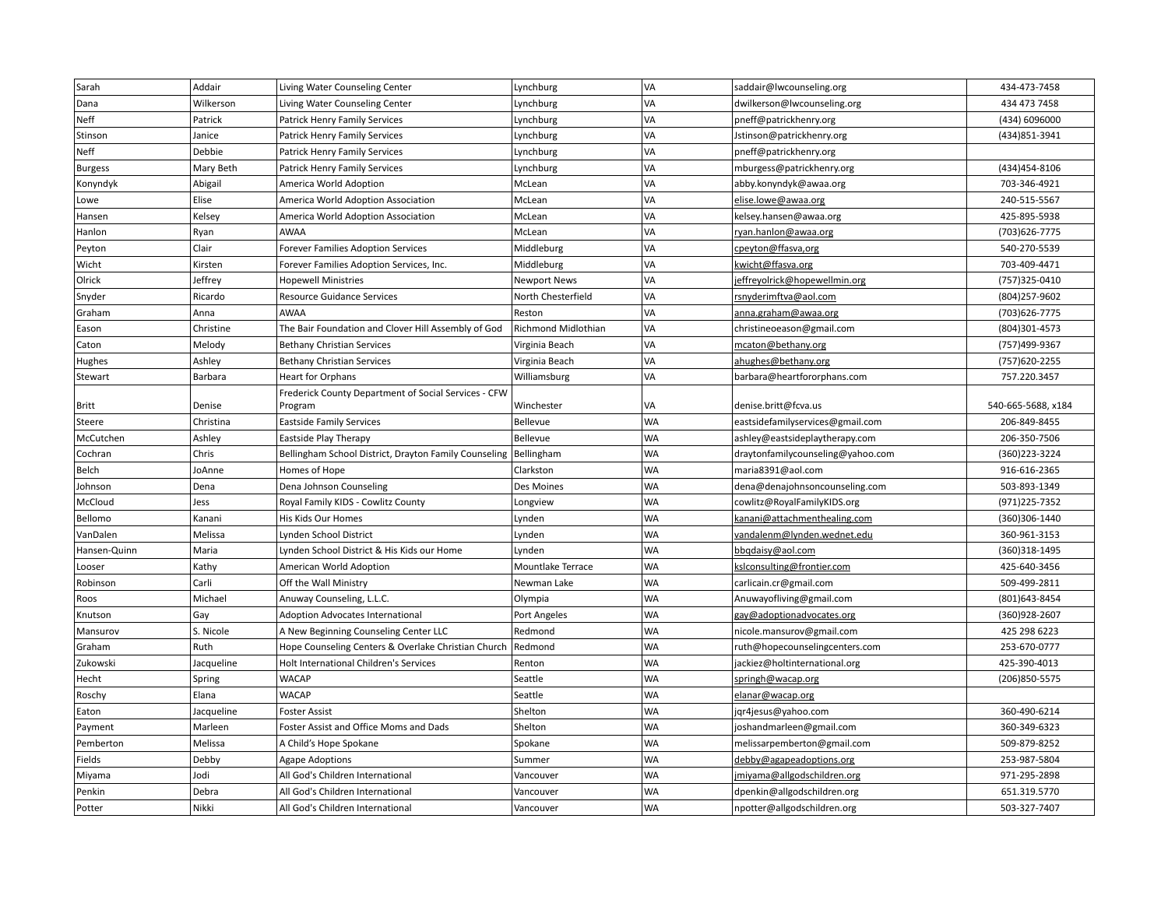| Sarah          | Addair     | Living Water Counseling Center                        | Lynchburg           | VA        | saddair@lwcounseling.org          | 434-473-7458       |
|----------------|------------|-------------------------------------------------------|---------------------|-----------|-----------------------------------|--------------------|
| Dana           | Wilkerson  | Living Water Counseling Center                        | Lynchburg           | VA        | dwilkerson@lwcounseling.org       | 434 473 7458       |
| Neff           | Patrick    | Patrick Henry Family Services                         | Lynchburg           | VA        | pneff@patrickhenry.org            | (434) 6096000      |
| Stinson        | Janice     | Patrick Henry Family Services                         | Lynchburg           | VA        | Jstinson@patrickhenry.org         | (434) 851-3941     |
| Neff           | Debbie     | Patrick Henry Family Services                         | Lynchburg           | VA        | pneff@patrickhenry.org            |                    |
| <b>Burgess</b> | Mary Beth  | Patrick Henry Family Services                         | Lynchburg           | VA        | mburgess@patrickhenry.org         | (434)454-8106      |
| Konyndyk       | Abigail    | America World Adoption                                | McLean              | VA        | abby.konyndyk@awaa.org            | 703-346-4921       |
| Lowe           | Elise      | America World Adoption Association                    | McLean              | VA        | elise.lowe@awaa.org               | 240-515-5567       |
| Hansen         | Kelsey     | America World Adoption Association                    | McLean              | VA        | kelsey.hansen@awaa.org            | 425-895-5938       |
| Hanlon         | Ryan       | <b>AWAA</b>                                           | McLean              | VA        | ryan.hanlon@awaa.org              | (703) 626-7775     |
| Peyton         | Clair      | Forever Families Adoption Services                    | Middleburg          | VA        | cpeyton@ffasva,org                | 540-270-5539       |
| Wicht          | Kirsten    | Forever Families Adoption Services, Inc.              | Middleburg          | VA        | kwicht@ffasva.org                 | 703-409-4471       |
| Olrick         | Jeffrey    | <b>Hopewell Ministries</b>                            | <b>Newport News</b> | VA        | jeffreyolrick@hopewellmin.org     | (757)325-0410      |
| Snyder         | Ricardo    | <b>Resource Guidance Services</b>                     | North Chesterfield  | VA        | rsnyderimftva@aol.com             | (804) 257-9602     |
| Graham         | Anna       | <b>AWAA</b>                                           | Reston              | VA        | anna.graham@awaa.org              | (703) 626-7775     |
| Eason          | Christine  | The Bair Foundation and Clover Hill Assembly of God   | Richmond Midlothian | VA        | christineoeason@gmail.com         | (804)301-4573      |
| Caton          | Melody     | <b>Bethany Christian Services</b>                     | Virginia Beach      | VA        | mcaton@bethany.org                | (757)499-9367      |
| Hughes         | Ashley     | <b>Bethany Christian Services</b>                     | Virginia Beach      | VA        | ahughes@bethany.org               | (757) 620-2255     |
| Stewart        | Barbara    | <b>Heart for Orphans</b>                              | Williamsburg        | VA        | barbara@heartfororphans.com       | 757.220.3457       |
|                |            | Frederick County Department of Social Services - CFW  |                     |           |                                   |                    |
| Britt          | Denise     | Program                                               | Winchester          | VA        | denise.britt@fcva.us              | 540-665-5688, x184 |
| Steere         | Christina  | <b>Eastside Family Services</b>                       | Bellevue            | <b>WA</b> | eastsidefamilyservices@gmail.com  | 206-849-8455       |
| McCutchen      | Ashley     | Eastside Play Therapy                                 | Bellevue            | <b>WA</b> | ashley@eastsideplaytherapy.com    | 206-350-7506       |
| Cochran        | Chris      | Bellingham School District, Drayton Family Counseling | Bellingham          | <b>WA</b> | draytonfamilycounseling@yahoo.com | (360)223-3224      |
| Belch          | JoAnne     | Homes of Hope                                         | Clarkston           | <b>WA</b> | maria8391@aol.com                 | 916-616-2365       |
| Johnson        | Dena       | Dena Johnson Counseling                               | Des Moines          | <b>WA</b> | dena@denajohnsoncounseling.com    | 503-893-1349       |
| McCloud        | Jess       | Royal Family KIDS - Cowlitz County                    | Longview            | <b>WA</b> | cowlitz@RoyalFamilyKIDS.org       | (971) 225-7352     |
| Bellomo        | Kanani     | His Kids Our Homes                                    | Lynden              | <b>WA</b> | kanani@attachmenthealing.com      | (360)306-1440      |
| VanDalen       | Melissa    | Lynden School District                                | Lynden              | <b>WA</b> | vandalenm@lynden.wednet.edu       | 360-961-3153       |
| Hansen-Quinn   | Maria      | Lynden School District & His Kids our Home            | Lynden              | <b>WA</b> | bbqdaisy@aol.com                  | (360)318-1495      |
| Looser         | Kathy      | American World Adoption                               | Mountlake Terrace   | <b>WA</b> | kslconsulting@frontier.com        | 425-640-3456       |
| Robinson       | Carli      | Off the Wall Ministry                                 | Newman Lake         | <b>WA</b> | carlicain.cr@gmail.com            | 509-499-2811       |
| Roos           | Michael    | Anuway Counseling, L.L.C.                             | Olympia             | <b>WA</b> | Anuwayofliving@gmail.com          | (801) 643-8454     |
| Knutson        | Gay        | Adoption Advocates International                      | Port Angeles        | <b>WA</b> | gay@adoptionadvocates.org         | (360)928-2607      |
| Mansurov       | S. Nicole  | A New Beginning Counseling Center LLC                 | Redmond             | <b>WA</b> | nicole.mansurov@gmail.com         | 425 298 6223       |
| Graham         | Ruth       | Hope Counseling Centers & Overlake Christian Church   | Redmond             | <b>WA</b> | ruth@hopecounselingcenters.com    | 253-670-0777       |
| Zukowski       | Jacqueline | Holt International Children's Services                | Renton              | <b>WA</b> | jackiez@holtinternational.org     | 425-390-4013       |
| Hecht          | Spring     | <b>WACAP</b>                                          | Seattle             | <b>WA</b> | springh@wacap.org                 | (206) 850-5575     |
| Roschy         | Elana      | <b>WACAP</b>                                          | Seattle             | <b>WA</b> | elanar@wacap.org                  |                    |
| Eaton          | Jacqueline | <b>Foster Assist</b>                                  | Shelton             | <b>WA</b> | jqr4jesus@yahoo.com               | 360-490-6214       |
| Payment        | Marleen    | Foster Assist and Office Moms and Dads                | Shelton             | <b>WA</b> | joshandmarleen@gmail.com          | 360-349-6323       |
| Pemberton      | Melissa    | A Child's Hope Spokane                                | Spokane             | <b>WA</b> | melissarpemberton@gmail.com       | 509-879-8252       |
| Fields         | Debby      | <b>Agape Adoptions</b>                                | Summer              | <b>WA</b> | debby@agapeadoptions.org          | 253-987-5804       |
| Miyama         | Jodi       | All God's Children International                      | Vancouver           | <b>WA</b> | jmiyama@allgodschildren.org       | 971-295-2898       |
| Penkin         | Debra      | All God's Children International                      | Vancouver           | <b>WA</b> | dpenkin@allgodschildren.org       | 651.319.5770       |
| Potter         | Nikki      | All God's Children International                      | Vancouver           | <b>WA</b> | npotter@allgodschildren.org       | 503-327-7407       |
|                |            |                                                       |                     |           |                                   |                    |